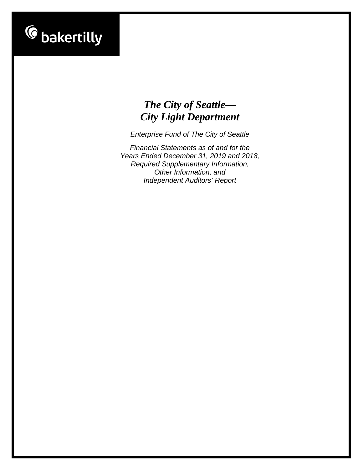

# *The City of Seattle— City Light Department*

*Enterprise Fund of The City of Seattle* 

*Financial Statements as of and for the Years Ended December 31, 2019 and 2018, Required Supplementary Information, Other Information, and Independent Auditors' Report*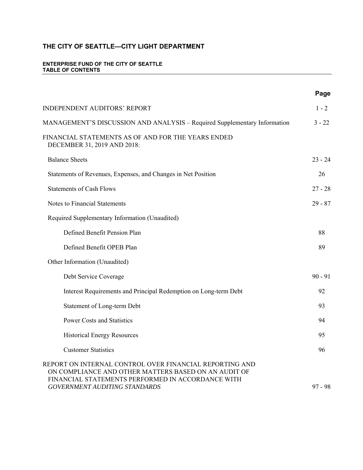#### **ENTERPRISE FUND OF THE CITY OF SEATTLE TABLE OF CONTENTS**

|                                                                                                                                                                      | Page      |
|----------------------------------------------------------------------------------------------------------------------------------------------------------------------|-----------|
| <b>INDEPENDENT AUDITORS' REPORT</b>                                                                                                                                  | $1 - 2$   |
| MANAGEMENT'S DISCUSSION AND ANALYSIS - Required Supplementary Information                                                                                            | $3 - 22$  |
| FINANCIAL STATEMENTS AS OF AND FOR THE YEARS ENDED<br>DECEMBER 31, 2019 AND 2018:                                                                                    |           |
| <b>Balance Sheets</b>                                                                                                                                                | $23 - 24$ |
| Statements of Revenues, Expenses, and Changes in Net Position                                                                                                        | 26        |
| <b>Statements of Cash Flows</b>                                                                                                                                      | $27 - 28$ |
| Notes to Financial Statements                                                                                                                                        | $29 - 87$ |
| Required Supplementary Information (Unaudited)                                                                                                                       |           |
| Defined Benefit Pension Plan                                                                                                                                         | 88        |
| Defined Benefit OPEB Plan                                                                                                                                            | 89        |
| Other Information (Unaudited)                                                                                                                                        |           |
| Debt Service Coverage                                                                                                                                                | $90 - 91$ |
| Interest Requirements and Principal Redemption on Long-term Debt                                                                                                     | 92        |
| Statement of Long-term Debt                                                                                                                                          | 93        |
| <b>Power Costs and Statistics</b>                                                                                                                                    | 94        |
| <b>Historical Energy Resources</b>                                                                                                                                   | 95        |
| <b>Customer Statistics</b>                                                                                                                                           | 96        |
| REPORT ON INTERNAL CONTROL OVER FINANCIAL REPORTING AND<br>ON COMPLIANCE AND OTHER MATTERS BASED ON AN AUDIT OF<br>FINANCIAL STATEMENTS PERFORMED IN ACCORDANCE WITH |           |
| <b>GOVERNMENT AUDITING STANDARDS</b>                                                                                                                                 | $97 - 98$ |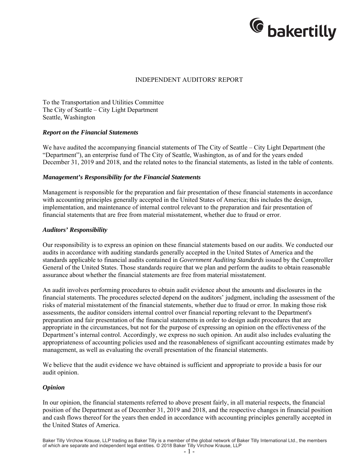

#### INDEPENDENT AUDITORS' REPORT

To the Transportation and Utilities Committee The City of Seattle – City Light Department Seattle, Washington

#### *Report on the Financial Statements*

We have audited the accompanying financial statements of The City of Seattle – City Light Department (the "Department"), an enterprise fund of The City of Seattle, Washington, as of and for the years ended December 31, 2019 and 2018, and the related notes to the financial statements, as listed in the table of contents.

#### *Management's Responsibility for the Financial Statements*

Management is responsible for the preparation and fair presentation of these financial statements in accordance with accounting principles generally accepted in the United States of America; this includes the design, implementation, and maintenance of internal control relevant to the preparation and fair presentation of financial statements that are free from material misstatement, whether due to fraud or error.

#### *Auditors' Responsibility*

Our responsibility is to express an opinion on these financial statements based on our audits. We conducted our audits in accordance with auditing standards generally accepted in the United States of America and the standards applicable to financial audits contained in *Government Auditing Standards* issued by the Comptroller General of the United States. Those standards require that we plan and perform the audits to obtain reasonable assurance about whether the financial statements are free from material misstatement.

An audit involves performing procedures to obtain audit evidence about the amounts and disclosures in the financial statements. The procedures selected depend on the auditors' judgment, including the assessment of the risks of material misstatement of the financial statements, whether due to fraud or error. In making those risk assessments, the auditor considers internal control over financial reporting relevant to the Department's preparation and fair presentation of the financial statements in order to design audit procedures that are appropriate in the circumstances, but not for the purpose of expressing an opinion on the effectiveness of the Department's internal control. Accordingly, we express no such opinion. An audit also includes evaluating the appropriateness of accounting policies used and the reasonableness of significant accounting estimates made by management, as well as evaluating the overall presentation of the financial statements.

We believe that the audit evidence we have obtained is sufficient and appropriate to provide a basis for our audit opinion.

#### *Opinion*

In our opinion, the financial statements referred to above present fairly, in all material respects, the financial position of the Department as of December 31, 2019 and 2018, and the respective changes in financial position and cash flows thereof for the years then ended in accordance with accounting principles generally accepted in the United States of America.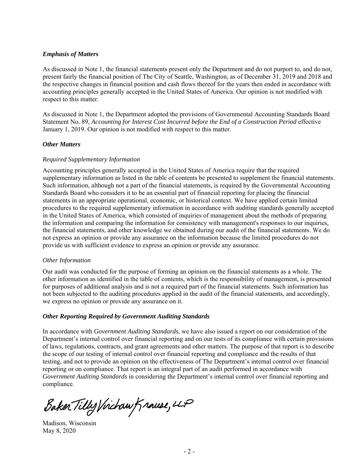#### *Emphasis of Matters*

As discussed in Note 1, the financial statements present only the Department and do not purport to, and do not, present fairly the financial position of The City of Seattle, Washington, as of December 31, 2019 and 2018 and the respective changes in financial position and cash flows thereof for the years then ended in accordance with accounting principles generally accepted in the United States of America. Our opinion is not modified with respect to this matter.

As discussed in Note 1, the Department adopted the provisions of Governmental Accounting Standards Board Statement No. 89, *Accounting for Interest Cost Incurred before the End of a Construction Period* effective January 1, 2019. Our opinion is not modified with respect to this matter.

#### *Other Matters*

#### *Required Supplementary Information*

Accounting principles generally accepted in the United States of America require that the required supplementary information as listed in the table of contents be presented to supplement the financial statements. Such information, although not a part of the financial statements, is required by the Governmental Accounting Standards Board who considers it to be an essential part of financial reporting for placing the financial statements in an appropriate operational, economic, or historical context. We have applied certain limited procedures to the required supplementary information in accordance with auditing standards generally accepted in the United States of America, which consisted of inquiries of management about the methods of preparing the information and comparing the information for consistency with management's responses to our inquiries, the financial statements, and other knowledge we obtained during our audit of the financial statements. We do not express an opinion or provide any assurance on the information because the limited procedures do not provide us with sufficient evidence to express an opinion or provide any assurance.

#### *Other Information*

Our audit was conducted for the purpose of forming an opinion on the financial statements as a whole. The other information as identified in the table of contents, which is the responsibility of management, is presented for purposes of additional analysis and is not a required part of the financial statements. Such information has not been subjected to the auditing procedures applied in the audit of the financial statements, and accordingly, we express no opinion or provide any assurance on it.

#### *Other Reporting Required by Government Auditing Standards*

In accordance with *Government Auditing Standards*, we have also issued a report on our consideration of the Department's internal control over financial reporting and on our tests of its compliance with certain provisions of laws, regulations, contracts, and grant agreements and other matters. The purpose of that report is to describe the scope of our testing of internal control over financial reporting and compliance and the results of that testing, and not to provide an opinion on the effectiveness of The Department's internal control over financial reporting or on compliance. That report is an integral part of an audit performed in accordance with *Government Auditing Standards* in considering the Department's internal control over financial reporting and compliance.

Baker Tilly Virchaw Krause, LLP

Madison, Wisconsin May 8, 2020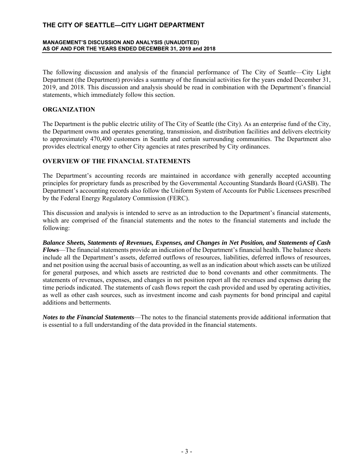#### **MANAGEMENT'S DISCUSSION AND ANALYSIS (UNAUDITED) AS OF AND FOR THE YEARS ENDED DECEMBER 31, 2019 and 2018**

The following discussion and analysis of the financial performance of The City of Seattle—City Light Department (the Department) provides a summary of the financial activities for the years ended December 31, 2019, and 2018. This discussion and analysis should be read in combination with the Department's financial statements, which immediately follow this section.

### **ORGANIZATION**

The Department is the public electric utility of The City of Seattle (the City). As an enterprise fund of the City, the Department owns and operates generating, transmission, and distribution facilities and delivers electricity to approximately 470,400 customers in Seattle and certain surrounding communities. The Department also provides electrical energy to other City agencies at rates prescribed by City ordinances.

### **OVERVIEW OF THE FINANCIAL STATEMENTS**

The Department's accounting records are maintained in accordance with generally accepted accounting principles for proprietary funds as prescribed by the Governmental Accounting Standards Board (GASB). The Department's accounting records also follow the Uniform System of Accounts for Public Licensees prescribed by the Federal Energy Regulatory Commission (FERC).

This discussion and analysis is intended to serve as an introduction to the Department's financial statements, which are comprised of the financial statements and the notes to the financial statements and include the following:

*Balance Sheets, Statements of Revenues, Expenses, and Changes in Net Position, and Statements of Cash Flows*—The financial statements provide an indication of the Department's financial health. The balance sheets include all the Department's assets, deferred outflows of resources, liabilities, deferred inflows of resources, and net position using the accrual basis of accounting, as well as an indication about which assets can be utilized for general purposes, and which assets are restricted due to bond covenants and other commitments. The statements of revenues, expenses, and changes in net position report all the revenues and expenses during the time periods indicated. The statements of cash flows report the cash provided and used by operating activities, as well as other cash sources, such as investment income and cash payments for bond principal and capital additions and betterments.

*Notes to the Financial Statements*—The notes to the financial statements provide additional information that is essential to a full understanding of the data provided in the financial statements.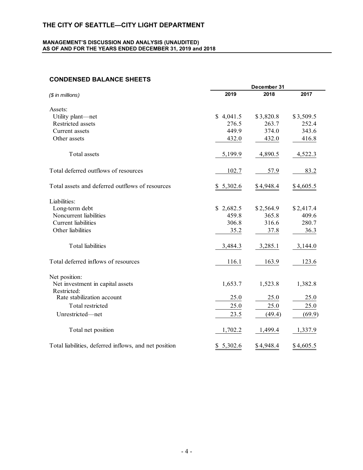#### **MANAGEMENT'S DISCUSSION AND ANALYSIS (UNAUDITED) AS OF AND FOR THE YEARS ENDED DECEMBER 31, 2019 and 2018**

#### **CONDENSED BALANCE SHEETS**

|                                                       |           | December 31 |           |  |  |
|-------------------------------------------------------|-----------|-------------|-----------|--|--|
| $($$ in millions)                                     | 2019      | 2018        | 2017      |  |  |
| Assets:                                               |           |             |           |  |  |
| Utility plant-net                                     | \$4,041.5 | \$3,820.8   | \$3,509.5 |  |  |
| Restricted assets                                     | 276.5     | 263.7       | 252.4     |  |  |
| Current assets                                        | 449.9     | 374.0       | 343.6     |  |  |
| Other assets                                          | 432.0     | 432.0       | 416.8     |  |  |
| Total assets                                          | 5,199.9   | 4,890.5     | 4,522.3   |  |  |
| Total deferred outflows of resources                  | 102.7     | 57.9        | 83.2      |  |  |
| Total assets and deferred outflows of resources       | \$5,302.6 | \$4,948.4   | \$4,605.5 |  |  |
| Liabilities:                                          |           |             |           |  |  |
| Long-term debt                                        | \$2,682.5 | \$2,564.9   | \$2,417.4 |  |  |
| Noncurrent liabilities                                | 459.8     | 365.8       | 409.6     |  |  |
| Current liabilities                                   | 306.8     | 316.6       | 280.7     |  |  |
| Other liabilities                                     | 35.2      | 37.8        | 36.3      |  |  |
| <b>Total liabilities</b>                              | 3,484.3   | 3,285.1     | 3,144.0   |  |  |
| Total deferred inflows of resources                   | 116.1     | 163.9       | 123.6     |  |  |
| Net position:                                         |           |             |           |  |  |
| Net investment in capital assets                      | 1,653.7   | 1,523.8     | 1,382.8   |  |  |
| Restricted:                                           |           |             |           |  |  |
| Rate stabilization account                            | 25.0      | 25.0        | 25.0      |  |  |
| Total restricted                                      | 25.0      | 25.0        | 25.0      |  |  |
| Unrestricted-net                                      | 23.5      | (49.4)      | (69.9)    |  |  |
| Total net position                                    | 1,702.2   | 1,499.4     | 1,337.9   |  |  |
| Total liabilities, deferred inflows, and net position | \$5,302.6 | \$4,948.4   | \$4,605.5 |  |  |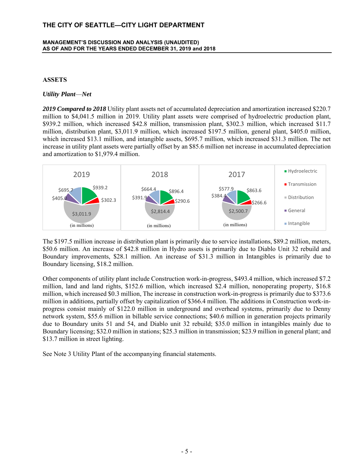#### **MANAGEMENT'S DISCUSSION AND ANALYSIS (UNAUDITED) AS OF AND FOR THE YEARS ENDED DECEMBER 31, 2019 and 2018**

#### **ASSETS**

#### *Utility Plant*—*Net*

*2019 Compared to 2018* Utility plant assets net of accumulated depreciation and amortization increased \$220.7 million to \$4,041.5 million in 2019. Utility plant assets were comprised of hydroelectric production plant, \$939.2 million, which increased \$42.8 million, transmission plant, \$302.3 million, which increased \$11.7 million, distribution plant, \$3,011.9 million, which increased \$197.5 million, general plant, \$405.0 million, which increased \$13.1 million, and intangible assets, \$695.7 million, which increased \$31.3 million. The net increase in utility plant assets were partially offset by an \$85.6 million net increase in accumulated depreciation and amortization to \$1,979.4 million.



The \$197.5 million increase in distribution plant is primarily due to service installations, \$89.2 million, meters, \$50.6 million. An increase of \$42.8 million in Hydro assets is primarily due to Diablo Unit 32 rebuild and Boundary improvements, \$28.1 million. An increase of \$31.3 million in Intangibles is primarily due to Boundary licensing, \$18.2 million.

Other components of utility plant include Construction work-in-progress, \$493.4 million, which increased \$7.2 million, land and land rights, \$152.6 million, which increased \$2.4 million, nonoperating property, \$16.8 million, which increased \$0.3 million, The increase in construction work-in-progress is primarily due to \$373.6 million in additions, partially offset by capitalization of \$366.4 million. The additions in Construction work-inprogress consist mainly of \$122.0 million in underground and overhead systems, primarily due to Denny network system, \$55.6 million in billable service connections; \$40.6 million in generation projects primarily due to Boundary units 51 and 54, and Diablo unit 32 rebuild; \$35.0 million in intangibles mainly due to Boundary licensing; \$32.0 million in stations; \$25.3 million in transmission; \$23.9 million in general plant; and \$13.7 million in street lighting.

See Note 3 Utility Plant of the accompanying financial statements.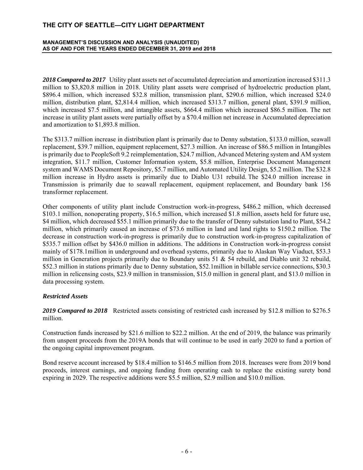#### **MANAGEMENT'S DISCUSSION AND ANALYSIS (UNAUDITED) AS OF AND FOR THE YEARS ENDED DECEMBER 31, 2019 and 2018**

*2018 Compared to 2017* Utility plant assets net of accumulated depreciation and amortization increased \$311.3 million to \$3,820.8 million in 2018. Utility plant assets were comprised of hydroelectric production plant, \$896.4 million, which increased \$32.8 million, transmission plant, \$290.6 million, which increased \$24.0 million, distribution plant, \$2,814.4 million, which increased \$313.7 million, general plant, \$391.9 million, which increased \$7.5 million, and intangible assets, \$664.4 million which increased \$86.5 million. The net increase in utility plant assets were partially offset by a \$70.4 million net increase in Accumulated depreciation and amortization to \$1,893.8 million.

The \$313.7 million increase in distribution plant is primarily due to Denny substation, \$133.0 million, seawall replacement, \$39.7 million, equipment replacement, \$27.3 million. An increase of \$86.5 million in Intangibles is primarily due to PeopleSoft 9.2 reimplementation, \$24.7 million, Advanced Metering system and AM system integration, \$11.7 million, Customer Information system, \$5.8 million, Enterprise Document Management system and WAMS Document Repository, \$5.7 million, and Automated Utility Design, \$5.2 million. The \$32.8 million increase in Hydro assets is primarily due to Diablo U31 rebuild. The \$24.0 million increase in Transmission is primarily due to seawall replacement, equipment replacement, and Boundary bank 156 transformer replacement.

Other components of utility plant include Construction work-in-progress, \$486.2 million, which decreased \$103.1 million, nonoperating property, \$16.5 million, which increased \$1.8 million, assets held for future use, \$4 million, which decreased \$55.1 million primarily due to the transfer of Denny substation land to Plant, \$54.2 million, which primarily caused an increase of \$73.6 million in land and land rights to \$150.2 million. The decrease in construction work-in-progress is primarily due to construction work-in-progress capitalization of \$535.7 million offset by \$436.0 million in additions. The additions in Construction work-in-progress consist mainly of \$178.1million in underground and overhead systems, primarily due to Alaskan Way Viaduct, \$53.3 million in Generation projects primarily due to Boundary units 51 & 54 rebuild, and Diablo unit 32 rebuild, \$52.3 million in stations primarily due to Denny substation, \$52.1million in billable service connections, \$30.3 million in relicensing costs, \$23.9 million in transmission, \$15.0 million in general plant, and \$13.0 million in data processing system.

#### *Restricted Assets*

2019 Compared to 2018 Restricted assets consisting of restricted cash increased by \$12.8 million to \$276.5 million.

Construction funds increased by \$21.6 million to \$22.2 million. At the end of 2019, the balance was primarily from unspent proceeds from the 2019A bonds that will continue to be used in early 2020 to fund a portion of the ongoing capital improvement program.

Bond reserve account increased by \$18.4 million to \$146.5 million from 2018. Increases were from 2019 bond proceeds, interest earnings, and ongoing funding from operating cash to replace the existing surety bond expiring in 2029. The respective additions were \$5.5 million, \$2.9 million and \$10.0 million.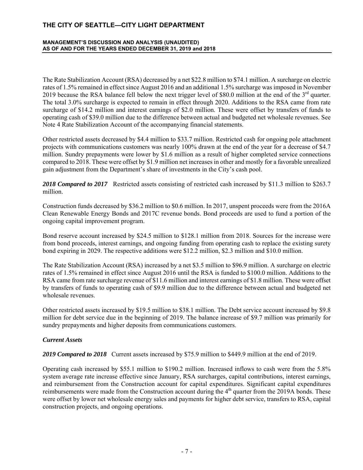#### **MANAGEMENT'S DISCUSSION AND ANALYSIS (UNAUDITED) AS OF AND FOR THE YEARS ENDED DECEMBER 31, 2019 and 2018**

The Rate Stabilization Account (RSA) decreased by a net \$22.8 million to \$74.1 million. A surcharge on electric rates of 1.5% remained in effect since August 2016 and an additional 1.5% surcharge was imposed in November 2019 because the RSA balance fell below the next trigger level of \$80.0 million at the end of the 3<sup>rd</sup> quarter. The total 3.0% surcharge is expected to remain in effect through 2020. Additions to the RSA came from rate surcharge of \$14.2 million and interest earnings of \$2.0 million. These were offset by transfers of funds to operating cash of \$39.0 million due to the difference between actual and budgeted net wholesale revenues. See Note 4 Rate Stabilization Account of the accompanying financial statements.

Other restricted assets decreased by \$4.4 million to \$33.7 million. Restricted cash for ongoing pole attachment projects with communications customers was nearly 100% drawn at the end of the year for a decrease of \$4.7 million. Sundry prepayments were lower by \$1.6 million as a result of higher completed service connections compared to 2018. These were offset by \$1.9 million net increases in other and mostly for a favorable unrealized gain adjustment from the Department's share of investments in the City's cash pool.

*2018 Compared to 2017* Restricted assets consisting of restricted cash increased by \$11.3 million to \$263.7 million.

Construction funds decreased by \$36.2 million to \$0.6 million. In 2017, unspent proceeds were from the 2016A Clean Renewable Energy Bonds and 2017C revenue bonds. Bond proceeds are used to fund a portion of the ongoing capital improvement program.

Bond reserve account increased by \$24.5 million to \$128.1 million from 2018. Sources for the increase were from bond proceeds, interest earnings, and ongoing funding from operating cash to replace the existing surety bond expiring in 2029. The respective additions were \$12.2 million, \$2.3 million and \$10.0 million.

The Rate Stabilization Account (RSA) increased by a net \$3.5 million to \$96.9 million. A surcharge on electric rates of 1.5% remained in effect since August 2016 until the RSA is funded to \$100.0 million. Additions to the RSA came from rate surcharge revenue of \$11.6 million and interest earnings of \$1.8 million. These were offset by transfers of funds to operating cash of \$9.9 million due to the difference between actual and budgeted net wholesale revenues.

Other restricted assets increased by \$19.5 million to \$38.1 million. The Debt service account increased by \$9.8 million for debt service due in the beginning of 2019. The balance increase of \$9.7 million was primarily for sundry prepayments and higher deposits from communications customers.

#### *Current Assets*

*2019 Compared to 2018* Current assets increased by \$75.9 million to \$449.9 million at the end of 2019.

Operating cash increased by \$55.1 million to \$190.2 million. Increased inflows to cash were from the 5.8% system average rate increase effective since January, RSA surcharges, capital contributions, interest earnings, and reimbursement from the Construction account for capital expenditures. Significant capital expenditures reimbursements were made from the Construction account during the  $4<sup>th</sup>$  quarter from the 2019A bonds. These were offset by lower net wholesale energy sales and payments for higher debt service, transfers to RSA, capital construction projects, and ongoing operations.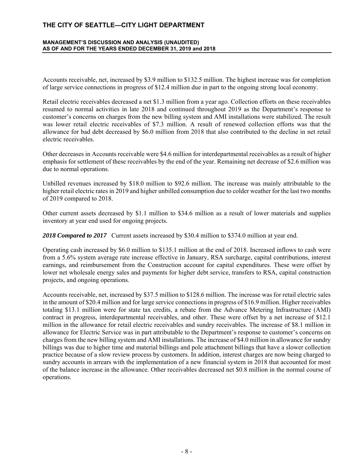#### **MANAGEMENT'S DISCUSSION AND ANALYSIS (UNAUDITED) AS OF AND FOR THE YEARS ENDED DECEMBER 31, 2019 and 2018**

Accounts receivable, net, increased by \$3.9 million to \$132.5 million. The highest increase was for completion of large service connections in progress of \$12.4 million due in part to the ongoing strong local economy.

Retail electric receivables decreased a net \$1.3 million from a year ago. Collection efforts on these receivables resumed to normal activities in late 2018 and continued throughout 2019 as the Department's response to customer's concerns on charges from the new billing system and AMI installations were stabilized. The result was lower retail electric receivables of \$7.3 million. A result of renewed collection efforts was that the allowance for bad debt decreased by \$6.0 million from 2018 that also contributed to the decline in net retail electric receivables.

Other decreases in Accounts receivable were \$4.6 million for interdepartmental receivables as a result of higher emphasis for settlement of these receivables by the end of the year. Remaining net decrease of \$2.6 million was due to normal operations.

Unbilled revenues increased by \$18.0 million to \$92.6 million. The increase was mainly attributable to the higher retail electric rates in 2019 and higher unbilled consumption due to colder weather for the last two months of 2019 compared to 2018.

Other current assets decreased by \$1.1 million to \$34.6 million as a result of lower materials and supplies inventory at year end used for ongoing projects.

*2018 Compared to 2017* Current assets increased by \$30.4 million to \$374.0 million at year end.

Operating cash increased by \$6.0 million to \$135.1 million at the end of 2018. Increased inflows to cash were from a 5.6% system average rate increase effective in January, RSA surcharge, capital contributions, interest earnings, and reimbursement from the Construction account for capital expenditures. These were offset by lower net wholesale energy sales and payments for higher debt service, transfers to RSA, capital construction projects, and ongoing operations.

Accounts receivable, net, increased by \$37.5 million to \$128.6 million. The increase was for retail electric sales in the amount of \$20.4 million and for large service connections in progress of \$16.9 million. Higher receivables totaling \$13.1 million were for state tax credits, a rebate from the Advance Metering Infrastructure (AMI) contract in progress, interdepartmental receivables, and other. These were offset by a net increase of \$12.1 million in the allowance for retail electric receivables and sundry receivables. The increase of \$8.1 million in allowance for Electric Service was in part attributable to the Department's response to customer's concerns on charges from the new billing system and AMI installations. The increase of \$4.0 million in allowance for sundry billings was due to higher time and material billings and pole attachment billings that have a slower collection practice because of a slow review process by customers. In addition, interest charges are now being charged to sundry accounts in arrears with the implementation of a new financial system in 2018 that accounted for most of the balance increase in the allowance. Other receivables decreased net \$0.8 million in the normal course of operations.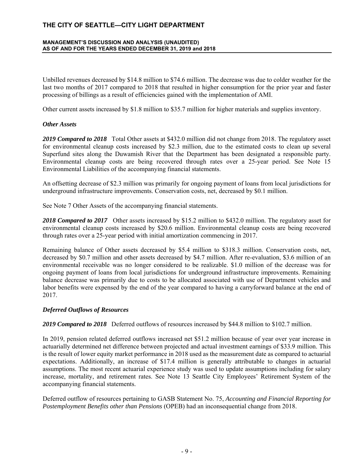#### **MANAGEMENT'S DISCUSSION AND ANALYSIS (UNAUDITED) AS OF AND FOR THE YEARS ENDED DECEMBER 31, 2019 and 2018**

Unbilled revenues decreased by \$14.8 million to \$74.6 million. The decrease was due to colder weather for the last two months of 2017 compared to 2018 that resulted in higher consumption for the prior year and faster processing of billings as a result of efficiencies gained with the implementation of AMI.

Other current assets increased by \$1.8 million to \$35.7 million for higher materials and supplies inventory.

#### *Other Assets*

*2019 Compared to 2018* Total Other assets at \$432.0 million did not change from 2018. The regulatory asset for environmental cleanup costs increased by \$2.3 million, due to the estimated costs to clean up several Superfund sites along the Duwamish River that the Department has been designated a responsible party. Environmental cleanup costs are being recovered through rates over a 25-year period. See Note 15 Environmental Liabilities of the accompanying financial statements.

An offsetting decrease of \$2.3 million was primarily for ongoing payment of loans from local jurisdictions for underground infrastructure improvements. Conservation costs, net, decreased by \$0.1 million.

See Note 7 Other Assets of the accompanying financial statements.

*2018 Compared to 2017* Other assets increased by \$15.2 million to \$432.0 million. The regulatory asset for environmental cleanup costs increased by \$20.6 million. Environmental cleanup costs are being recovered through rates over a 25-year period with initial amortization commencing in 2017.

Remaining balance of Other assets decreased by \$5.4 million to \$318.3 million. Conservation costs, net, decreased by \$0.7 million and other assets decreased by \$4.7 million. After re-evaluation, \$3.6 million of an environmental receivable was no longer considered to be realizable. \$1.0 million of the decrease was for ongoing payment of loans from local jurisdictions for underground infrastructure improvements. Remaining balance decrease was primarily due to costs to be allocated associated with use of Department vehicles and labor benefits were expensed by the end of the year compared to having a carryforward balance at the end of 2017.

#### *Deferred Outflows of Resources*

*2019 Compared to 2018* Deferred outflows of resources increased by \$44.8 million to \$102.7 million.

In 2019, pension related deferred outflows increased net \$51.2 million because of year over year increase in actuarially determined net difference between projected and actual investment earnings of \$33.9 million. This is the result of lower equity market performance in 2018 used as the measurement date as compared to actuarial expectations. Additionally, an increase of \$17.4 million is generally attributable to changes in actuarial assumptions. The most recent actuarial experience study was used to update assumptions including for salary increase, mortality, and retirement rates. See Note 13 Seattle City Employees' Retirement System of the accompanying financial statements.

Deferred outflow of resources pertaining to GASB Statement No. 75, *Accounting and Financial Reporting for Postemployment Benefits other than Pensions* (OPEB) had an inconsequential change from 2018.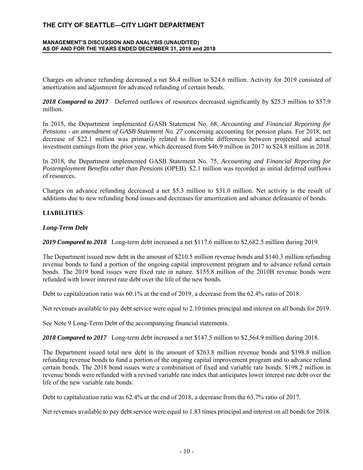#### **MANAGEMENT'S DISCUSSION AND ANALYSIS (UNAUDITED) AS OF AND FOR THE YEARS ENDED DECEMBER 31, 2019 and 2018**

Charges on advance refunding decreased a net \$6.4 million to \$24.6 million. Activity for 2019 consisted of amortization and adjustment for advanced refunding of certain bonds.

2018 Compared to 2017 Deferred outflows of resources decreased significantly by \$25.3 million to \$57.9 million.

In 2015, the Department implemented GASB Statement No. 68, *Accounting and Financial Reporting for Pensions - an amendment of GASB Statement No. 27* concerning accounting for pension plans. For 2018, net decrease of \$22.1 million was primarily related to favorable differences between projected and actual investment earnings from the prior year, which decreased from \$46.9 million in 2017 to \$24.8 million in 2018.

In 2018, the Department implemented GASB Statement No. 75, *Accounting and Financial Reporting for Postemployment Benefits other than Pensions* (OPEB)*.* \$2.1 million was recorded as initial deferred outflows of resources.

Charges on advance refunding decreased a net \$5.3 million to \$31.0 million. Net activity is the result of additions due to new refunding bond issues and decreases for amortization and advance defeasance of bonds.

### **LIABILITIES**

#### *Long-Term Debt*

*2019 Compared to 2018* Long-term debt increased a net \$117.6 million to \$2,682.5 million during 2019.

The Department issued new debt in the amount of \$210.5 million revenue bonds and \$140.3 million refunding revenue bonds to fund a portion of the ongoing capital improvement program and to advance refund certain bonds. The 2019 bond issues were fixed rate in nature. \$155.8 million of the 2010B revenue bonds were refunded with lower interest rate debt over the life of the new bonds.

Debt to capitalization ratio was 60.1% at the end of 2019, a decrease from the 62.4% ratio of 2018.

Net revenues available to pay debt service were equal to 2.10 times principal and interest on all bonds for 2019.

See Note 9 Long-Term Debt of the accompanying financial statements.

*2018 Compared to 2017* Long-term debt increased a net \$147.5 million to \$2,564.9 million during 2018.

The Department issued total new debt in the amount of \$263.8 million revenue bonds and \$198.8 million refunding revenue bonds to fund a portion of the ongoing capital improvement program and to advance refund certain bonds. The 2018 bond issues were a combination of fixed and variable rate bonds. \$198.2 million in revenue bonds were refunded with a revised variable rate index that anticipates lower interest rate debt over the life of the new variable rate bonds.

Debt to capitalization ratio was 62.4% at the end of 2018, a decrease from the 63.7% ratio of 2017.

Net revenues available to pay debt service were equal to 1.83 times principal and interest on all bonds for 2018.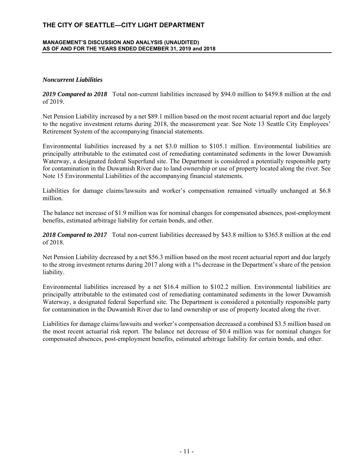#### **MANAGEMENT'S DISCUSSION AND ANALYSIS (UNAUDITED) AS OF AND FOR THE YEARS ENDED DECEMBER 31, 2019 and 2018**

#### *Noncurrent Liabilities*

*2019 Compared to 2018* Total non-current liabilities increased by \$94.0 million to \$459.8 million at the end of 2019.

Net Pension Liability increased by a net \$89.1 million based on the most recent actuarial report and due largely to the negative investment returns during 2018, the measurement year. See Note 13 Seattle City Employees' Retirement System of the accompanying financial statements.

Environmental liabilities increased by a net \$3.0 million to \$105.1 million. Environmental liabilities are principally attributable to the estimated cost of remediating contaminated sediments in the lower Duwamish Waterway, a designated federal Superfund site. The Department is considered a potentially responsible party for contamination in the Duwamish River due to land ownership or use of property located along the river. See Note 15 Environmental Liabilities of the accompanying financial statements.

Liabilities for damage claims/lawsuits and worker's compensation remained virtually unchanged at \$6.8 million.

The balance net increase of \$1.9 million was for nominal changes for compensated absences, post-employment benefits, estimated arbitrage liability for certain bonds, and other.

*2018 Compared to 2017* Total non-current liabilities decreased by \$43.8 million to \$365.8 million at the end of 2018.

Net Pension Liability decreased by a net \$56.3 million based on the most recent actuarial report and due largely to the strong investment returns during 2017 along with a 1% decrease in the Department's share of the pension liability.

Environmental liabilities increased by a net \$16.4 million to \$102.2 million. Environmental liabilities are principally attributable to the estimated cost of remediating contaminated sediments in the lower Duwamish Waterway, a designated federal Superfund site. The Department is considered a potentially responsible party for contamination in the Duwamish River due to land ownership or use of property located along the river.

Liabilities for damage claims/lawsuits and worker's compensation decreased a combined \$3.5 million based on the most recent actuarial risk report. The balance net decrease of \$0.4 million was for nominal changes for compensated absences, post-employment benefits, estimated arbitrage liability for certain bonds, and other.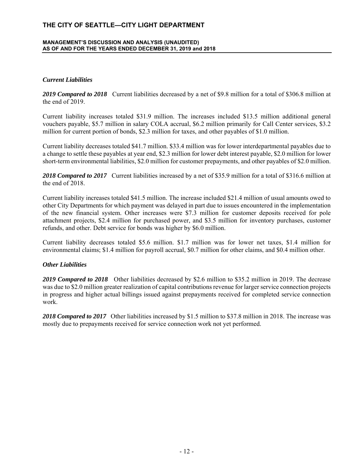#### **MANAGEMENT'S DISCUSSION AND ANALYSIS (UNAUDITED) AS OF AND FOR THE YEARS ENDED DECEMBER 31, 2019 and 2018**

### *Current Liabilities*

*2019 Compared to 2018* Current liabilities decreased by a net of \$9.8 million for a total of \$306.8 million at the end of 2019.

Current liability increases totaled \$31.9 million. The increases included \$13.5 million additional general vouchers payable, \$5.7 million in salary COLA accrual, \$6.2 million primarily for Call Center services, \$3.2 million for current portion of bonds, \$2.3 million for taxes, and other payables of \$1.0 million.

Current liability decreases totaled \$41.7 million. \$33.4 million was for lower interdepartmental payables due to a change to settle these payables at year end, \$2.3 million for lower debt interest payable, \$2.0 million for lower short-term environmental liabilities, \$2.0 million for customer prepayments, and other payables of \$2.0 million.

*2018 Compared to 2017* Current liabilities increased by a net of \$35.9 million for a total of \$316.6 million at the end of 2018.

Current liability increases totaled \$41.5 million. The increase included \$21.4 million of usual amounts owed to other City Departments for which payment was delayed in part due to issues encountered in the implementation of the new financial system. Other increases were \$7.3 million for customer deposits received for pole attachment projects, \$2.4 million for purchased power, and \$3.5 million for inventory purchases, customer refunds, and other. Debt service for bonds was higher by \$6.0 million.

Current liability decreases totaled \$5.6 million. \$1.7 million was for lower net taxes, \$1.4 million for environmental claims; \$1.4 million for payroll accrual, \$0.7 million for other claims, and \$0.4 million other.

#### *Other Liabilities*

*2019 Compared to 2018* Other liabilities decreased by \$2.6 million to \$35.2 million in 2019. The decrease was due to \$2.0 million greater realization of capital contributions revenue for larger service connection projects in progress and higher actual billings issued against prepayments received for completed service connection work.

*2018 Compared to 2017* Other liabilities increased by \$1.5 million to \$37.8 million in 2018. The increase was mostly due to prepayments received for service connection work not yet performed.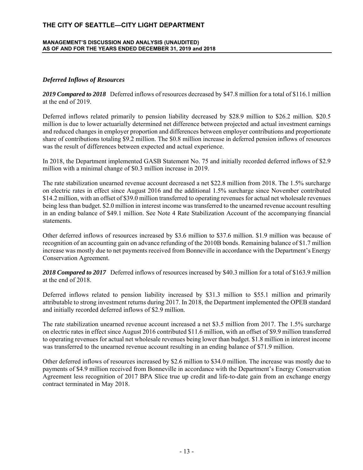#### **MANAGEMENT'S DISCUSSION AND ANALYSIS (UNAUDITED) AS OF AND FOR THE YEARS ENDED DECEMBER 31, 2019 and 2018**

#### *Deferred Inflows of Resources*

*2019 Compared to 2018* Deferred inflows of resources decreased by \$47.8 million for a total of \$116.1 million at the end of 2019.

Deferred inflows related primarily to pension liability decreased by \$28.9 million to \$26.2 million. \$20.5 million is due to lower actuarially determined net difference between projected and actual investment earnings and reduced changes in employer proportion and differences between employer contributions and proportionate share of contributions totaling \$9.2 million. The \$0.8 million increase in deferred pension inflows of resources was the result of differences between expected and actual experience.

In 2018, the Department implemented GASB Statement No. 75 and initially recorded deferred inflows of \$2.9 million with a minimal change of \$0.3 million increase in 2019.

The rate stabilization unearned revenue account decreased a net \$22.8 million from 2018. The 1.5% surcharge on electric rates in effect since August 2016 and the additional 1.5% surcharge since November contributed \$14.2 million, with an offset of \$39.0 million transferred to operating revenues for actual net wholesale revenues being less than budget. \$2.0 million in interest income was transferred to the unearned revenue account resulting in an ending balance of \$49.1 million. See Note 4 Rate Stabilization Account of the accompanying financial statements.

Other deferred inflows of resources increased by \$3.6 million to \$37.6 million. \$1.9 million was because of recognition of an accounting gain on advance refunding of the 2010B bonds. Remaining balance of \$1.7 million increase was mostly due to net payments received from Bonneville in accordance with the Department's Energy Conservation Agreement.

*2018 Compared to 2017* Deferred inflows of resources increased by \$40.3 million for a total of \$163.9 million at the end of 2018.

Deferred inflows related to pension liability increased by \$31.3 million to \$55.1 million and primarily attributable to strong investment returns during 2017. In 2018, the Department implemented the OPEB standard and initially recorded deferred inflows of \$2.9 million.

The rate stabilization unearned revenue account increased a net \$3.5 million from 2017. The 1.5% surcharge on electric rates in effect since August 2016 contributed \$11.6 million, with an offset of \$9.9 million transferred to operating revenues for actual net wholesale revenues being lower than budget. \$1.8 million in interest income was transferred to the unearned revenue account resulting in an ending balance of \$71.9 million.

Other deferred inflows of resources increased by \$2.6 million to \$34.0 million. The increase was mostly due to payments of \$4.9 million received from Bonneville in accordance with the Department's Energy Conservation Agreement less recognition of 2017 BPA Slice true up credit and life-to-date gain from an exchange energy contract terminated in May 2018.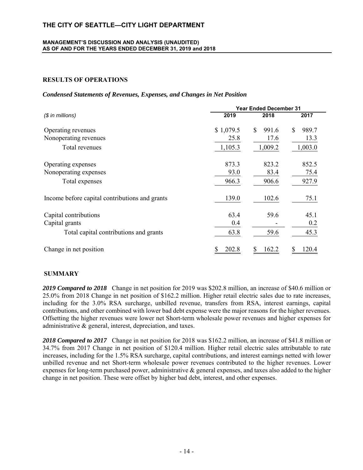#### **MANAGEMENT'S DISCUSSION AND ANALYSIS (UNAUDITED) AS OF AND FOR THE YEARS ENDED DECEMBER 31, 2019 and 2018**

### **RESULTS OF OPERATIONS**

#### *Condensed Statements of Revenues, Expenses, and Changes in Net Position*

|                                                |             | <b>Year Ended December 31</b> |             |  |  |  |
|------------------------------------------------|-------------|-------------------------------|-------------|--|--|--|
| $($$ in millions)                              | 2019        | 2018                          | 2017        |  |  |  |
| Operating revenues                             | \$1,079.5   | \$<br>991.6                   | \$<br>989.7 |  |  |  |
| Nonoperating revenues                          | 25.8        | 17.6                          | 13.3        |  |  |  |
| Total revenues                                 | 1,105.3     | 1,009.2                       | 1,003.0     |  |  |  |
| Operating expenses                             | 873.3       | 823.2                         | 852.5       |  |  |  |
| Nonoperating expenses                          | 93.0        | 83.4                          | 75.4        |  |  |  |
| Total expenses                                 | 966.3       | 906.6                         | 927.9       |  |  |  |
| Income before capital contributions and grants | 139.0       | 102.6                         | 75.1        |  |  |  |
| Capital contributions                          | 63.4        | 59.6                          | 45.1        |  |  |  |
| Capital grants                                 | 0.4         |                               | 0.2         |  |  |  |
| Total capital contributions and grants         | 63.8        | 59.6                          | 45.3        |  |  |  |
| Change in net position                         | 202.8<br>\$ | 162.2<br>\$                   | 120.4<br>\$ |  |  |  |

#### **SUMMARY**

*2019 Compared to 2018* Change in net position for 2019 was \$202.8 million, an increase of \$40.6 million or 25.0% from 2018 Change in net position of \$162.2 million. Higher retail electric sales due to rate increases, including for the 3.0% RSA surcharge, unbilled revenue, transfers from RSA, interest earnings, capital contributions, and other combined with lower bad debt expense were the major reasons for the higher revenues. Offsetting the higher revenues were lower net Short-term wholesale power revenues and higher expenses for administrative & general, interest, depreciation, and taxes.

*2018 Compared to 2017* Change in net position for 2018 was \$162.2 million, an increase of \$41.8 million or 34.7% from 2017 Change in net position of \$120.4 million. Higher retail electric sales attributable to rate increases, including for the 1.5% RSA surcharge, capital contributions, and interest earnings netted with lower unbilled revenue and net Short-term wholesale power revenues contributed to the higher revenues. Lower expenses for long-term purchased power, administrative & general expenses, and taxes also added to the higher change in net position. These were offset by higher bad debt, interest, and other expenses.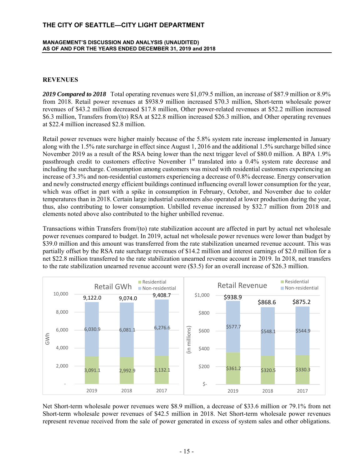#### **MANAGEMENT'S DISCUSSION AND ANALYSIS (UNAUDITED) AS OF AND FOR THE YEARS ENDED DECEMBER 31, 2019 and 2018**

#### **REVENUES**

*2019 Compared to 2018* Total operating revenues were \$1,079.5 million, an increase of \$87.9 million or 8.9% from 2018. Retail power revenues at \$938.9 million increased \$70.3 million, Short-term wholesale power revenues of \$43.2 million decreased \$17.8 million, Other power-related revenues at \$52.2 million increased \$6.3 million, Transfers from/(to) RSA at \$22.8 million increased \$26.3 million, and Other operating revenues at \$22.4 million increased \$2.8 million.

Retail power revenues were higher mainly because of the 5.8% system rate increase implemented in January along with the 1.5% rate surcharge in effect since August 1, 2016 and the additional 1.5% surcharge billed since November 2019 as a result of the RSA being lower than the next trigger level of \$80.0 million. A BPA 1.9% passthrough credit to customers effective November 1<sup>st</sup> translated into a 0.4% system rate decrease and including the surcharge. Consumption among customers was mixed with residential customers experiencing an increase of 3.3% and non-residential customers experiencing a decrease of 0.8% decrease. Energy conservation and newly constructed energy efficient buildings continued influencing overall lower consumption for the year, which was offset in part with a spike in consumption in February, October, and November due to colder temperatures than in 2018. Certain large industrial customers also operated at lower production during the year, thus, also contributing to lower consumption. Unbilled revenue increased by \$32.7 million from 2018 and elements noted above also contributed to the higher unbilled revenue.

Transactions within Transfers from/(to) rate stabilization account are affected in part by actual net wholesale power revenues compared to budget. In 2019, actual net wholesale power revenues were lower than budget by \$39.0 million and this amount was transferred from the rate stabilization unearned revenue account. This was partially offset by the RSA rate surcharge revenues of \$14.2 million and interest earnings of \$2.0 million for a net \$22.8 million transferred to the rate stabilization unearned revenue account in 2019. In 2018, net transfers to the rate stabilization unearned revenue account were (\$3.5) for an overall increase of \$26.3 million.



Net Short-term wholesale power revenues were \$8.9 million, a decrease of \$33.6 million or 79.1% from net Short-term wholesale power revenues of \$42.5 million in 2018. Net Short-term wholesale power revenues represent revenue received from the sale of power generated in excess of system sales and other obligations.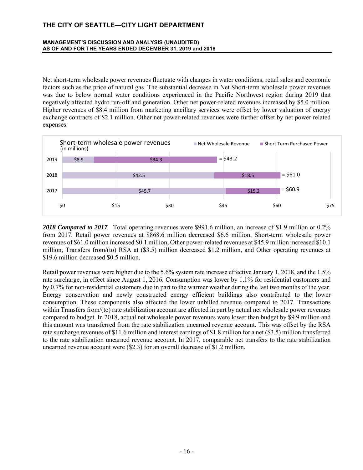#### **MANAGEMENT'S DISCUSSION AND ANALYSIS (UNAUDITED) AS OF AND FOR THE YEARS ENDED DECEMBER 31, 2019 and 2018**

Net short-term wholesale power revenues fluctuate with changes in water conditions, retail sales and economic factors such as the price of natural gas. The substantial decrease in Net Short-term wholesale power revenues was due to below normal water conditions experienced in the Pacific Northwest region during 2019 that negatively affected hydro run-off and generation. Other net power-related revenues increased by \$5.0 million. Higher revenues of \$8.4 million from marketing ancillary services were offset by lower valuation of energy exchange contracts of \$2.1 million. Other net power-related revenues were further offset by net power related expenses.



*2018 Compared to 2017* Total operating revenues were \$991.6 million, an increase of \$1.9 million or 0.2% from 2017. Retail power revenues at \$868.6 million decreased \$6.6 million, Short-term wholesale power revenues of \$61.0 million increased \$0.1 million, Other power-related revenues at \$45.9 million increased \$10.1 million, Transfers from/(to) RSA at (\$3.5) million decreased \$1.2 million, and Other operating revenues at \$19.6 million decreased \$0.5 million.

Retail power revenues were higher due to the 5.6% system rate increase effective January 1, 2018, and the 1.5% rate surcharge, in effect since August 1, 2016. Consumption was lower by 1.1% for residential customers and by 0.7% for non-residential customers due in part to the warmer weather during the last two months of the year. Energy conservation and newly constructed energy efficient buildings also contributed to the lower consumption. These components also affected the lower unbilled revenue compared to 2017. Transactions within Transfers from/(to) rate stabilization account are affected in part by actual net wholesale power revenues compared to budget. In 2018, actual net wholesale power revenues were lower than budget by \$9.9 million and this amount was transferred from the rate stabilization unearned revenue account. This was offset by the RSA rate surcharge revenues of \$11.6 million and interest earnings of \$1.8 million for a net (\$3.5) million transferred to the rate stabilization unearned revenue account. In 2017, comparable net transfers to the rate stabilization unearned revenue account were (\$2.3) for an overall decrease of \$1.2 million.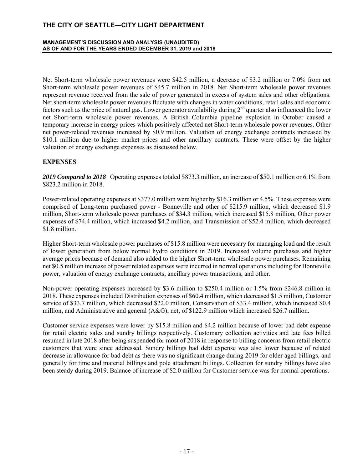#### **MANAGEMENT'S DISCUSSION AND ANALYSIS (UNAUDITED) AS OF AND FOR THE YEARS ENDED DECEMBER 31, 2019 and 2018**

Net Short-term wholesale power revenues were \$42.5 million, a decrease of \$3.2 million or 7.0% from net Short-term wholesale power revenues of \$45.7 million in 2018. Net Short-term wholesale power revenues represent revenue received from the sale of power generated in excess of system sales and other obligations. Net short-term wholesale power revenues fluctuate with changes in water conditions, retail sales and economic factors such as the price of natural gas. Lower generator availability during  $2<sup>nd</sup>$  quarter also influenced the lower net Short-term wholesale power revenues. A British Columbia pipeline explosion in October caused a temporary increase in energy prices which positively affected net Short-term wholesale power revenues. Other net power-related revenues increased by \$0.9 million. Valuation of energy exchange contracts increased by \$10.1 million due to higher market prices and other ancillary contracts. These were offset by the higher valuation of energy exchange expenses as discussed below.

### **EXPENSES**

*2019 Compared to 2018* Operating expenses totaled \$873.3 million, an increase of \$50.1 million or 6.1% from \$823.2 million in 2018.

Power-related operating expenses at \$377.0 million were higher by \$16.3 million or 4.5%. These expenses were comprised of Long-term purchased power - Bonneville and other of \$215.9 million, which decreased \$1.9 million, Short-term wholesale power purchases of \$34.3 million, which increased \$15.8 million, Other power expenses of \$74.4 million, which increased \$4.2 million, and Transmission of \$52.4 million, which decreased \$1.8 million.

Higher Short-term wholesale power purchases of \$15.8 million were necessary for managing load and the result of lower generation from below normal hydro conditions in 2019. Increased volume purchases and higher average prices because of demand also added to the higher Short-term wholesale power purchases. Remaining net \$0.5 million increase of power related expenses were incurred in normal operations including for Bonneville power, valuation of energy exchange contracts, ancillary power transactions, and other.

Non-power operating expenses increased by \$3.6 million to \$250.4 million or 1.5% from \$246.8 million in 2018. These expenses included Distribution expenses of \$60.4 million, which decreased \$1.5 million, Customer service of \$33.7 million, which decreased \$22.0 million, Conservation of \$33.4 million, which increased \$0.4 million, and Administrative and general (A&G), net, of \$122.9 million which increased \$26.7 million.

Customer service expenses were lower by \$15.8 million and \$4.2 million because of lower bad debt expense for retail electric sales and sundry billings respectively. Customary collection activities and late fees billed resumed in late 2018 after being suspended for most of 2018 in response to billing concerns from retail electric customers that were since addressed. Sundry billings bad debt expense was also lower because of related decrease in allowance for bad debt as there was no significant change during 2019 for older aged billings, and generally for time and material billings and pole attachment billings. Collection for sundry billings have also been steady during 2019. Balance of increase of \$2.0 million for Customer service was for normal operations.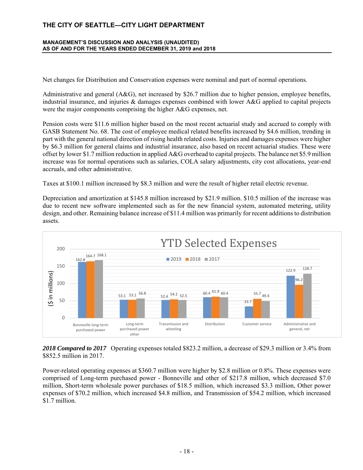#### **MANAGEMENT'S DISCUSSION AND ANALYSIS (UNAUDITED) AS OF AND FOR THE YEARS ENDED DECEMBER 31, 2019 and 2018**

Net changes for Distribution and Conservation expenses were nominal and part of normal operations.

Administrative and general (A&G), net increased by \$26.7 million due to higher pension, employee benefits, industrial insurance, and injuries & damages expenses combined with lower A&G applied to capital projects were the major components comprising the higher A&G expenses, net.

Pension costs were \$11.6 million higher based on the most recent actuarial study and accrued to comply with GASB Statement No. 68. The cost of employee medical related benefits increased by \$4.6 million, trending in part with the general national direction of rising health related costs. Injuries and damages expenses were higher by \$6.3 million for general claims and industrial insurance, also based on recent actuarial studies. These were offset by lower \$1.7 million reduction in applied A&G overhead to capital projects. The balance net \$5.9 million increase was for normal operations such as salaries, COLA salary adjustments, city cost allocations, year-end accruals, and other administrative.

Taxes at \$100.1 million increased by \$8.3 million and were the result of higher retail electric revenue.

Depreciation and amortization at \$145.8 million increased by \$21.9 million. \$10.5 million of the increase was due to recent new software implemented such as for the new financial system, automated metering, utility design, and other. Remaining balance increase of \$11.4 million was primarily for recent additions to distribution assets.



*2018 Compared to 2017* Operating expenses totaled \$823.2 million, a decrease of \$29.3 million or 3.4% from \$852.5 million in 2017.

Power-related operating expenses at \$360.7 million were higher by \$2.8 million or 0.8%. These expenses were comprised of Long-term purchased power - Bonneville and other of \$217.8 million, which decreased \$7.0 million, Short-term wholesale power purchases of \$18.5 million, which increased \$3.3 million, Other power expenses of \$70.2 million, which increased \$4.8 million, and Transmission of \$54.2 million, which increased \$1.7 million.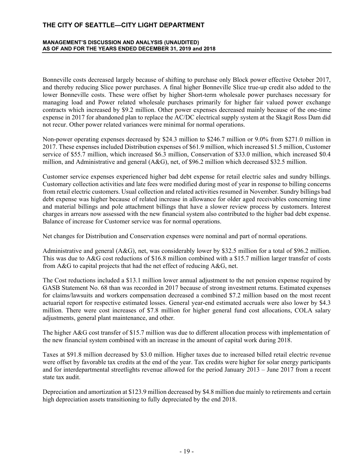#### **MANAGEMENT'S DISCUSSION AND ANALYSIS (UNAUDITED) AS OF AND FOR THE YEARS ENDED DECEMBER 31, 2019 and 2018**

Bonneville costs decreased largely because of shifting to purchase only Block power effective October 2017, and thereby reducing Slice power purchases. A final higher Bonneville Slice true-up credit also added to the lower Bonneville costs. These were offset by higher Short-term wholesale power purchases necessary for managing load and Power related wholesale purchases primarily for higher fair valued power exchange contracts which increased by \$9.2 million. Other power expenses decreased mainly because of the one-time expense in 2017 for abandoned plan to replace the AC/DC electrical supply system at the Skagit Ross Dam did not recur. Other power related variances were minimal for normal operations.

Non-power operating expenses decreased by \$24.3 million to \$246.7 million or 9.0% from \$271.0 million in 2017. These expenses included Distribution expenses of \$61.9 million, which increased \$1.5 million, Customer service of \$55.7 million, which increased \$6.3 million, Conservation of \$33.0 million, which increased \$0.4 million, and Administrative and general (A&G), net, of \$96.2 million which decreased \$32.5 million.

Customer service expenses experienced higher bad debt expense for retail electric sales and sundry billings. Customary collection activities and late fees were modified during most of year in response to billing concerns from retail electric customers. Usual collection and related activities resumed in November. Sundry billings bad debt expense was higher because of related increase in allowance for older aged receivables concerning time and material billings and pole attachment billings that have a slower review process by customers. Interest charges in arrears now assessed with the new financial system also contributed to the higher bad debt expense. Balance of increase for Customer service was for normal operations.

Net changes for Distribution and Conservation expenses were nominal and part of normal operations.

Administrative and general (A&G), net, was considerably lower by \$32.5 million for a total of \$96.2 million. This was due to A&G cost reductions of \$16.8 million combined with a \$15.7 million larger transfer of costs from A&G to capital projects that had the net effect of reducing A&G, net.

The Cost reductions included a \$13.1 million lower annual adjustment to the net pension expense required by GASB Statement No. 68 than was recorded in 2017 because of strong investment returns. Estimated expenses for claims/lawsuits and workers compensation decreased a combined \$7.2 million based on the most recent actuarial report for respective estimated losses. General year-end estimated accruals were also lower by \$4.3 million. There were cost increases of \$7.8 million for higher general fund cost allocations, COLA salary adjustments, general plant maintenance, and other.

The higher A&G cost transfer of \$15.7 million was due to different allocation process with implementation of the new financial system combined with an increase in the amount of capital work during 2018.

Taxes at \$91.8 million decreased by \$3.0 million. Higher taxes due to increased billed retail electric revenue were offset by favorable tax credits at the end of the year. Tax credits were higher for solar energy participants and for interdepartmental streetlights revenue allowed for the period January 2013 – June 2017 from a recent state tax audit.

Depreciation and amortization at \$123.9 million decreased by \$4.8 million due mainly to retirements and certain high depreciation assets transitioning to fully depreciated by the end 2018.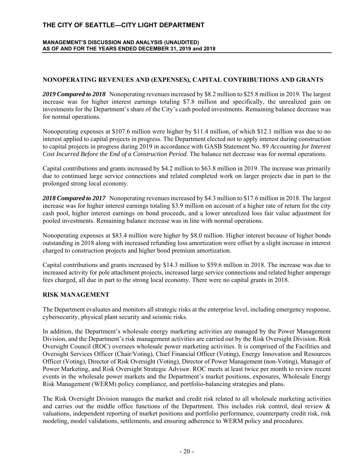#### **MANAGEMENT'S DISCUSSION AND ANALYSIS (UNAUDITED) AS OF AND FOR THE YEARS ENDED DECEMBER 31, 2019 and 2018**

#### **NONOPERATING REVENUES AND (EXPENSES), CAPITAL CONTRIBUTIONS AND GRANTS**

*2019 Compared to 2018* Nonoperating revenues increased by \$8.2 million to \$25.8 million in 2019. The largest increase was for higher interest earnings totaling \$7.8 million and specifically, the unrealized gain on investments for the Department's share of the City's cash pooled investments. Remaining balance decrease was for normal operations.

Nonoperating expenses at \$107.6 million were higher by \$11.4 million, of which \$12.1 million was due to no interest applied to capital projects in progress. The Department elected not to apply interest during construction to capital projects in progress during 2019 in accordance with GASB Statement No. 89 *Accounting for Interest Cost Incurred Before the End of a Construction Period*. The balance net decrease was for normal operations.

Capital contributions and grants increased by \$4.2 million to \$63.8 million in 2019. The increase was primarily due to continued large service connections and related completed work on larger projects due in part to the prolonged strong local economy.

*2018 Compared to 2017* Nonoperating revenues increased by \$4.3 million to \$17.6 million in 2018. The largest increase was for higher interest earnings totaling \$3.9 million on account of a higher rate of return for the city cash pool, higher interest earnings on bond proceeds, and a lower unrealized loss fair value adjustment for pooled investments. Remaining balance increase was in line with normal operations.

Nonoperating expenses at \$83.4 million were higher by \$8.0 million. Higher interest because of higher bonds outstanding in 2018 along with increased refunding loss amortization were offset by a slight increase in interest charged to construction projects and higher bond premium amortization.

Capital contributions and grants increased by \$14.3 million to \$59.6 million in 2018. The increase was due to increased activity for pole attachment projects, increased large service connections and related higher amperage fees charged, all due in part to the strong local economy. There were no capital grants in 2018.

#### **RISK MANAGEMENT**

The Department evaluates and monitors all strategic risks at the enterprise level, including emergency response, cybersecurity, physical plant security and seismic risks.

In addition, the Department's wholesale energy marketing activities are managed by the Power Management Division, and the Department's risk management activities are carried out by the Risk Oversight Division. Risk Oversight Council (ROC) oversees wholesale power marketing activities. It is comprised of the Facilities and Oversight Services Officer (Chair/Voting), Chief Financial Officer (Voting), Energy Innovation and Resources Officer (Voting), Director of Risk Oversight (Voting), Director of Power Management (non-Voting), Manager of Power Marketing, and Risk Oversight Strategic Advisor. ROC meets at least twice per month to review recent events in the wholesale power markets and the Department's market positions, exposures, Wholesale Energy Risk Management (WERM) policy compliance, and portfolio-balancing strategies and plans.

The Risk Oversight Division manages the market and credit risk related to all wholesale marketing activities and carries out the middle office functions of the Department. This includes risk control, deal review & valuations, independent reporting of market positions and portfolio performance, counterparty credit risk, risk modeling, model validations, settlements, and ensuring adherence to WERM policy and procedures.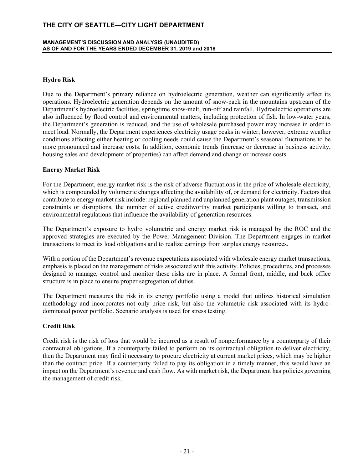#### **MANAGEMENT'S DISCUSSION AND ANALYSIS (UNAUDITED) AS OF AND FOR THE YEARS ENDED DECEMBER 31, 2019 and 2018**

#### **Hydro Risk**

Due to the Department's primary reliance on hydroelectric generation, weather can significantly affect its operations. Hydroelectric generation depends on the amount of snow-pack in the mountains upstream of the Department's hydroelectric facilities, springtime snow-melt, run-off and rainfall. Hydroelectric operations are also influenced by flood control and environmental matters, including protection of fish. In low-water years, the Department's generation is reduced, and the use of wholesale purchased power may increase in order to meet load. Normally, the Department experiences electricity usage peaks in winter; however, extreme weather conditions affecting either heating or cooling needs could cause the Department's seasonal fluctuations to be more pronounced and increase costs. In addition, economic trends (increase or decrease in business activity, housing sales and development of properties) can affect demand and change or increase costs.

#### **Energy Market Risk**

For the Department, energy market risk is the risk of adverse fluctuations in the price of wholesale electricity, which is compounded by volumetric changes affecting the availability of, or demand for electricity. Factors that contribute to energy market risk include: regional planned and unplanned generation plant outages, transmission constraints or disruptions, the number of active creditworthy market participants willing to transact, and environmental regulations that influence the availability of generation resources.

The Department's exposure to hydro volumetric and energy market risk is managed by the ROC and the approved strategies are executed by the Power Management Division. The Department engages in market transactions to meet its load obligations and to realize earnings from surplus energy resources.

With a portion of the Department's revenue expectations associated with wholesale energy market transactions, emphasis is placed on the management of risks associated with this activity. Policies, procedures, and processes designed to manage, control and monitor these risks are in place. A formal front, middle, and back office structure is in place to ensure proper segregation of duties.

The Department measures the risk in its energy portfolio using a model that utilizes historical simulation methodology and incorporates not only price risk, but also the volumetric risk associated with its hydrodominated power portfolio. Scenario analysis is used for stress testing.

#### **Credit Risk**

Credit risk is the risk of loss that would be incurred as a result of nonperformance by a counterparty of their contractual obligations. If a counterparty failed to perform on its contractual obligation to deliver electricity, then the Department may find it necessary to procure electricity at current market prices, which may be higher than the contract price. If a counterparty failed to pay its obligation in a timely manner, this would have an impact on the Department's revenue and cash flow. As with market risk, the Department has policies governing the management of credit risk.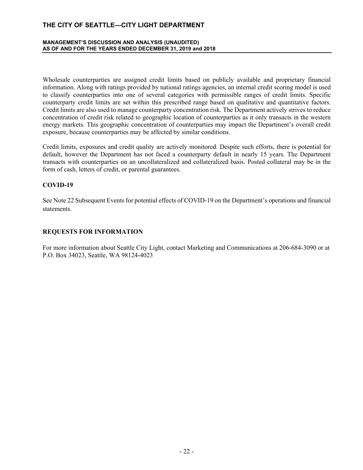#### **MANAGEMENT'S DISCUSSION AND ANALYSIS (UNAUDITED) AS OF AND FOR THE YEARS ENDED DECEMBER 31, 2019 and 2018**

Wholesale counterparties are assigned credit limits based on publicly available and proprietary financial information. Along with ratings provided by national ratings agencies, an internal credit scoring model is used to classify counterparties into one of several categories with permissible ranges of credit limits. Specific counterparty credit limits are set within this prescribed range based on qualitative and quantitative factors. Credit limits are also used to manage counterparty concentration risk. The Department actively strives to reduce concentration of credit risk related to geographic location of counterparties as it only transacts in the western energy markets. This geographic concentration of counterparties may impact the Department's overall credit exposure, because counterparties may be affected by similar conditions.

Credit limits, exposures and credit quality are actively monitored. Despite such efforts, there is potential for default, however the Department has not faced a counterparty default in nearly 15 years. The Department transacts with counterparties on an uncollateralized and collateralized basis. Posted collateral may be in the form of cash, letters of credit, or parental guarantees.

### **COVID-19**

See Note 22 Subsequent Events for potential effects of COVID-19 on the Department's operations and financial statements.

#### **REQUESTS FOR INFORMATION**

For more information about Seattle City Light, contact Marketing and Communications at 206-684-3090 or at P.O. Box 34023, Seattle, WA 98124-4023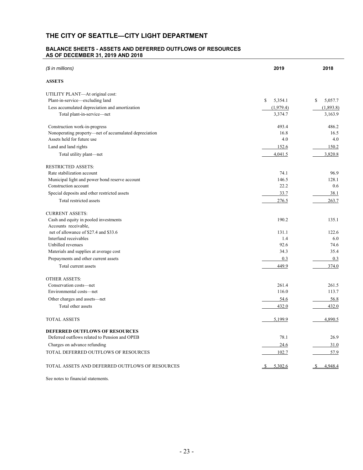#### **BALANCE SHEETS - ASSETS AND DEFERRED OUTFLOWS OF RESOURCES AS OF DECEMBER 31, 2019 AND 2018**

| $$$ in millions)                                      | 2019          | 2018          |
|-------------------------------------------------------|---------------|---------------|
| <b>ASSETS</b>                                         |               |               |
| UTILITY PLANT-At original cost:                       |               |               |
| Plant-in-service-excluding land                       | \$<br>5,354.1 | \$<br>5,057.7 |
| Less accumulated depreciation and amortization        | (1,979.4)     | (1,893.8)     |
| Total plant-in-service-net                            | 3,374.7       | 3,163.9       |
| Construction work-in-progress                         | 493.4         | 486.2         |
| Nonoperating property-net of accumulated depreciation | 16.8          | 16.5          |
| Assets held for future use                            | 4.0           | 4.0           |
| Land and land rights                                  | 152.6         | 150.2         |
| Total utility plant-net                               | 4,041.5       | 3,820.8       |
| <b>RESTRICTED ASSETS:</b>                             |               |               |
| Rate stabilization account                            | 74.1          | 96.9          |
| Municipal light and power bond reserve account        | 146.5         | 128.1         |
| Construction account                                  | 22.2          | 0.6           |
| Special deposits and other restricted assets          | 33.7          | 38.1          |
| Total restricted assets                               | 276.5         | 263.7         |
| <b>CURRENT ASSETS:</b>                                |               |               |
| Cash and equity in pooled investments                 | 190.2         | 135.1         |
| Accounts receivable,                                  |               |               |
| net of allowance of \$27.4 and \$33.6                 | 131.1         | 122.6         |
| Interfund receivables                                 | 1.4           | 6.0           |
| Unbilled revenues                                     | 92.6          | 74.6          |
| Materials and supplies at average cost                | 34.3          | 35.4          |
| Prepayments and other current assets                  | 0.3           | 0.3           |
| Total current assets                                  | 449.9         | 374.0         |
| <b>OTHER ASSETS:</b>                                  |               |               |
| Conservation costs—net                                | 261.4         | 261.5         |
| Environmental costs-net                               | 116.0         | 113.7         |
| Other charges and assets-net                          | 54.6          | 56.8          |
| Total other assets                                    | 432.0         | 432.0         |
| <b>TOTAL ASSETS</b>                                   | 5.199.9       | 4,890.5       |
| <b>DEFERRED OUTFLOWS OF RESOURCES</b>                 |               |               |
| Deferred outflows related to Pension and OPEB         | 78.1          | 26.9          |
| Charges on advance refunding                          | 24.6          | 31.0          |
| TOTAL DEFERRED OUTFLOWS OF RESOURCES                  | 102.7         | 57.9          |
| TOTAL ASSETS AND DEFERRED OUTFLOWS OF RESOURCES       | 5,302.6       | 4,948.4       |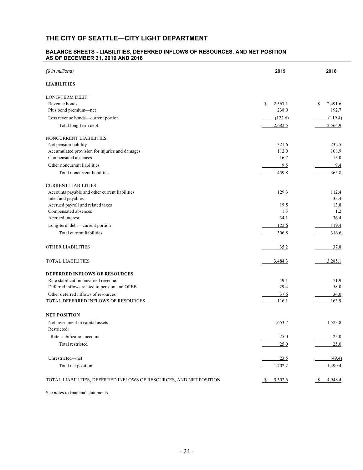#### **BALANCE SHEETS - LIABILITIES, DEFERRED INFLOWS OF RESOURCES, AND NET POSITION AS OF DECEMBER 31, 2019 AND 2018**

| $$$ in millions)                                                   | 2019          | 2018          |
|--------------------------------------------------------------------|---------------|---------------|
| <b>LIABILITIES</b>                                                 |               |               |
| LONG-TERM DEBT:                                                    |               |               |
| Revenue bonds                                                      | \$<br>2,567.1 | \$<br>2,491.6 |
| Plus bond premium-net                                              | 238.0         | 192.7         |
| Less revenue bonds-current portion                                 | (122.6)       | (119.4)       |
| Total long-term debt                                               | 2,682.5       | 2,564.9       |
| NONCURRENT LIABILITIES:                                            |               |               |
| Net pension liability                                              | 321.6         | 232.5         |
| Accumulated provision for injuries and damages                     | 112.0         | 108.9         |
| Compensated absences                                               | 16.7          | 15.0          |
| Other noncurrent liabilities                                       | 9.5           | 9.4           |
| Total noncurrent liabilities                                       | 459.8         | 365.8         |
| <b>CURRENT LIABILITIES:</b>                                        |               |               |
| Accounts payable and other current liabilities                     | 129.3         | 112.4         |
| Interfund payables                                                 | ÷,            | 33.4          |
| Accrued payroll and related taxes                                  | 19.5          | 13.8          |
| Compensated absences                                               | 1.3           | 1.2           |
| Accrued interest                                                   | 34.1          | 36.4          |
| Long-term debt-current portion                                     | 122.6         | 119.4         |
| Total current liabilities                                          | 306.8         | 316.6         |
| OTHER LIABILITIES                                                  | 35.2          | 37.8          |
| <b>TOTAL LIABILITIES</b>                                           | 3,484.3       | 3,285.1       |
| <b>DEFERRED INFLOWS OF RESOURCES</b>                               |               |               |
| Rate stabilization unearned revenue                                | 49.1          | 71.9          |
| Deferred inflows related to pension and OPEB                       | 29.4          | 58.0          |
| Other deferred inflows of resources                                | 37.6          | 34.0          |
| TOTAL DEFERRED INFLOWS OF RESOURCES                                | 116.1         | 163.9         |
| <b>NET POSITION</b>                                                |               |               |
| Net investment in capital assets<br>Restricted:                    | 1,653.7       | 1,523.8       |
| Rate stabilization account                                         | 25.0          | 25.0          |
| Total restricted                                                   | 25.0          | 25.0          |
|                                                                    |               |               |
| Unrestricted-net                                                   | 23.5          | (49.4)        |
| Total net position                                                 | 1,702.2       | 1,499.4       |
| TOTAL LIABILITIES, DEFERRED INFLOWS OF RESOURCES, AND NET POSITION | 5,302.6<br>S. | 4,948.4       |
|                                                                    |               |               |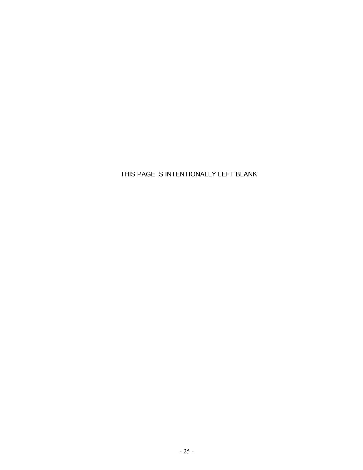## THIS PAGE IS INTENTIONALLY LEFT BLANK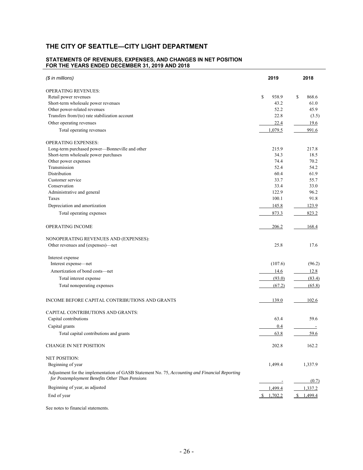#### **STATEMENTS OF REVENUES, EXPENSES, AND CHANGES IN NET POSITION FOR THE YEARS ENDED DECEMBER 31, 2019 AND 2018**

| $($$ in millions)                                                                                                                                 | 2019        | 2018                 |
|---------------------------------------------------------------------------------------------------------------------------------------------------|-------------|----------------------|
| <b>OPERATING REVENUES:</b>                                                                                                                        |             |                      |
| Retail power revenues                                                                                                                             | \$<br>938.9 | $\mathbf S$<br>868.6 |
| Short-term wholesale power revenues                                                                                                               | 43.2        | 61.0                 |
| Other power-related revenues                                                                                                                      | 52.2        | 45.9                 |
| Transfers from/(to) rate stabilization account                                                                                                    | 22.8        | (3.5)                |
| Other operating revenues                                                                                                                          | 22.4        | 19.6                 |
| Total operating revenues                                                                                                                          | 1,079.5     | 991.6                |
| <b>OPERATING EXPENSES:</b>                                                                                                                        |             |                      |
| Long-term purchased power-Bonneville and other                                                                                                    | 215.9       | 217.8                |
| Short-term wholesale power purchases                                                                                                              | 34.3        | 18.5                 |
| Other power expenses                                                                                                                              | 74.4        | 70.2                 |
| Transmission                                                                                                                                      | 52.4        | 54.2                 |
| Distribution                                                                                                                                      | 60.4        | 61.9                 |
| Customer service                                                                                                                                  | 33.7        | 55.7                 |
| Conservation                                                                                                                                      | 33.4        | 33.0                 |
| Administrative and general                                                                                                                        | 122.9       | 96.2                 |
| Taxes                                                                                                                                             | 100.1       | 91.8                 |
| Depreciation and amortization                                                                                                                     | 145.8       | 123.9                |
| Total operating expenses                                                                                                                          | 873.3       | 823.2                |
| OPERATING INCOME                                                                                                                                  | 206.2       | 168.4                |
| NONOPERATING REVENUES AND (EXPENSES):                                                                                                             |             |                      |
| Other revenues and (expenses)—net                                                                                                                 | 25.8        | 17.6                 |
| Interest expense                                                                                                                                  |             |                      |
| Interest expense—net                                                                                                                              | (107.6)     | (96.2)               |
| Amortization of bond costs-net                                                                                                                    | 14.6        | 12.8                 |
| Total interest expense                                                                                                                            | (93.0)      | (83.4)               |
| Total nonoperating expenses                                                                                                                       | (67.2)      | (65.8)               |
| INCOME BEFORE CAPITAL CONTRIBUTIONS AND GRANTS                                                                                                    | 139.0       | 102.6                |
| CAPITAL CONTRIBUTIONS AND GRANTS:                                                                                                                 |             |                      |
| Capital contributions                                                                                                                             | 63.4        | 59.6                 |
| Capital grants                                                                                                                                    | 0.4         |                      |
| Total capital contributions and grants                                                                                                            | 63.8        | 59.6                 |
|                                                                                                                                                   |             |                      |
| CHANGE IN NET POSITION                                                                                                                            | 202.8       | 162.2                |
| <b>NET POSITION:</b>                                                                                                                              |             |                      |
| Beginning of year                                                                                                                                 | 1,499.4     | 1,337.9              |
| Adjustment for the implementation of GASB Statement No. 75, Accounting and Financial Reporting<br>for Postemployment Benefits Other Than Pensions |             |                      |
| Beginning of year, as adjusted                                                                                                                    |             | (0.7)                |
|                                                                                                                                                   | 1,499.4     | 1,337.2              |
| End of year                                                                                                                                       | \$1,702.2   | 1,499.4              |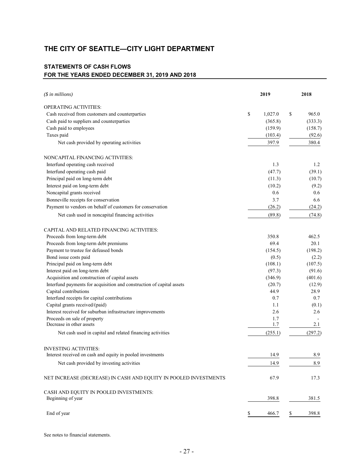### **STATEMENTS OF CASH FLOWS FOR THE YEARS ENDED DECEMBER 31, 2019 AND 2018**

| $(S \in \mathbb{N})$ in millions)                                     | 2019          | 2018        |
|-----------------------------------------------------------------------|---------------|-------------|
| OPERATING ACTIVITIES:                                                 |               |             |
| Cash received from customers and counterparties                       | \$<br>1,027.0 | \$<br>965.0 |
| Cash paid to suppliers and counterparties                             | (365.8)       | (333.3)     |
| Cash paid to employees                                                | (159.9)       | (158.7)     |
| Taxes paid                                                            | (103.4)       | (92.6)      |
| Net cash provided by operating activities                             | 397.9         | 380.4       |
| NONCAPITAL FINANCING ACTIVITIES:                                      |               |             |
| Interfund operating cash received                                     | 1.3           | 1.2         |
| Interfund operating cash paid                                         | (47.7)        | (39.1)      |
| Principal paid on long-term debt                                      | (11.3)        | (10.7)      |
| Interest paid on long-term debt                                       | (10.2)        | (9.2)       |
| Noncapital grants received                                            | 0.6           | 0.6         |
| Bonneville receipts for conservation                                  | 3.7           | 6.6         |
| Payment to vendors on behalf of customers for conservation            | (26.2)        | (24.2)      |
| Net cash used in noncapital financing activities                      | (89.8)        | (74.8)      |
| CAPITAL AND RELATED FINANCING ACTIVITIES:                             |               |             |
| Proceeds from long-term debt                                          | 350.8         | 462.5       |
| Proceeds from long-term debt premiums                                 | 69.4          | 20.1        |
| Payment to trustee for defeased bonds                                 | (154.5)       | (198.2)     |
| Bond issue costs paid                                                 | (0.5)         | (2.2)       |
| Principal paid on long-term debt                                      | (108.1)       | (107.5)     |
| Interest paid on long-term debt                                       | (97.3)        | (91.6)      |
| Acquisition and construction of capital assets                        | (346.9)       | (401.6)     |
| Interfund payments for acquisition and construction of capital assets | (20.7)        | (12.9)      |
| Capital contributions                                                 | 44.9          | 28.9        |
| Interfund receipts for capital contributions                          | 0.7           | 0.7         |
| Capital grants received/(paid)                                        | 1.1           | (0.1)       |
| Interest received for suburban infrastructure improvements            | 2.6           | 2.6         |
| Proceeds on sale of property                                          | 1.7           |             |
| Decrease in other assets                                              | 1.7           | 2.1         |
| Net cash used in capital and related financing activities             | (255.1)       | (297.2)     |
| <b>INVESTING ACTIVITIES:</b>                                          |               |             |
| Interest received on cash and equity in pooled investments            | 14.9          | 8.9         |
| Net cash provided by investing activities                             | 14.9          | 8.9         |
| NET INCREASE (DECREASE) IN CASH AND EQUITY IN POOLED INVESTMENTS      | 67.9          | 17.3        |
| CASH AND EQUITY IN POOLED INVESTMENTS:                                |               |             |
| Beginning of year                                                     | 398.8         | 381.5       |
| End of year                                                           | 466.7         | \$<br>398.8 |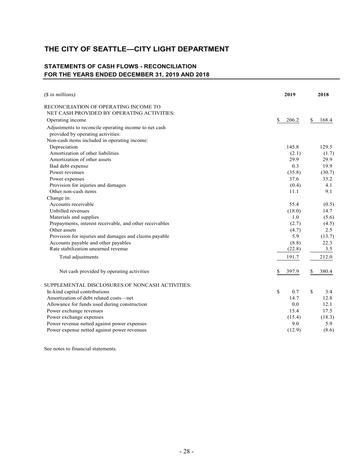### **STATEMENTS OF CASH FLOWS - RECONCILIATION FOR THE YEARS ENDED DECEMBER 31, 2019 AND 2018**

| $(\$ in millions)$                                      | 2019        | 2018        |
|---------------------------------------------------------|-------------|-------------|
| RECONCILIATION OF OPERATING INCOME TO                   |             |             |
| NET CASH PROVIDED BY OPERATING ACTIVITIES:              |             |             |
| Operating income                                        | \$<br>206.2 | \$<br>168.4 |
| Adjustments to reconcile operating income to net cash   |             |             |
| provided by operating activities:                       |             |             |
| Non-cash items included in operating income:            |             |             |
| Depreciation                                            | 145.8       | 129.5       |
| Amortization of other liabilities                       | (2.1)       | (1.7)       |
| Amortization of other assets                            | 29.9        | 29.9        |
| Bad debt expense                                        | 0.3         | 19.9        |
| Power revenues                                          | (35.8)      | (30.7)      |
| Power expenses                                          | 37.6        | 33.2        |
| Provision for injuries and damages                      | (0.4)       | 4.1         |
| Other non-cash items                                    | 11.1        | 9.1         |
| Change in:                                              |             |             |
| Accounts receivable                                     | 55.4        | (0.5)       |
| Unbilled revenues                                       | (18.0)      | 14.7        |
| Materials and supplies                                  | 1.0         | (5.6)       |
| Prepayments, interest receivable, and other receivables | (2.7)       | (4.5)       |
| Other assets                                            | (4.7)       | 2.5         |
| Provision for injuries and damages and claims payable   | 5.9         | (13.7)      |
| Accounts payable and other payables                     | (8.8)       | 22.3        |
| Rate stabilization unearned revenue                     | (22.8)      | 3.5         |
| Total adjustments                                       | 191.7       | 212.0       |
| Net cash provided by operating activities               | 397.9<br>\$ | \$<br>380.4 |
| SUPPLEMENTAL DISCLOSURES OF NONCASH ACTIVITIES:         |             |             |
| In-kind capital contributions                           | \$<br>0.7   | \$<br>3.4   |
| Amortization of debt related costs-net                  | 14.7        | 12.8        |
| Allowance for funds used during construction            | 0.0         | 12.1        |
| Power exchange revenues                                 | 15.4        | 17.5        |
| Power exchange expenses                                 | (15.4)      | (18.3)      |
| Power revenue netted against power expenses             | 9.0         | 5.9         |
| Power expense netted against power revenues             | (12.9)      | (8.6)       |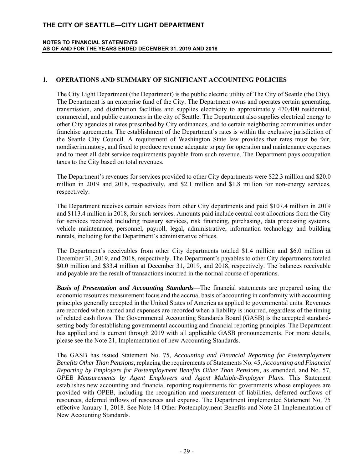#### **NOTES TO FINANCIAL STATEMENTS AS OF AND FOR THE YEARS ENDED DECEMBER 31, 2019 AND 2018**

#### **1. OPERATIONS AND SUMMARY OF SIGNIFICANT ACCOUNTING POLICIES**

The City Light Department (the Department) is the public electric utility of The City of Seattle (the City). The Department is an enterprise fund of the City. The Department owns and operates certain generating, transmission, and distribution facilities and supplies electricity to approximately 470,400 residential, commercial, and public customers in the city of Seattle. The Department also supplies electrical energy to other City agencies at rates prescribed by City ordinances, and to certain neighboring communities under franchise agreements. The establishment of the Department's rates is within the exclusive jurisdiction of the Seattle City Council. A requirement of Washington State law provides that rates must be fair, nondiscriminatory, and fixed to produce revenue adequate to pay for operation and maintenance expenses and to meet all debt service requirements payable from such revenue. The Department pays occupation taxes to the City based on total revenues.

The Department's revenues for services provided to other City departments were \$22.3 million and \$20.0 million in 2019 and 2018, respectively, and \$2.1 million and \$1.8 million for non-energy services, respectively.

The Department receives certain services from other City departments and paid \$107.4 million in 2019 and \$113.4 million in 2018, for such services. Amounts paid include central cost allocations from the City for services received including treasury services, risk financing, purchasing, data processing systems, vehicle maintenance, personnel, payroll, legal, administrative, information technology and building rentals, including for the Department's administrative offices.

The Department's receivables from other City departments totaled \$1.4 million and \$6.0 million at December 31, 2019, and 2018, respectively. The Department's payables to other City departments totaled \$0.0 million and \$33.4 million at December 31, 2019, and 2018, respectively. The balances receivable and payable are the result of transactions incurred in the normal course of operations.

*Basis of Presentation and Accounting Standards*—The financial statements are prepared using the economic resources measurement focus and the accrual basis of accounting in conformity with accounting principles generally accepted in the United States of America as applied to governmental units. Revenues are recorded when earned and expenses are recorded when a liability is incurred, regardless of the timing of related cash flows. The Governmental Accounting Standards Board (GASB) is the accepted standardsetting body for establishing governmental accounting and financial reporting principles. The Department has applied and is current through 2019 with all applicable GASB pronouncements. For more details, please see the Note 21, Implementation of new Accounting Standards.

The GASB has issued Statement No. 75, *Accounting and Financial Reporting for Postemployment Benefits Other Than Pensions*, replacing the requirements of Statements No. 45, *Accounting and Financial Reporting by Employers for Postemployment Benefits Other Than Pensions*, as amended, and No. 57, *OPEB Measurements by Agent Employers and Agent Multiple-Employer Plans*. This Statement establishes new accounting and financial reporting requirements for governments whose employees are provided with OPEB, including the recognition and measurement of liabilities, deferred outflows of resources, deferred inflows of resources and expense. The Department implemented Statement No. 75 effective January 1, 2018. See Note 14 Other Postemployment Benefits and Note 21 Implementation of New Accounting Standards.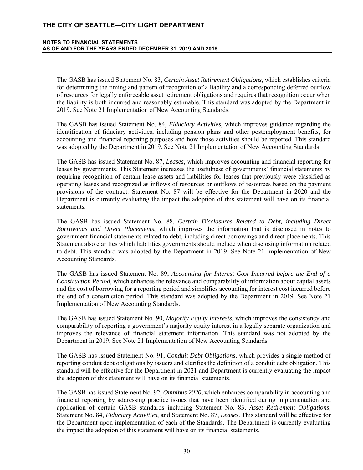#### **NOTES TO FINANCIAL STATEMENTS AS OF AND FOR THE YEARS ENDED DECEMBER 31, 2019 AND 2018**

The GASB has issued Statement No. 83, *Certain Asset Retirement Obligations*, which establishes criteria for determining the timing and pattern of recognition of a liability and a corresponding deferred outflow of resources for legally enforceable asset retirement obligations and requires that recognition occur when the liability is both incurred and reasonably estimable. This standard was adopted by the Department in 2019. See Note 21 Implementation of New Accounting Standards.

The GASB has issued Statement No. 84, *Fiduciary Activities*, which improves guidance regarding the identification of fiduciary activities, including pension plans and other postemployment benefits, for accounting and financial reporting purposes and how those activities should be reported. This standard was adopted by the Department in 2019. See Note 21 Implementation of New Accounting Standards.

The GASB has issued Statement No. 87, *Leases*, which improves accounting and financial reporting for leases by governments. This Statement increases the usefulness of governments' financial statements by requiring recognition of certain lease assets and liabilities for leases that previously were classified as operating leases and recognized as inflows of resources or outflows of resources based on the payment provisions of the contract. Statement No. 87 will be effective for the Department in 2020 and the Department is currently evaluating the impact the adoption of this statement will have on its financial statements.

The GASB has issued Statement No. 88, *Certain Disclosures Related to Debt, including Direct Borrowings and Direct Placements*, which improves the information that is disclosed in notes to government financial statements related to debt, including direct borrowings and direct placements. This Statement also clarifies which liabilities governments should include when disclosing information related to debt. This standard was adopted by the Department in 2019. See Note 21 Implementation of New Accounting Standards.

The GASB has issued Statement No. 89, *Accounting for Interest Cost Incurred before the End of a Construction Period*, which enhances the relevance and comparability of information about capital assets and the cost of borrowing for a reporting period and simplifies accounting for interest cost incurred before the end of a construction period. This standard was adopted by the Department in 2019. See Note 21 Implementation of New Accounting Standards.

The GASB has issued Statement No. 90, *Majority Equity Interests*, which improves the consistency and comparability of reporting a government's majority equity interest in a legally separate organization and improves the relevance of financial statement information. This standard was not adopted by the Department in 2019. See Note 21 Implementation of New Accounting Standards.

The GASB has issued Statement No. 91, *Conduit Debt Obligations*, which provides a single method of reporting conduit debt obligations by issuers and clarifies the definition of a conduit debt obligation. This standard will be effective for the Department in 2021 and Department is currently evaluating the impact the adoption of this statement will have on its financial statements.

The GASB has issued Statement No. 92, *Omnibus 2020*, which enhances comparability in accounting and financial reporting by addressing practice issues that have been identified during implementation and application of certain GASB standards including Statement No. 83, *Asset Retirement Obligations,*  Statement No. 84, *Fiduciary Activities*, and Statement No. 87, *Leases*. This standard will be effective for the Department upon implementation of each of the Standards. The Department is currently evaluating the impact the adoption of this statement will have on its financial statements.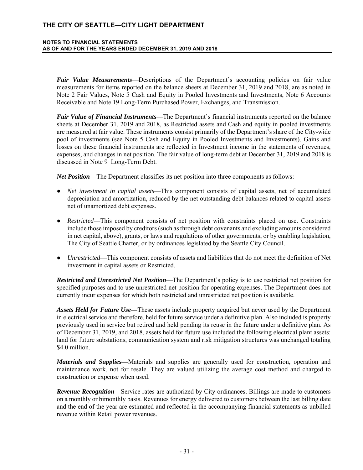#### **NOTES TO FINANCIAL STATEMENTS AS OF AND FOR THE YEARS ENDED DECEMBER 31, 2019 AND 2018**

*Fair Value Measurements*—Descriptions of the Department's accounting policies on fair value measurements for items reported on the balance sheets at December 31, 2019 and 2018, are as noted in Note 2 Fair Values, Note 5 Cash and Equity in Pooled Investments and Investments, Note 6 Accounts Receivable and Note 19 Long-Term Purchased Power, Exchanges, and Transmission.

*Fair Value of Financial Instruments*—The Department's financial instruments reported on the balance sheets at December 31, 2019 and 2018, as Restricted assets and Cash and equity in pooled investments are measured at fair value. These instruments consist primarily of the Department's share of the City-wide pool of investments (see Note 5 Cash and Equity in Pooled Investments and Investments). Gains and losses on these financial instruments are reflected in Investment income in the statements of revenues, expenses, and changes in net position. The fair value of long-term debt at December 31, 2019 and 2018 is discussed in Note 9 Long-Term Debt.

*Net Position*—The Department classifies its net position into three components as follows:

- *Net investment in capital assets*—This component consists of capital assets, net of accumulated depreciation and amortization, reduced by the net outstanding debt balances related to capital assets net of unamortized debt expenses.
- *Restricted*—This component consists of net position with constraints placed on use. Constraints include those imposed by creditors (such as through debt covenants and excluding amounts considered in net capital, above), grants, or laws and regulations of other governments, or by enabling legislation, The City of Seattle Charter, or by ordinances legislated by the Seattle City Council.
- *Unrestricted*—This component consists of assets and liabilities that do not meet the definition of Net investment in capital assets or Restricted.

*Restricted and Unrestricted Net Position*—The Department's policy is to use restricted net position for specified purposes and to use unrestricted net position for operating expenses. The Department does not currently incur expenses for which both restricted and unrestricted net position is available.

*Assets Held for Future Use—*These assets include property acquired but never used by the Department in electrical service and therefore, held for future service under a definitive plan. Also included is property previously used in service but retired and held pending its reuse in the future under a definitive plan. As of December 31, 2019, and 2018, assets held for future use included the following electrical plant assets: land for future substations, communication system and risk mitigation structures was unchanged totaling \$4.0 million.

*Materials and Supplies—*Materials and supplies are generally used for construction, operation and maintenance work, not for resale. They are valued utilizing the average cost method and charged to construction or expense when used.

*Revenue Recognition—*Service rates are authorized by City ordinances. Billings are made to customers on a monthly or bimonthly basis. Revenues for energy delivered to customers between the last billing date and the end of the year are estimated and reflected in the accompanying financial statements as unbilled revenue within Retail power revenues.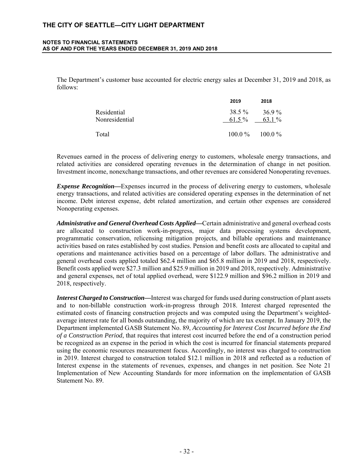#### **NOTES TO FINANCIAL STATEMENTS AS OF AND FOR THE YEARS ENDED DECEMBER 31, 2019 AND 2018**

The Department's customer base accounted for electric energy sales at December 31, 2019 and 2018, as follows:

|                               | 2019            | 2018                |
|-------------------------------|-----------------|---------------------|
| Residential<br>Nonresidential | 38.5%<br>61.5 % | 36.9%<br>63.1 %     |
| Total                         |                 | $100.0\%$ $100.0\%$ |

Revenues earned in the process of delivering energy to customers, wholesale energy transactions, and related activities are considered operating revenues in the determination of change in net position. Investment income, nonexchange transactions, and other revenues are considered Nonoperating revenues.

*Expense Recognition—*Expenses incurred in the process of delivering energy to customers, wholesale energy transactions, and related activities are considered operating expenses in the determination of net income. Debt interest expense, debt related amortization, and certain other expenses are considered Nonoperating expenses.

*Administrative and General Overhead Costs Applied—*Certain administrative and general overhead costs are allocated to construction work-in-progress, major data processing systems development, programmatic conservation, relicensing mitigation projects, and billable operations and maintenance activities based on rates established by cost studies. Pension and benefit costs are allocated to capital and operations and maintenance activities based on a percentage of labor dollars. The administrative and general overhead costs applied totaled \$62.4 million and \$65.8 million in 2019 and 2018, respectively. Benefit costs applied were \$27.3 million and \$25.9 million in 2019 and 2018, respectively. Administrative and general expenses, net of total applied overhead, were \$122.9 million and \$96.2 million in 2019 and 2018, respectively.

*Interest Charged to Construction—*Interest was charged for funds used during construction of plant assets and to non-billable construction work-in-progress through 2018. Interest charged represented the estimated costs of financing construction projects and was computed using the Department's weightedaverage interest rate for all bonds outstanding, the majority of which are tax exempt. In January 2019, the Department implemented GASB Statement No. 89, *Accounting for Interest Cost Incurred before the End of a Construction Period*, that requires that interest cost incurred before the end of a construction period be recognized as an expense in the period in which the cost is incurred for financial statements prepared using the economic resources measurement focus. Accordingly, no interest was charged to construction in 2019. Interest charged to construction totaled \$12.1 million in 2018 and reflected as a reduction of Interest expense in the statements of revenues, expenses, and changes in net position. See Note 21 Implementation of New Accounting Standards for more information on the implementation of GASB Statement No. 89.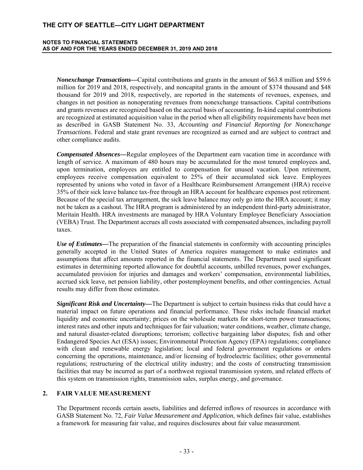### **NOTES TO FINANCIAL STATEMENTS AS OF AND FOR THE YEARS ENDED DECEMBER 31, 2019 AND 2018**

*Nonexchange Transactions—*Capital contributions and grants in the amount of \$63.8 million and \$59.6 million for 2019 and 2018, respectively, and noncapital grants in the amount of \$374 thousand and \$48 thousand for 2019 and 2018, respectively, are reported in the statements of revenues, expenses, and changes in net position as nonoperating revenues from nonexchange transactions. Capital contributions and grants revenues are recognized based on the accrual basis of accounting. In-kind capital contributions are recognized at estimated acquisition value in the period when all eligibility requirements have been met as described in GASB Statement No. 33, *Accounting and Financial Reporting for Nonexchange Transactions*. Federal and state grant revenues are recognized as earned and are subject to contract and other compliance audits.

*Compensated Absences—*Regular employees of the Department earn vacation time in accordance with length of service. A maximum of 480 hours may be accumulated for the most tenured employees and, upon termination, employees are entitled to compensation for unused vacation. Upon retirement, employees receive compensation equivalent to 25% of their accumulated sick leave. Employees represented by unions who voted in favor of a Healthcare Reimbursement Arrangement (HRA) receive 35% of their sick leave balance tax-free through an HRA account for healthcare expenses post retirement. Because of the special tax arrangement, the sick leave balance may only go into the HRA account; it may not be taken as a cashout. The HRA program is administered by an independent third-party administrator, Meritain Health. HRA investments are managed by HRA Voluntary Employee Beneficiary Association (VEBA) Trust. The Department accrues all costs associated with compensated absences, including payroll taxes.

*Use of Estimates—*The preparation of the financial statements in conformity with accounting principles generally accepted in the United States of America requires management to make estimates and assumptions that affect amounts reported in the financial statements. The Department used significant estimates in determining reported allowance for doubtful accounts, unbilled revenues, power exchanges, accumulated provision for injuries and damages and workers' compensation, environmental liabilities, accrued sick leave, net pension liability, other postemployment benefits, and other contingencies. Actual results may differ from those estimates.

*Significant Risk and Uncertainty—*The Department is subject to certain business risks that could have a material impact on future operations and financial performance. These risks include financial market liquidity and economic uncertainty; prices on the wholesale markets for short-term power transactions; interest rates and other inputs and techniques for fair valuation; water conditions, weather, climate change, and natural disaster-related disruptions; terrorism; collective bargaining labor disputes; fish and other Endangered Species Act (ESA) issues; Environmental Protection Agency (EPA) regulations; compliance with clean and renewable energy legislation; local and federal government regulations or orders concerning the operations, maintenance, and/or licensing of hydroelectric facilities; other governmental regulations; restructuring of the electrical utility industry; and the costs of constructing transmission facilities that may be incurred as part of a northwest regional transmission system, and related effects of this system on transmission rights, transmission sales, surplus energy, and governance.

### **2. FAIR VALUE MEASUREMENT**

The Department records certain assets, liabilities and deferred inflows of resources in accordance with GASB Statement No. 72, *Fair Value Measurement and Application*, which defines fair value, establishes a framework for measuring fair value, and requires disclosures about fair value measurement.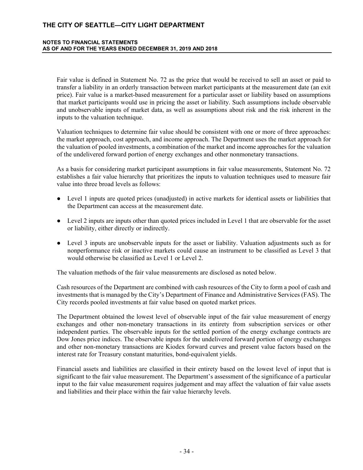### **NOTES TO FINANCIAL STATEMENTS AS OF AND FOR THE YEARS ENDED DECEMBER 31, 2019 AND 2018**

Fair value is defined in Statement No. 72 as the price that would be received to sell an asset or paid to transfer a liability in an orderly transaction between market participants at the measurement date (an exit price). Fair value is a market-based measurement for a particular asset or liability based on assumptions that market participants would use in pricing the asset or liability. Such assumptions include observable and unobservable inputs of market data, as well as assumptions about risk and the risk inherent in the inputs to the valuation technique.

Valuation techniques to determine fair value should be consistent with one or more of three approaches: the market approach, cost approach, and income approach. The Department uses the market approach for the valuation of pooled investments, a combination of the market and income approaches for the valuation of the undelivered forward portion of energy exchanges and other nonmonetary transactions.

As a basis for considering market participant assumptions in fair value measurements, Statement No. 72 establishes a fair value hierarchy that prioritizes the inputs to valuation techniques used to measure fair value into three broad levels as follows:

- Level 1 inputs are quoted prices (unadjusted) in active markets for identical assets or liabilities that the Department can access at the measurement date.
- Level 2 inputs are inputs other than quoted prices included in Level 1 that are observable for the asset or liability, either directly or indirectly.
- Level 3 inputs are unobservable inputs for the asset or liability. Valuation adjustments such as for nonperformance risk or inactive markets could cause an instrument to be classified as Level 3 that would otherwise be classified as Level 1 or Level 2.

The valuation methods of the fair value measurements are disclosed as noted below.

Cash resources of the Department are combined with cash resources of the City to form a pool of cash and investments that is managed by the City's Department of Finance and Administrative Services (FAS). The City records pooled investments at fair value based on quoted market prices.

The Department obtained the lowest level of observable input of the fair value measurement of energy exchanges and other non-monetary transactions in its entirety from subscription services or other independent parties. The observable inputs for the settled portion of the energy exchange contracts are Dow Jones price indices. The observable inputs for the undelivered forward portion of energy exchanges and other non-monetary transactions are Kiodex forward curves and present value factors based on the interest rate for Treasury constant maturities, bond-equivalent yields.

Financial assets and liabilities are classified in their entirety based on the lowest level of input that is significant to the fair value measurement. The Department's assessment of the significance of a particular input to the fair value measurement requires judgement and may affect the valuation of fair value assets and liabilities and their place within the fair value hierarchy levels.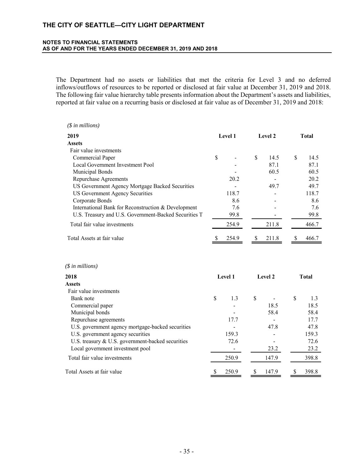### **NOTES TO FINANCIAL STATEMENTS AS OF AND FOR THE YEARS ENDED DECEMBER 31, 2019 AND 2018**

The Department had no assets or liabilities that met the criteria for Level 3 and no deferred inflows/outflows of resources to be reported or disclosed at fair value at December 31, 2019 and 2018. The following fair value hierarchy table presents information about the Department's assets and liabilities, reported at fair value on a recurring basis or disclosed at fair value as of December 31, 2019 and 2018:

| $(\text{\$ in millions})$                             |                |                |              |
|-------------------------------------------------------|----------------|----------------|--------------|
| 2019                                                  | Level 1        | Level 2        | <b>Total</b> |
| <b>Assets</b>                                         |                |                |              |
| Fair value investments                                |                |                |              |
| Commercial Paper                                      | \$             | \$<br>14.5     | \$<br>14.5   |
| Local Government Investment Pool                      |                | 87.1           | 87.1         |
| <b>Municipal Bonds</b>                                |                | 60.5           | 60.5         |
| Repurchase Agreements                                 | 20.2           |                | 20.2         |
| US Government Agency Mortgage Backed Securities       |                | 49.7           | 49.7         |
| US Government Agency Securities                       | 118.7          |                | 118.7        |
| Corporate Bonds                                       | 8.6            |                | 8.6          |
| International Bank for Reconstruction & Development   | 7.6            |                | 7.6          |
| U.S. Treasury and U.S. Government-Backed Securities T | 99.8           |                | 99.8         |
| Total fair value investments                          | 254.9          | 211.8          | 466.7        |
| Total Assets at fair value                            | 254.9          | 211.8          | 466.7        |
| $(S \in \mathbb{N})$ in millions)                     |                |                |              |
| 2018                                                  | <b>Level 1</b> | <b>Level 2</b> | <b>Total</b> |

| 2010                                              |     | LUI 1 | 11.VU 4 |       |   | 1 vtal |  |
|---------------------------------------------------|-----|-------|---------|-------|---|--------|--|
| <b>Assets</b>                                     |     |       |         |       |   |        |  |
| Fair value investments                            |     |       |         |       |   |        |  |
| Bank note                                         | \$. | 1.3   | \$      |       | S | 1.3    |  |
| Commercial paper                                  |     |       |         | 18.5  |   | 18.5   |  |
| Municipal bonds                                   |     |       |         | 58.4  |   | 58.4   |  |
| Repurchase agreements                             |     | 17.7  |         |       |   | 17.7   |  |
| U.S. government agency mortgage-backed securities |     |       |         | 47.8  |   | 47.8   |  |
| U.S. government agency securities                 |     | 159.3 |         |       |   | 159.3  |  |
| U.S. treasury & U.S. government-backed securities |     | 72.6  |         |       |   | 72.6   |  |
| Local government investment pool                  |     |       |         | 23.2  |   | 23.2   |  |
| Total fair value investments                      |     | 250.9 |         | 147.9 |   | 398.8  |  |
| Total Assets at fair value                        | S   | 250.9 | S       | 147.9 |   | 398.8  |  |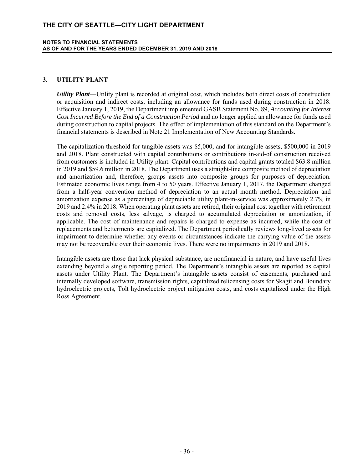#### **NOTES TO FINANCIAL STATEMENTS AS OF AND FOR THE YEARS ENDED DECEMBER 31, 2019 AND 2018**

## **3. UTILITY PLANT**

*Utility Plant*—Utility plant is recorded at original cost, which includes both direct costs of construction or acquisition and indirect costs, including an allowance for funds used during construction in 2018. Effective January 1, 2019, the Department implemented GASB Statement No. 89, *Accounting for Interest Cost Incurred Before the End of a Construction Period* and no longer applied an allowance for funds used during construction to capital projects. The effect of implementation of this standard on the Department's financial statements is described in Note 21 Implementation of New Accounting Standards.

The capitalization threshold for tangible assets was \$5,000, and for intangible assets, \$500,000 in 2019 and 2018. Plant constructed with capital contributions or contributions in-aid-of construction received from customers is included in Utility plant. Capital contributions and capital grants totaled \$63.8 million in 2019 and \$59.6 million in 2018. The Department uses a straight-line composite method of depreciation and amortization and, therefore, groups assets into composite groups for purposes of depreciation. Estimated economic lives range from 4 to 50 years. Effective January 1, 2017, the Department changed from a half-year convention method of depreciation to an actual month method. Depreciation and amortization expense as a percentage of depreciable utility plant-in-service was approximately 2.7% in 2019 and 2.4% in 2018. When operating plant assets are retired, their original cost together with retirement costs and removal costs, less salvage, is charged to accumulated depreciation or amortization, if applicable. The cost of maintenance and repairs is charged to expense as incurred, while the cost of replacements and betterments are capitalized. The Department periodically reviews long-lived assets for impairment to determine whether any events or circumstances indicate the carrying value of the assets may not be recoverable over their economic lives. There were no impairments in 2019 and 2018.

Intangible assets are those that lack physical substance, are nonfinancial in nature, and have useful lives extending beyond a single reporting period. The Department's intangible assets are reported as capital assets under Utility Plant. The Department's intangible assets consist of easements, purchased and internally developed software, transmission rights, capitalized relicensing costs for Skagit and Boundary hydroelectric projects, Tolt hydroelectric project mitigation costs, and costs capitalized under the High Ross Agreement.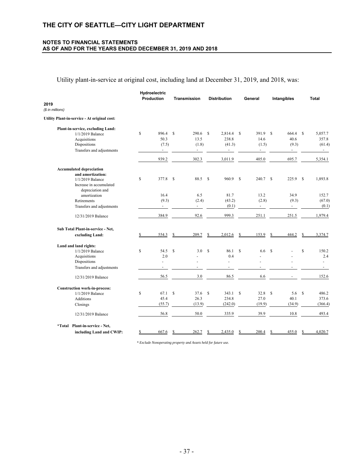### **NOTES TO FINANCIAL STATEMENTS AS OF AND FOR THE YEARS ENDED DECEMBER 31, 2019 AND 2018**

Utility plant-in-service at original cost, including land at December 31, 2019, and 2018, was:

|                                              | Hydroelectric<br><b>Production</b> |             | <b>Transmission</b>      |               | <b>Distribution</b> |    | General        |               | Intangibles    |              | <b>Total</b>             |
|----------------------------------------------|------------------------------------|-------------|--------------------------|---------------|---------------------|----|----------------|---------------|----------------|--------------|--------------------------|
| 2019                                         |                                    |             |                          |               |                     |    |                |               |                |              |                          |
| (\$ in millions)                             |                                    |             |                          |               |                     |    |                |               |                |              |                          |
| Utility Plant-in-service - At original cost: |                                    |             |                          |               |                     |    |                |               |                |              |                          |
| Plant-in-service, excluding Land:            |                                    |             |                          |               |                     |    |                |               |                |              |                          |
| 1/1/2019 Balance                             | \$<br>896.4                        | \$          | 290.6                    | <sup>\$</sup> | 2,814.4             | \$ | 391.9          | \$            | 664.4          | <sup>S</sup> | 5,057.7                  |
| Acquisitions                                 | 50.3                               |             | 13.5                     |               | 238.8               |    | 14.6           |               | 40.6           |              | 357.8                    |
| Dispositions                                 | (7.5)                              |             | (1.8)                    |               | (41.3)              |    | (1.5)          |               | (9.3)          |              | (61.4)                   |
| Transfers and adjustments                    | ÷,                                 |             | ä,                       |               | L.                  |    | $\sim$         |               | $\overline{a}$ |              | $\blacksquare$           |
|                                              | 939.2                              |             | 302.3                    |               | 3,011.9             |    | 405.0          |               | 695.7          |              | 5,354.1                  |
| <b>Accumulated depreciation</b>              |                                    |             |                          |               |                     |    |                |               |                |              |                          |
| and amortization:                            |                                    |             |                          |               |                     |    |                |               |                |              |                          |
| 1/1/2019 Balance                             | \$<br>377.8                        | - S         | 88.5                     | <sup>S</sup>  | 960.9               | S  | 240.7          | <sup>\$</sup> | 225.9          | - S          | 1,893.8                  |
| Increase in accumulated<br>depreciation and  |                                    |             |                          |               |                     |    |                |               |                |              |                          |
| amortization                                 | 16.4                               |             | 6.5                      |               | 81.7                |    | 13.2           |               | 34.9           |              | 152.7                    |
| Retirements                                  | (9.3)                              |             | (2.4)                    |               | (43.2)              |    | (2.8)          |               | (9.3)          |              | (67.0)                   |
| Transfers and adjustments                    | $\overline{\phantom{a}}$           |             | $\overline{\phantom{a}}$ |               | (0.1)               |    | $\blacksquare$ |               | $\blacksquare$ |              | (0.1)                    |
| 12/31/2019 Balance                           | 384.9                              |             | 92.6                     |               | 999.3               |    | 251.1          |               | 251.5          |              | 1,979.4                  |
| Sub Total Plant-in-service - Net,            |                                    |             |                          |               |                     |    |                |               |                |              |                          |
| excluding Land:                              | \$<br>554.3                        | S           | 209.7                    | S             | 2,012.6             | S  | 153.9          | S             | 444.2          | S            | 3,374.7                  |
| Land and land rights:                        |                                    |             |                          |               |                     |    |                |               |                |              |                          |
| 1/1/2019 Balance                             | \$<br>54.5                         | \$          | 3.0                      | \$            | 86.1                | \$ | 6.6            | \$            |                | \$           | 150.2                    |
| Acquisitions                                 | 2.0                                |             |                          |               | 0.4                 |    |                |               |                |              | 2.4                      |
| Dispositions                                 | $\overline{a}$                     |             |                          |               | $\overline{a}$      |    |                |               |                |              | ÷.                       |
| Transfers and adjustments                    | $\overline{\phantom{a}}$           |             | $\blacksquare$           |               | $\blacksquare$      |    |                |               |                |              | $\overline{\phantom{a}}$ |
| 12/31/2019 Balance                           | 56.5                               |             | 3.0                      |               | 86.5                |    | 6.6            |               |                |              | 152.6                    |
| <b>Construction work-in-process:</b>         |                                    |             |                          |               |                     |    |                |               |                |              |                          |
| 1/1/2019 Balance                             | \$<br>67.1                         | $\mathbf S$ | 37.6                     | $\mathsf{\$}$ | 343.1               | \$ | 32.8           | \$            | 5.6            | - \$         | 486.2                    |
| Additions                                    | 45.4                               |             | 26.3                     |               | 234.8               |    | 27.0           |               | 40.1           |              | 373.6                    |
| Closings                                     | (55.7)                             |             | (13.9)                   |               | (242.0)             |    | (19.9)         |               | (34.9)         |              | (366.4)                  |
| 12/31/2019 Balance                           | 56.8                               |             | 50.0                     |               | 335.9               |    | 39.9           |               | 10.8           |              | 493.4                    |
| *Total Plant-in-service - Net,               |                                    |             |                          |               |                     |    |                |               |                |              |                          |
| including Land and CWIP:                     | 667.6                              |             | 262.7                    |               | 2,435.0             |    | 200.4          | S             | 455.0          |              | 4,020.7                  |

*\* Exclude Nonoperating property and Assets held for future use.*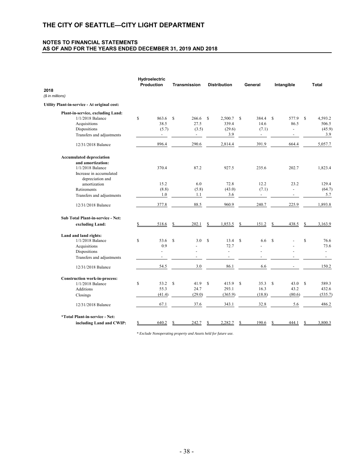### **NOTES TO FINANCIAL STATEMENTS AS OF AND FOR THE YEARS ENDED DECEMBER 31, 2019 AND 2018**

|                          |                                                                   |    | Hydroelectric<br>Production |               | <b>Transmission</b>      |               | <b>Distribution</b> |               | General                  |               | Intangible               |               | Total                    |
|--------------------------|-------------------------------------------------------------------|----|-----------------------------|---------------|--------------------------|---------------|---------------------|---------------|--------------------------|---------------|--------------------------|---------------|--------------------------|
| 2018<br>(\$ in millions) |                                                                   |    |                             |               |                          |               |                     |               |                          |               |                          |               |                          |
|                          | Utility Plant-in-service - At original cost:                      |    |                             |               |                          |               |                     |               |                          |               |                          |               |                          |
|                          | Plant-in-service, excluding Land:<br>1/1/2018 Balance             | \$ | 863.6                       | -S            | 266.6                    | <sup>\$</sup> | 2,500.7             | \$            | 384.4                    | \$            | 577.9                    | \$            | 4,593.2                  |
|                          | Acquisitions                                                      |    | 38.5                        |               | 27.5                     |               | 339.4               |               | 14.6                     |               | 86.5                     |               | 506.5                    |
|                          | Dispositions                                                      |    | (5.7)                       |               | (3.5)                    |               | (29.6)              |               | (7.1)                    |               |                          |               | (45.9)                   |
|                          | Transfers and adjustments                                         |    | $\overline{\phantom{a}}$    |               | $\overline{\phantom{a}}$ |               | 3.9                 |               | $\overline{\phantom{a}}$ |               | $\overline{\phantom{a}}$ |               | 3.9                      |
|                          | 12/31/2018 Balance                                                |    | 896.4                       |               | 290.6                    |               | 2,814.4             |               | 391.9                    |               | 664.4                    |               | 5,057.7                  |
|                          | <b>Accumulated depreciation</b>                                   |    |                             |               |                          |               |                     |               |                          |               |                          |               |                          |
|                          | and amortization:                                                 |    | 370.4                       |               | 87.2                     |               | 927.5               |               | 235.6                    |               | 202.7                    |               | 1,823.4                  |
|                          | $1/1/2018$ Balance<br>Increase in accumulated<br>depreciation and |    |                             |               |                          |               |                     |               |                          |               |                          |               |                          |
|                          | amortization                                                      |    | 15.2                        |               | 6.0                      |               | 72.8                |               | 12.2                     |               | 23.2                     |               | 129.4                    |
|                          | Retirements                                                       |    | (8.8)                       |               | (5.8)                    |               | (43.0)              |               | (7.1)                    |               | $\overline{\phantom{a}}$ |               | (64.7)                   |
|                          | Transfers and adjustments                                         |    | 1.0                         |               | 1.1                      |               | 3.6                 |               | $\overline{\phantom{a}}$ |               | $\overline{\phantom{a}}$ |               | 5.7                      |
|                          | 12/31/2018 Balance                                                |    | 377.8                       |               | 88.5                     |               | 960.9               |               | 240.7                    |               | 225.9                    |               | 1,893.8                  |
|                          | <b>Sub Total Plant-in-service - Net:</b>                          |    |                             |               |                          |               |                     |               |                          |               |                          |               |                          |
|                          | excluding Land:                                                   | S  | 518.6                       | S             | 202.1                    | \$.           | 1,853.5             | \$            | 151.2                    | S             | 438.5                    | S             | 3,163.9                  |
|                          | Land and land rights:                                             |    |                             |               |                          |               |                     |               |                          |               |                          |               |                          |
|                          | 1/1/2018 Balance                                                  | \$ | 53.6                        | \$            | 3.0                      | $\mathbf S$   | 13.4                | <sup>\$</sup> | 6.6                      | $\mathbf S$   |                          | \$            | 76.6                     |
|                          | Acquisitions                                                      |    | 0.9                         |               |                          |               | 72.7                |               |                          |               |                          |               | 73.6                     |
|                          | Dispositions                                                      |    | $\overline{a}$              |               |                          |               | ÷,                  |               |                          |               |                          |               | $\overline{\phantom{a}}$ |
|                          | Transfers and adjustments                                         |    |                             |               |                          |               | ÷,                  |               |                          |               |                          |               | $\overline{\phantom{a}}$ |
|                          | 12/31/2018 Balance                                                |    | 54.5                        |               | 3.0                      |               | 86.1                |               | 6.6                      |               |                          |               | 150.2                    |
|                          | <b>Construction work-in-process:</b>                              |    |                             |               |                          |               |                     |               |                          |               |                          |               |                          |
|                          | 1/1/2018 Balance                                                  | \$ | 53.2                        | <sup>\$</sup> | 41.9                     | <sup>\$</sup> | 415.9               | <sup>\$</sup> | 35.3                     | <sup>\$</sup> | 43.0                     | <sup>\$</sup> | 589.3                    |
|                          | Additions                                                         |    | 55.3                        |               | 24.7                     |               | 293.1               |               | 16.3                     |               | 43.2                     |               | 432.6                    |
|                          | Closings                                                          |    | (41.4)                      |               | (29.0)                   |               | (365.9)             |               | (18.8)                   |               | (80.6)                   |               | (535.7)                  |
|                          | 12/31/2018 Balance                                                |    | 67.1                        |               | 37.6                     |               | 343.1               |               | 32.8                     |               | 5.6                      |               | 486.2                    |
|                          | *Total Plant-in-service - Net:                                    |    |                             |               |                          |               |                     |               |                          |               |                          |               |                          |
|                          | including Land and CWIP:                                          | \$ | 640.2                       |               | 242.7                    |               | 2,282.7             |               | 190.6                    |               | 444.1                    |               | 3,800.3                  |

*\* Exclude Nonoperating property and Assets held for future use.*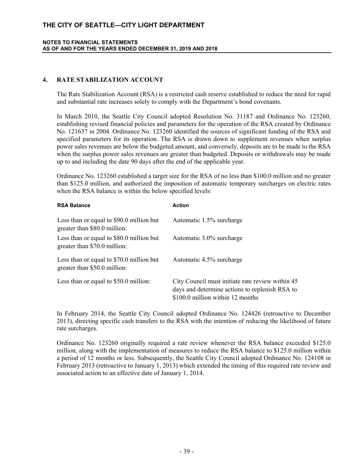### **NOTES TO FINANCIAL STATEMENTS AS OF AND FOR THE YEARS ENDED DECEMBER 31, 2019 AND 2018**

## **4. RATE STABILIZATION ACCOUNT**

The Rate Stabilization Account (RSA) is a restricted cash reserve established to reduce the need for rapid and substantial rate increases solely to comply with the Department's bond covenants.

In March 2010, the Seattle City Council adopted Resolution No. 31187 and Ordinance No. 123260, establishing revised financial policies and parameters for the operation of the RSA created by Ordinance No. 121637 in 2004. Ordinance No. 123260 identified the sources of significant funding of the RSA and specified parameters for its operation. The RSA is drawn down to supplement revenues when surplus power sales revenues are below the budgeted amount, and conversely, deposits are to be made to the RSA when the surplus power sales revenues are greater than budgeted. Deposits or withdrawals may be made up to and including the date 90 days after the end of the applicable year.

Ordinance No. 123260 established a target size for the RSA of no less than \$100.0 million and no greater than \$125.0 million, and authorized the imposition of automatic temporary surcharges on electric rates when the RSA balance is within the below specified levels:

| <b>RSA Balance</b>                                                        | <b>Action</b>                                                                                                                          |
|---------------------------------------------------------------------------|----------------------------------------------------------------------------------------------------------------------------------------|
| Less than or equal to \$90.0 million but<br>greater than \$80.0 million:  | Automatic 1.5% surcharge                                                                                                               |
| Less than or equal to \$80.0 million but<br>greater than \$70.0 million:  | Automatic 3.0% surcharge                                                                                                               |
| Less than or equal to $$70.0$ million but<br>greater than \$50.0 million: | Automatic 4.5% surcharge                                                                                                               |
| Less than or equal to \$50.0 million:                                     | City Council must initiate rate review within 45<br>days and determine actions to replenish RSA to<br>\$100.0 million within 12 months |

In February 2014, the Seattle City Council adopted Ordinance No. 124426 (retroactive to December 2013), directing specific cash transfers to the RSA with the intention of reducing the likelihood of future rate surcharges.

Ordinance No. 123260 originally required a rate review whenever the RSA balance exceeded \$125.0 million, along with the implementation of measures to reduce the RSA balance to \$125.0 million within a period of 12 months or less. Subsequently, the Seattle City Council adopted Ordinance No. 124108 in February 2013 (retroactive to January 1, 2013) which extended the timing of this required rate review and associated action to an effective date of January 1, 2014.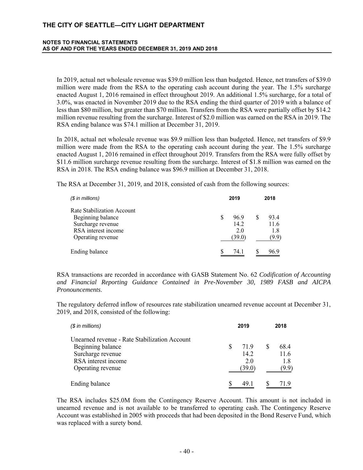### **NOTES TO FINANCIAL STATEMENTS AS OF AND FOR THE YEARS ENDED DECEMBER 31, 2019 AND 2018**

In 2019, actual net wholesale revenue was \$39.0 million less than budgeted. Hence, net transfers of \$39.0 million were made from the RSA to the operating cash account during the year. The 1.5% surcharge enacted August 1, 2016 remained in effect throughout 2019. An additional 1.5% surcharge, for a total of 3.0%, was enacted in November 2019 due to the RSA ending the third quarter of 2019 with a balance of less than \$80 million, but greater than \$70 million. Transfers from the RSA were partially offset by \$14.2 million revenue resulting from the surcharge. Interest of \$2.0 million was earned on the RSA in 2019. The RSA ending balance was \$74.1 million at December 31, 2019.

In 2018, actual net wholesale revenue was \$9.9 million less than budgeted. Hence, net transfers of \$9.9 million were made from the RSA to the operating cash account during the year. The 1.5% surcharge enacted August 1, 2016 remained in effect throughout 2019. Transfers from the RSA were fully offset by \$11.6 million surcharge revenue resulting from the surcharge. Interest of \$1.8 million was earned on the RSA in 2018. The RSA ending balance was \$96.9 million at December 31, 2018.

The RSA at December 31, 2019, and 2018, consisted of cash from the following sources:

| $$$ in millions)           |   | 2019   |   | 2018  |
|----------------------------|---|--------|---|-------|
| Rate Stabilization Account |   |        |   |       |
| Beginning balance          | S | 96.9   | S | 93.4  |
| Surcharge revenue          |   | 14.2   |   | 11.6  |
| RSA interest income        |   | 2.0    |   | 1.8   |
| Operating revenue          |   | (39.0) |   | (9.9) |
| Ending balance             |   | 74.1   |   | 96.9  |

### RSA transactions are recorded in accordance with GASB Statement No. 62 *Codification of Accounting and Financial Reporting Guidance Contained in Pre-November 30, 1989 FASB and AICPA Pronouncements*.

The regulatory deferred inflow of resources rate stabilization unearned revenue account at December 31, 2019, and 2018, consisted of the following:

| (\$ in millions)                              | 2019   | 2018  |
|-----------------------------------------------|--------|-------|
| Unearned revenue - Rate Stabilization Account |        |       |
| Beginning balance                             | 71.9   | 68.4  |
| Surcharge revenue                             | 14.2   | 11.6  |
| RSA interest income                           | 2.0    | 1.8   |
| Operating revenue                             | (39.0) | (9.9) |
| Ending balance                                | 49.1   | 71.9  |

The RSA includes \$25.0M from the Contingency Reserve Account. This amount is not included in unearned revenue and is not available to be transferred to operating cash. The Contingency Reserve Account was established in 2005 with proceeds that had been deposited in the Bond Reserve Fund, which was replaced with a surety bond.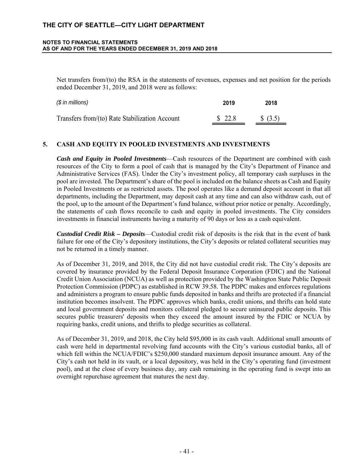### **NOTES TO FINANCIAL STATEMENTS AS OF AND FOR THE YEARS ENDED DECEMBER 31, 2019 AND 2018**

Net transfers from/(to) the RSA in the statements of revenues, expenses and net position for the periods ended December 31, 2019, and 2018 were as follows:

| $$$ in millions)                               | 2019   | 2018        |
|------------------------------------------------|--------|-------------|
| Transfers from/(to) Rate Stabilization Account | \$22.8 | $\{(3.5)\}$ |

### **5. CASH AND EQUITY IN POOLED INVESTMENTS AND INVESTMENTS**

*Cash and Equity in Pooled Investments*—Cash resources of the Department are combined with cash resources of the City to form a pool of cash that is managed by the City's Department of Finance and Administrative Services (FAS). Under the City's investment policy, all temporary cash surpluses in the pool are invested. The Department's share of the pool is included on the balance sheets as Cash and Equity in Pooled Investments or as restricted assets. The pool operates like a demand deposit account in that all departments, including the Department, may deposit cash at any time and can also withdraw cash, out of the pool, up to the amount of the Department's fund balance, without prior notice or penalty. Accordingly, the statements of cash flows reconcile to cash and equity in pooled investments. The City considers investments in financial instruments having a maturity of 90 days or less as a cash equivalent.

*Custodial Credit Risk – Deposits*—Custodial credit risk of deposits is the risk that in the event of bank failure for one of the City's depository institutions, the City's deposits or related collateral securities may not be returned in a timely manner.

As of December 31, 2019, and 2018, the City did not have custodial credit risk. The City's deposits are covered by insurance provided by the Federal Deposit Insurance Corporation (FDIC) and the National Credit Union Association (NCUA) as well as protection provided by the Washington State Public Deposit Protection Commission (PDPC) as established in RCW 39.58. The PDPC makes and enforces regulations and administers a program to ensure public funds deposited in banks and thrifts are protected if a financial institution becomes insolvent. The PDPC approves which banks, credit unions, and thrifts can hold state and local government deposits and monitors collateral pledged to secure uninsured public deposits. This secures public treasurers' deposits when they exceed the amount insured by the FDIC or NCUA by requiring banks, credit unions, and thrifts to pledge securities as collateral.

As of December 31, 2019, and 2018, the City held \$95,000 in its cash vault. Additional small amounts of cash were held in departmental revolving fund accounts with the City's various custodial banks, all of which fell within the NCUA/FDIC's \$250,000 standard maximum deposit insurance amount. Any of the City's cash not held in its vault, or a local depository, was held in the City's operating fund (investment pool), and at the close of every business day, any cash remaining in the operating fund is swept into an overnight repurchase agreement that matures the next day.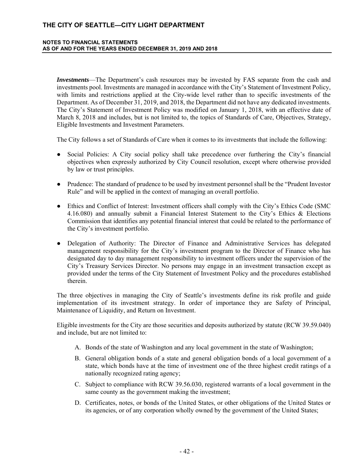### **NOTES TO FINANCIAL STATEMENTS AS OF AND FOR THE YEARS ENDED DECEMBER 31, 2019 AND 2018**

*Investments*—The Department's cash resources may be invested by FAS separate from the cash and investments pool. Investments are managed in accordance with the City's Statement of Investment Policy, with limits and restrictions applied at the City-wide level rather than to specific investments of the Department. As of December 31, 2019, and 2018, the Department did not have any dedicated investments. The City's Statement of Investment Policy was modified on January 1, 2018, with an effective date of March 8, 2018 and includes, but is not limited to, the topics of Standards of Care, Objectives, Strategy, Eligible Investments and Investment Parameters.

The City follows a set of Standards of Care when it comes to its investments that include the following:

- Social Policies: A City social policy shall take precedence over furthering the City's financial objectives when expressly authorized by City Council resolution, except where otherwise provided by law or trust principles.
- Prudence: The standard of prudence to be used by investment personnel shall be the "Prudent Investor Rule" and will be applied in the context of managing an overall portfolio.
- Ethics and Conflict of Interest: Investment officers shall comply with the City's Ethics Code (SMC 4.16.080) and annually submit a Financial Interest Statement to the City's Ethics & Elections Commission that identifies any potential financial interest that could be related to the performance of the City's investment portfolio.
- Delegation of Authority: The Director of Finance and Administrative Services has delegated management responsibility for the City's investment program to the Director of Finance who has designated day to day management responsibility to investment officers under the supervision of the City's Treasury Services Director. No persons may engage in an investment transaction except as provided under the terms of the City Statement of Investment Policy and the procedures established therein.

The three objectives in managing the City of Seattle's investments define its risk profile and guide implementation of its investment strategy. In order of importance they are Safety of Principal, Maintenance of Liquidity, and Return on Investment.

Eligible investments for the City are those securities and deposits authorized by statute (RCW 39.59.040) and include, but are not limited to:

- A. Bonds of the state of Washington and any local government in the state of Washington;
- B. General obligation bonds of a state and general obligation bonds of a local government of a state, which bonds have at the time of investment one of the three highest credit ratings of a nationally recognized rating agency;
- C. Subject to compliance with RCW 39.56.030, registered warrants of a local government in the same county as the government making the investment;
- D. Certificates, notes, or bonds of the United States, or other obligations of the United States or its agencies, or of any corporation wholly owned by the government of the United States;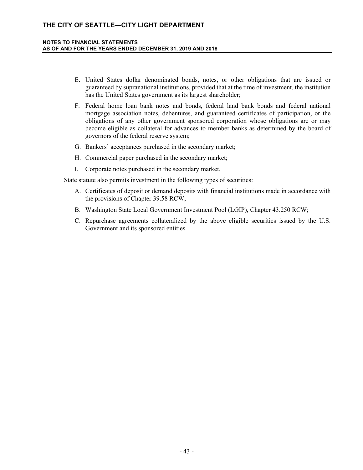#### **NOTES TO FINANCIAL STATEMENTS AS OF AND FOR THE YEARS ENDED DECEMBER 31, 2019 AND 2018**

- E. United States dollar denominated bonds, notes, or other obligations that are issued or guaranteed by supranational institutions, provided that at the time of investment, the institution has the United States government as its largest shareholder;
- F. Federal home loan bank notes and bonds, federal land bank bonds and federal national mortgage association notes, debentures, and guaranteed certificates of participation, or the obligations of any other government sponsored corporation whose obligations are or may become eligible as collateral for advances to member banks as determined by the board of governors of the federal reserve system;
- G. Bankers' acceptances purchased in the secondary market;
- H. Commercial paper purchased in the secondary market;
- I. Corporate notes purchased in the secondary market.

State statute also permits investment in the following types of securities:

- A. Certificates of deposit or demand deposits with financial institutions made in accordance with the provisions of Chapter 39.58 RCW;
- B. Washington State Local Government Investment Pool (LGIP), Chapter 43.250 RCW;
- C. Repurchase agreements collateralized by the above eligible securities issued by the U.S. Government and its sponsored entities.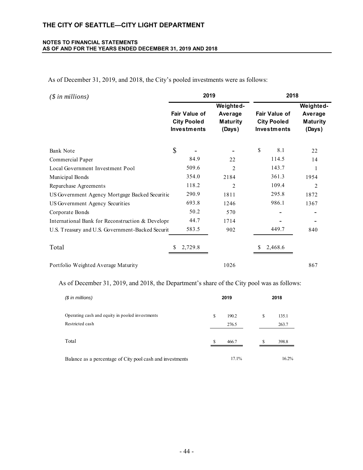### **NOTES TO FINANCIAL STATEMENTS AS OF AND FOR THE YEARS ENDED DECEMBER 31, 2019 AND 2018**

As of December 31, 2019, and 2018, the City's pooled investments were as follows:

| $(\text{\$ in millions})$                        |    | 2019                                                             |                                                   | 2018                                                      |         |                                                   |  |  |
|--------------------------------------------------|----|------------------------------------------------------------------|---------------------------------------------------|-----------------------------------------------------------|---------|---------------------------------------------------|--|--|
|                                                  |    | <b>Fair Value of</b><br><b>City Pooled</b><br><b>Investments</b> | Weighted-<br>Average<br><b>Maturity</b><br>(Days) | <b>Fair Value of</b><br><b>City Pooled</b><br>Investments |         | Weighted-<br>Average<br><b>Maturity</b><br>(Days) |  |  |
| Bank Note                                        | \$ |                                                                  |                                                   | \$                                                        | 8.1     | 22                                                |  |  |
| Commercial Paper                                 |    | 84.9                                                             | 22                                                |                                                           | 114.5   | 14                                                |  |  |
| Local Government Investment Pool                 |    | 509.6                                                            | $\overline{2}$                                    |                                                           | 143.7   | 1                                                 |  |  |
| Municipal Bonds                                  |    | 354.0                                                            | 2184                                              |                                                           | 361.3   | 1954                                              |  |  |
| Repurchase Agreements                            |    | 118.2                                                            | $\overline{2}$                                    |                                                           | 109.4   | $\overline{c}$                                    |  |  |
| US Government Agency Mortgage Backed Securitie   |    | 290.9                                                            | 1811                                              |                                                           | 295.8   | 1872                                              |  |  |
| US Government Agency Securities                  |    | 693.8                                                            | 1246                                              |                                                           | 986.1   | 1367                                              |  |  |
| Corporate Bonds                                  |    | 50.2                                                             | 570                                               |                                                           |         |                                                   |  |  |
| International Bank for Reconstruction & Developr |    | 44.7                                                             | 1714                                              |                                                           |         |                                                   |  |  |
| U.S. Treasury and U.S. Government-Backed Securit |    | 583.5                                                            | 902                                               |                                                           | 449.7   | 840                                               |  |  |
| Total                                            | S  | 2,729.8                                                          |                                                   | S.                                                        | 2,468.6 |                                                   |  |  |
| Portfolio Weighted Average Maturity              |    |                                                                  | 1026                                              |                                                           |         | 867                                               |  |  |

As of December 31, 2019, and 2018, the Department's share of the City pool was as follows:

| $$$ in millions)                                          |    | 2019  |   | 2018  |  |  |
|-----------------------------------------------------------|----|-------|---|-------|--|--|
| Operating cash and equity in pooled investments           | S  | 190.2 | S | 135.1 |  |  |
| Restricted cash                                           |    | 276.5 |   | 263.7 |  |  |
| Total                                                     | \$ | 466.7 | S | 398.8 |  |  |
| Balance as a percentage of City pool cash and investments |    | 17.1% |   | 16.2% |  |  |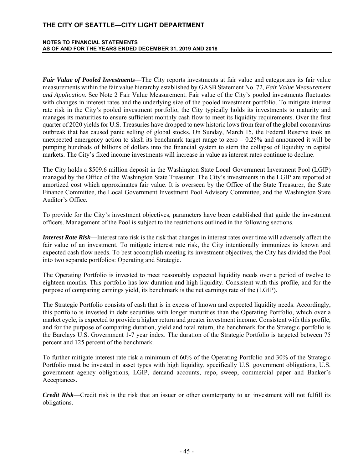### **NOTES TO FINANCIAL STATEMENTS AS OF AND FOR THE YEARS ENDED DECEMBER 31, 2019 AND 2018**

*Fair Value of Pooled Investments*—The City reports investments at fair value and categorizes its fair value measurements within the fair value hierarchy established by GASB Statement No. 72, *Fair Value Measurement and Application*. See Note 2 Fair Value Measurement. Fair value of the City's pooled investments fluctuates with changes in interest rates and the underlying size of the pooled investment portfolio. To mitigate interest rate risk in the City's pooled investment portfolio, the City typically holds its investments to maturity and manages its maturities to ensure sufficient monthly cash flow to meet its liquidity requirements. Over the first quarter of 2020 yields for U.S. Treasuries have dropped to new historic lows from fear of the global coronavirus outbreak that has caused panic selling of global stocks. On Sunday, March 15, the Federal Reserve took an unexpected emergency action to slash its benchmark target range to zero  $-0.25%$  and announced it will be pumping hundreds of billions of dollars into the financial system to stem the collapse of liquidity in capital markets. The City's fixed income investments will increase in value as interest rates continue to decline.

The City holds a \$509.6 million deposit in the Washington State Local Government Investment Pool (LGIP) managed by the Office of the Washington State Treasurer. The City's investments in the LGIP are reported at amortized cost which approximates fair value. It is overseen by the Office of the State Treasurer, the State Finance Committee, the Local Government Investment Pool Advisory Committee, and the Washington State Auditor's Office.

To provide for the City's investment objectives, parameters have been established that guide the investment officers. Management of the Pool is subject to the restrictions outlined in the following sections.

*Interest Rate Risk*—Interest rate risk is the risk that changes in interest rates over time will adversely affect the fair value of an investment. To mitigate interest rate risk, the City intentionally immunizes its known and expected cash flow needs. To best accomplish meeting its investment objectives, the City has divided the Pool into two separate portfolios: Operating and Strategic.

The Operating Portfolio is invested to meet reasonably expected liquidity needs over a period of twelve to eighteen months. This portfolio has low duration and high liquidity. Consistent with this profile, and for the purpose of comparing earnings yield, its benchmark is the net earnings rate of the (LGIP).

The Strategic Portfolio consists of cash that is in excess of known and expected liquidity needs. Accordingly, this portfolio is invested in debt securities with longer maturities than the Operating Portfolio, which over a market cycle, is expected to provide a higher return and greater investment income. Consistent with this profile, and for the purpose of comparing duration, yield and total return, the benchmark for the Strategic portfolio is the Barclays U.S. Government 1-7 year index. The duration of the Strategic Portfolio is targeted between 75 percent and 125 percent of the benchmark.

To further mitigate interest rate risk a minimum of 60% of the Operating Portfolio and 30% of the Strategic Portfolio must be invested in asset types with high liquidity, specifically U.S. government obligations, U.S. government agency obligations, LGIP, demand accounts, repo, sweep, commercial paper and Banker's Acceptances.

*Credit Risk*—Credit risk is the risk that an issuer or other counterparty to an investment will not fulfill its obligations.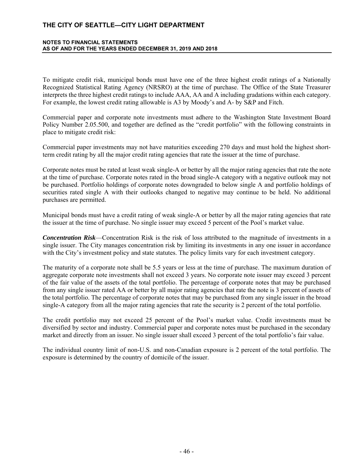### **NOTES TO FINANCIAL STATEMENTS AS OF AND FOR THE YEARS ENDED DECEMBER 31, 2019 AND 2018**

To mitigate credit risk, municipal bonds must have one of the three highest credit ratings of a Nationally Recognized Statistical Rating Agency (NRSRO) at the time of purchase. The Office of the State Treasurer interprets the three highest credit ratings to include AAA, AA and A including gradations within each category. For example, the lowest credit rating allowable is A3 by Moody's and A- by S&P and Fitch.

Commercial paper and corporate note investments must adhere to the Washington State Investment Board Policy Number 2.05.500, and together are defined as the "credit portfolio" with the following constraints in place to mitigate credit risk:

Commercial paper investments may not have maturities exceeding 270 days and must hold the highest shortterm credit rating by all the major credit rating agencies that rate the issuer at the time of purchase.

Corporate notes must be rated at least weak single-A or better by all the major rating agencies that rate the note at the time of purchase. Corporate notes rated in the broad single-A category with a negative outlook may not be purchased. Portfolio holdings of corporate notes downgraded to below single A and portfolio holdings of securities rated single A with their outlooks changed to negative may continue to be held. No additional purchases are permitted.

Municipal bonds must have a credit rating of weak single-A or better by all the major rating agencies that rate the issuer at the time of purchase. No single issuer may exceed 5 percent of the Pool's market value.

*Concentration Risk*—Concentration Risk is the risk of loss attributed to the magnitude of investments in a single issuer. The City manages concentration risk by limiting its investments in any one issuer in accordance with the City's investment policy and state statutes. The policy limits vary for each investment category.

The maturity of a corporate note shall be 5.5 years or less at the time of purchase. The maximum duration of aggregate corporate note investments shall not exceed 3 years. No corporate note issuer may exceed 3 percent of the fair value of the assets of the total portfolio. The percentage of corporate notes that may be purchased from any single issuer rated AA or better by all major rating agencies that rate the note is 3 percent of assets of the total portfolio. The percentage of corporate notes that may be purchased from any single issuer in the broad single-A category from all the major rating agencies that rate the security is 2 percent of the total portfolio.

The credit portfolio may not exceed 25 percent of the Pool's market value. Credit investments must be diversified by sector and industry. Commercial paper and corporate notes must be purchased in the secondary market and directly from an issuer. No single issuer shall exceed 3 percent of the total portfolio's fair value.

The individual country limit of non-U.S. and non-Canadian exposure is 2 percent of the total portfolio. The exposure is determined by the country of domicile of the issuer.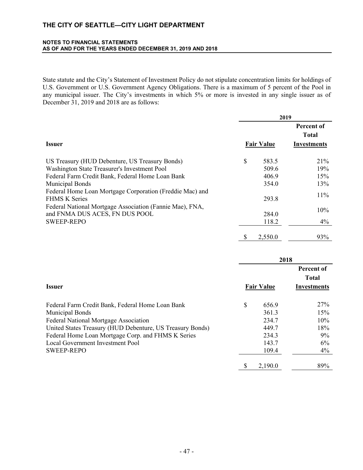### **NOTES TO FINANCIAL STATEMENTS AS OF AND FOR THE YEARS ENDED DECEMBER 31, 2019 AND 2018**

State statute and the City's Statement of Investment Policy do not stipulate concentration limits for holdings of U.S. Government or U.S. Government Agency Obligations. There is a maximum of 5 percent of the Pool in any municipal issuer. The City's investments in which 5% or more is invested in any single issuer as of December 31, 2019 and 2018 are as follows:

|                                                                                            | 2019 |                   |                            |  |  |
|--------------------------------------------------------------------------------------------|------|-------------------|----------------------------|--|--|
|                                                                                            |      |                   | Percent of<br><b>Total</b> |  |  |
| <b>Issuer</b>                                                                              |      | <b>Fair Value</b> | <b>Investments</b>         |  |  |
| US Treasury (HUD Debenture, US Treasury Bonds)                                             | \$   | 583.5             | 21%                        |  |  |
| Washington State Treasurer's Investment Pool                                               |      | 509.6             | 19%                        |  |  |
| Federal Farm Credit Bank, Federal Home Loan Bank                                           |      | 406.9             | 15%                        |  |  |
| Municipal Bonds                                                                            |      | 354.0             | 13%                        |  |  |
| Federal Home Loan Mortgage Corporation (Freddie Mac) and<br><b>FHMS K Series</b>           |      | 293.8             | 11%                        |  |  |
| Federal National Mortgage Association (Fannie Mae), FNA,<br>and FNMA DUS ACES, FN DUS POOL |      | 284.0             | 10%                        |  |  |
| <b>SWEEP-REPO</b>                                                                          |      | 118.2             | 4%                         |  |  |
|                                                                                            | \$   | 2,550.0           | 93%                        |  |  |

|                                                           |    | 2018              |              |
|-----------------------------------------------------------|----|-------------------|--------------|
|                                                           |    |                   | Percent of   |
|                                                           |    |                   | <b>Total</b> |
| <b>Issuer</b>                                             |    | <b>Fair Value</b> | Investments  |
| Federal Farm Credit Bank, Federal Home Loan Bank          | \$ | 656.9             | 27%          |
| <b>Municipal Bonds</b>                                    |    | 361.3             | 15%          |
| Federal National Mortgage Association                     |    | 234.7             | 10%          |
| United States Treasury (HUD Debenture, US Treasury Bonds) |    | 449.7             | 18%          |
| Federal Home Loan Mortgage Corp. and FHMS K Series        |    | 234.3             | 9%           |
| Local Government Investment Pool                          |    | 143.7             | 6%           |
| <b>SWEEP-REPO</b>                                         |    | 109.4             | $4\%$        |
|                                                           | S  | 2,190.0           | 89%          |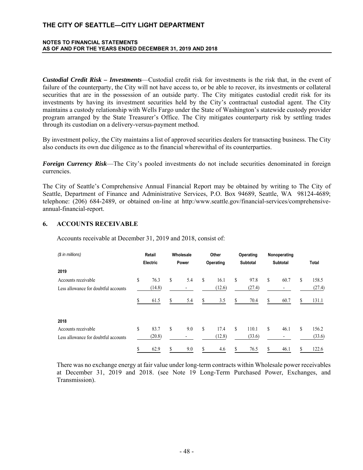### **NOTES TO FINANCIAL STATEMENTS AS OF AND FOR THE YEARS ENDED DECEMBER 31, 2019 AND 2018**

*Custodial Credit Risk – Investments*—Custodial credit risk for investments is the risk that, in the event of failure of the counterparty, the City will not have access to, or be able to recover, its investments or collateral securities that are in the possession of an outside party. The City mitigates custodial credit risk for its investments by having its investment securities held by the City's contractual custodial agent. The City maintains a custody relationship with Wells Fargo under the State of Washington's statewide custody provider program arranged by the State Treasurer's Office. The City mitigates counterparty risk by settling trades through its custodian on a delivery-versus-payment method.

By investment policy, the City maintains a list of approved securities dealers for transacting business. The City also conducts its own due diligence as to the financial wherewithal of its counterparties.

*Foreign Currency Risk*—The City's pooled investments do not include securities denominated in foreign currencies.

The City of Seattle's Comprehensive Annual Financial Report may be obtained by writing to The City of Seattle, Department of Finance and Administrative Services, P.O. Box 94689, Seattle, WA 98124-4689; telephone: (206) 684-2489, or obtained on-line at http:/www.seattle.gov/financial-services/comprehensiveannual-financial-report.

### **6. ACCOUNTS RECEIVABLE**

Accounts receivable at December 31, 2019 and 2018, consist of:

| $$$ in millions)                     |    | Retail<br>Electric |    | Wholesale<br>Power |               | Other<br>Operating |    | Operating<br><b>Subtotal</b> |    | Nonoperating<br><b>Subtotal</b> |    | <b>Total</b> |
|--------------------------------------|----|--------------------|----|--------------------|---------------|--------------------|----|------------------------------|----|---------------------------------|----|--------------|
| 2019                                 |    |                    |    |                    |               |                    |    |                              |    |                                 |    |              |
| Accounts receivable                  | \$ | 76.3               | \$ | 5.4                | S.            | 16.1               | \$ | 97.8                         | \$ | 60.7                            | \$ | 158.5        |
| Less allowance for doubtful accounts |    | (14.8)             |    |                    |               | (12.6)             |    | (27.4)                       |    |                                 |    | (27.4)       |
|                                      | S  | 61.5               | S  | 5.4                | <sup>\$</sup> | 3.5                | S. | 70.4                         | S  | 60.7                            | S. | 131.1        |
| 2018                                 |    |                    |    |                    |               |                    |    |                              |    |                                 |    |              |
| Accounts receivable                  | \$ | 83.7               | \$ | 9.0                | <sup>\$</sup> | 17.4               | \$ | 110.1                        | \$ | 46.1                            | \$ | 156.2        |
| Less allowance for doubtful accounts |    | (20.8)             |    |                    |               | (12.8)             |    | (33.6)                       |    |                                 |    | (33.6)       |
|                                      |    | 62.9               |    | 9.0                |               | 4.6                |    | 76.5                         |    | 46.1                            |    | 122.6        |

There was no exchange energy at fair value under long-term contracts within Wholesale power receivables at December 31, 2019 and 2018. (see Note 19 Long-Term Purchased Power, Exchanges, and Transmission).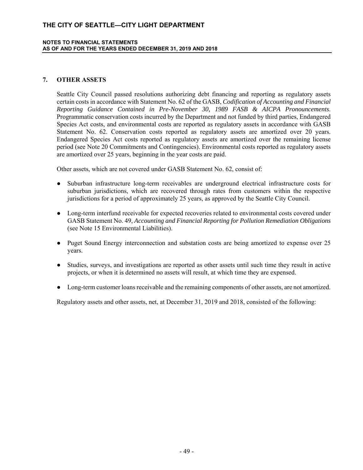### **NOTES TO FINANCIAL STATEMENTS AS OF AND FOR THE YEARS ENDED DECEMBER 31, 2019 AND 2018**

### **7. OTHER ASSETS**

Seattle City Council passed resolutions authorizing debt financing and reporting as regulatory assets certain costs in accordance with Statement No. 62 of the GASB, *Codification of Accounting and Financial Reporting Guidance Contained in Pre-November 30, 1989 FASB & AICPA Pronouncements*. Programmatic conservation costs incurred by the Department and not funded by third parties, Endangered Species Act costs, and environmental costs are reported as regulatory assets in accordance with GASB Statement No. 62. Conservation costs reported as regulatory assets are amortized over 20 years. Endangered Species Act costs reported as regulatory assets are amortized over the remaining license period (see Note 20 Commitments and Contingencies). Environmental costs reported as regulatory assets are amortized over 25 years, beginning in the year costs are paid.

Other assets, which are not covered under GASB Statement No. 62, consist of:

- Suburban infrastructure long-term receivables are underground electrical infrastructure costs for suburban jurisdictions, which are recovered through rates from customers within the respective jurisdictions for a period of approximately 25 years, as approved by the Seattle City Council.
- Long-term interfund receivable for expected recoveries related to environmental costs covered under GASB Statement No. 49, *Accounting and Financial Reporting for Pollution Remediation Obligations* (see Note 15 Environmental Liabilities).
- Puget Sound Energy interconnection and substation costs are being amortized to expense over 25 years.
- Studies, surveys, and investigations are reported as other assets until such time they result in active projects, or when it is determined no assets will result, at which time they are expensed.
- Long-term customer loans receivable and the remaining components of other assets, are not amortized.

Regulatory assets and other assets, net, at December 31, 2019 and 2018, consisted of the following: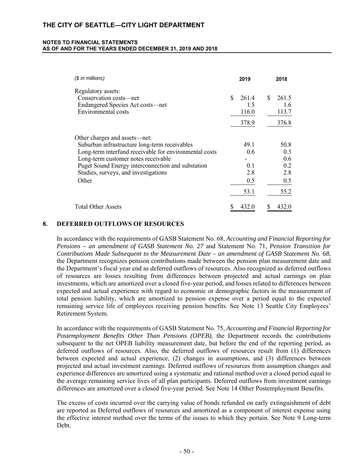### **NOTES TO FINANCIAL STATEMENTS AS OF AND FOR THE YEARS ENDED DECEMBER 31, 2019 AND 2018**

| $(S \in \mathbb{R})$ in millions)                                                                                                                                                                                                                                                     | 2019                                               | 2018                                            |
|---------------------------------------------------------------------------------------------------------------------------------------------------------------------------------------------------------------------------------------------------------------------------------------|----------------------------------------------------|-------------------------------------------------|
| Regulatory assets:<br>Conservation costs-net<br>Endangered Species Act costs—net<br>Environmental costs                                                                                                                                                                               | S<br>261.4<br>1.5<br>116.0<br>378.9                | \$<br>261.5<br>1.6<br>113.7<br>376.8            |
| Other charges and assets—net:<br>Suburban infrastructure long-term receivables<br>Long-term interfund receivable for environmental costs<br>Long-term customer notes receivable<br>Puget Sound Energy interconnection and substation<br>Studies, surveys, and investigations<br>Other | 49.1<br>$0.6^{\circ}$<br>0.1<br>2.8<br>0.5<br>53.1 | 50.8<br>0.3<br>0.6<br>0.2<br>2.8<br>0.5<br>55.2 |
| <b>Total Other Assets</b>                                                                                                                                                                                                                                                             | 432.0                                              | 432.0                                           |

### **8. DEFERRED OUTFLOWS OF RESOURCES**

In accordance with the requirements of GASB Statement No. 68, *Accounting and Financial Reporting for Pensions – an amendment of GASB Statement No. 27* and Statement No. 71, *Pension Transition for Contributions Made Subsequent to the Measurement Date – an amendment of GASB Statement No. 68,* the Department recognizes pension contributions made between the pension plan measurement date and the Department's fiscal year end as deferred outflows of resources. Also recognized as deferred outflows of resources are losses resulting from differences between projected and actual earnings on plan investments, which are amortized over a closed five-year period, and losses related to differences between expected and actual experience with regard to economic or demographic factors in the measurement of total pension liability, which are amortized to pension expense over a period equal to the expected remaining service life of employees receiving pension benefits. See Note 13 Seattle City Employees' Retirement System.

In accordance with the requirements of GASB Statement No. 75, *Accounting and Financial Reporting for Postemployment Benefits Other Than Pensions (OPEB)*, the Department records the contributions subsequent to the net OPEB liability measurement date, but before the end of the reporting period, as deferred outflows of resources. Also, the deferred outflows of resources result from (1) differences between expected and actual experience, (2) changes in assumptions, and (3) differences between projected and actual investment earnings. Deferred outflows of resources from assumption changes and experience differences are amortized using a systematic and rational method over a closed period equal to the average remaining service lives of all plan participants. Deferred outflows from investment earnings differences are amortized over a closed five-year period. See Note 14 Other Postemployment Benefits.

The excess of costs incurred over the carrying value of bonds refunded on early extinguishment of debt are reported as Deferred outflows of resources and amortized as a component of interest expense using the effective interest method over the terms of the issues to which they pertain. See Note 9 Long-term Debt.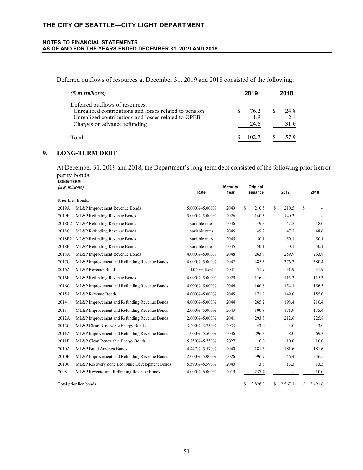### **NOTES TO FINANCIAL STATEMENTS AS OF AND FOR THE YEARS ENDED DECEMBER 31, 2019 AND 2018**

Deferred outflows of resources at December 31, 2019 and 2018 consisted of the following:

| (\$ in millions)                                                                                                                                                                 | 2019               |    | 2018               |
|----------------------------------------------------------------------------------------------------------------------------------------------------------------------------------|--------------------|----|--------------------|
| Deferred outflows of resources:<br>Unrealized contributions and losses related to pension<br>Unrealized contributions and losses related to OPEB<br>Charges on advance refunding | 76.2<br>19<br>24.6 | S. | 24.8<br>21<br>31.0 |
| Total                                                                                                                                                                            | 102.7              |    |                    |

### **9. LONG-TERM DEBT**

At December 31, 2019 and 2018, the Department's long-term debt consisted of the following prior lien or parity bonds:

| <b>LONG-TERM</b><br>$$$ in millions) |                                               | Rate           | <b>Maturity</b><br>Year | Original<br>Issuance |    | 2019    | 2018          |
|--------------------------------------|-----------------------------------------------|----------------|-------------------------|----------------------|----|---------|---------------|
|                                      | Prior Lien Bonds:                             |                |                         |                      |    |         |               |
| 2019A                                | ML&P Improvement Revenue Bonds                | 5.000%-5.000%  | 2049                    | S<br>210.5           | S. | 210.5   | \$            |
| 2019B                                | ML&P Refunding Revenue Bonds                  | 5.000%-5.000%  | 2026                    | 140.3                |    | 140.3   |               |
| 2018C2                               | ML&P Refunding Revenue Bonds                  | variable rates | 2046                    | 49.2                 |    | 47.2    | 48.6          |
| 2018C1                               | ML&P Refunding Revenue Bonds                  | variable rates | 2046                    | 49.2                 |    | 47.2    | 48.6          |
| 2018B2                               | ML&P Refunding Revenue Bonds                  | variable rates | 2045                    | 50.1                 |    | 50.1    | 50.1          |
| 2018B1                               | ML&P Refunding Revenue Bonds                  | variable rates | 2045                    | 50.1                 |    | 50.1    | 50.1          |
| 2018A                                | ML&P Improvement Revenue Bonds                | 4.000%-5.000%  | 2048                    | 263.8                |    | 259.9   | 263.8         |
| 2017C                                | ML&P Improvement and Refunding Revenue Bonds  | 4.000%-5.000%  | 2047                    | 385.5                |    | 376.3   | 380.4         |
| 2016A                                | ML&P Revenue Bonds                            | 4.050% fixed   | 2041                    | 31.9                 |    | 31.9    | 31.9          |
| 2016B                                | ML&P Refunding Revenue Bonds                  | 4.000%-5.000%  | 2029                    | 116.9                |    | 115.3   | 115.3         |
| 2016C                                | ML&P Improvement and Refunding Revenue Bonds  | 4.000%-5.000%  | 2046                    | 160.8                |    | 154.1   | 156.5         |
| 2015A                                | ML&P Revenue Bonds                            | 4.000%-5.000%  | 2045                    | 171.9                |    | 149.0   | 155.0         |
| 2014                                 | ML&P Improvement and Refunding Revenue Bonds  | 4.000%-5.000%  | 2044                    | 265.2                |    | 198.4   | 216.4         |
| 2013                                 | ML&P Improvement and Refunding Revenue Bonds  | 2.000%-5.000%  | 2043                    | 190.8                |    | 171.9   | 175.4         |
| 2012A                                | ML&P Improvement and Refunding Revenue Bonds  | 2.000%-5.000%  | 2041                    | 293.3                |    | 212.6   | 225.8         |
| 2012C                                | ML&P Clean Renewable Energy Bonds             | 3.400%-3.750%  | 2033                    | 43.0                 |    | 43.0    | 43.0          |
| 2011A                                | ML&P Improvement and Refunding Revenue Bonds  | 1.000%-5.500%  | 2036                    | 296.3                |    | 58.0    | 69.3          |
| 2011B                                | ML&P Clean Renewable Energy Bonds             | 5.750%-5.750%  | 2027                    | 10.0                 |    | 10.0    | 10.0          |
| 2010A                                | ML&P Build America Bonds                      | 4.447%-5.570%  | 2040                    | 181.6                |    | 181.6   | 181.6         |
| 2010B                                | ML&P Improvement and Refunding Revenue Bonds  | 2.000%-5.000%  | 2026                    | 596.9                |    | 46.4    | 246.5         |
| 2010C                                | ML&P Recovery Zone Economic Development Bonds | 5.590%-5.590%  | 2040                    | 13.3                 |    | 13.3    | 13.3          |
| 2008                                 | ML&P Revenue and Refunding Revenue Bonds      | 4.000%-6.000%  | 2019                    | 257.4                |    |         | 10.0          |
|                                      | Total prior lien bonds                        |                |                         | S<br>3.828.0         | \$ | 2,567.1 | \$<br>2,491.6 |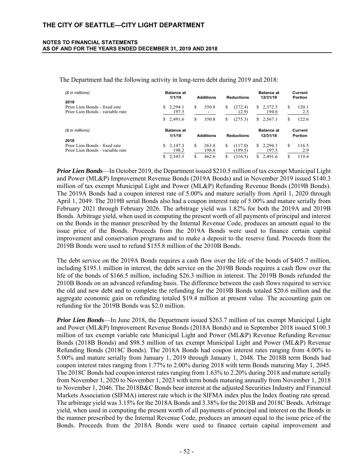#### **NOTES TO FINANCIAL STATEMENTS AS OF AND FOR THE YEARS ENDED DECEMBER 31, 2019 AND 2018**

| $(S \in \mathbb{R})$ in millions)                                 | <b>Balance at</b><br>1/1/19 | <b>Additions</b> | <b>Reductions</b>     | <b>Balance at</b><br>12/31/19 | Current<br><b>Portion</b> |
|-------------------------------------------------------------------|-----------------------------|------------------|-----------------------|-------------------------------|---------------------------|
| 2019                                                              |                             |                  |                       |                               |                           |
| Prior Lien Bonds - fixed rate<br>Prior Lien Bonds - variable rate | 2.294.1<br>S.<br>197.5      | S<br>350.8       | S<br>(272.4)<br>(2.9) | 2,372.5<br>S.<br>194.6        | S<br>120.1<br>2.5         |
|                                                                   | \$2,491.6                   | 350.8<br>S       | (275.3)<br>S          | \$2,567.1                     | 122.6<br>S                |
| $(S \in \mathbb{R})$ in millions)                                 | <b>Balance at</b><br>1/1/18 | <b>Additions</b> | <b>Reductions</b>     | <b>Balance at</b><br>12/31/18 | Current<br><b>Portion</b> |
| 2018                                                              |                             |                  |                       |                               |                           |
| Prior Lien Bonds - fixed rate                                     | \$2.147.3                   | S<br>263.8       | S<br>(117.0)          | 2,294.1<br>S.                 | S<br>116.5                |
| Prior Lien Bonds - variable rate                                  | 198.2                       | 198.8            | (199.5)               | 197.5                         | 2.9                       |
|                                                                   | 2.345.5<br>S.               | \$<br>462.6      | (316.5)<br>S          | \$2,491.6                     | 119.4<br>\$               |

The Department had the following activity in long-term debt during 2019 and 2018:

*Prior Lien Bonds*—In October 2019, the Department issued \$210.5 million of tax exempt Municipal Light and Power (ML&P) Improvement Revenue Bonds (2019A Bonds) and in November 2019 issued \$140.3 million of tax exempt Municipal Light and Power (ML&P) Refunding Revenue Bonds (2019B Bonds). The 2019A Bonds had a coupon interest rate of 5.00% and mature serially from April 1, 2020 through April 1, 2049. The 2019B serial Bonds also had a coupon interest rate of 5.00% and mature serially from February 2021 through February 2026. The arbitrage yield was 1.82% for both the 2019A and 2019B Bonds. Arbitrage yield, when used in computing the present worth of all payments of principal and interest on the Bonds in the manner prescribed by the Internal Revenue Code, produces an amount equal to the issue price of the Bonds. Proceeds from the 2019A Bonds were used to finance certain capital improvement and conservation programs and to make a deposit to the reserve fund. Proceeds from the 2019B Bonds were used to refund \$155.8 million of the 2010B Bonds.

The debt service on the 2019A Bonds requires a cash flow over the life of the bonds of \$405.7 million, including \$195.1 million in interest, the debt service on the 2019B Bonds requires a cash flow over the life of the bonds of \$166.5 million, including \$26.3 million in interest. The 2019B Bonds refunded the 2010B Bonds on an advanced refunding basis. The difference between the cash flows required to service the old and new debt and to complete the refunding for the 2019B Bonds totaled \$20.6 million and the aggregate economic gain on refunding totaled \$19.4 million at present value. The accounting gain on refunding for the 2019B Bonds was \$2.0 million.

*Prior Lien Bonds*—In June 2018, the Department issued \$263.7 million of tax exempt Municipal Light and Power (ML&P) Improvement Revenue Bonds (2018A Bonds) and in September 2018 issued \$100.3 million of tax exempt variable rate Municipal Light and Power (ML&P) Revenue Refunding Revenue Bonds (2018B Bonds) and \$98.5 million of tax exempt Municipal Light and Power (ML&P) Revenue Refunding Bonds (2018C Bonds). The 2018A Bonds had coupon interest rates ranging from 4.00% to 5.00% and mature serially from January 1, 2019 through January 1, 2048. The 2018B term Bonds had coupon interest rates ranging from 1.77% to 2.00% during 2018 with term Bonds maturing May 1, 2045. The 2018C Bonds had coupon interest rates ranging from 1.63% to 2.20% during 2018 and mature serially from November 1, 2020 to November 1, 2023 with term bonds maturing annually from November 1, 2018 to November 1, 2046. The 2018B&C Bonds bear interest at the adjusted Securities Industry and Financial Markets Association (SIFMA) interest rate which is the SIFMA index plus the Index floating rate spread. The arbitrage yield was 3.15% for the 2018A Bonds and 3.38% for the 2018B and 2018C Bonds. Arbitrage yield, when used in computing the present worth of all payments of principal and interest on the Bonds in the manner prescribed by the Internal Revenue Code, produces an amount equal to the issue price of the Bonds. Proceeds from the 2018A Bonds were used to finance certain capital improvement and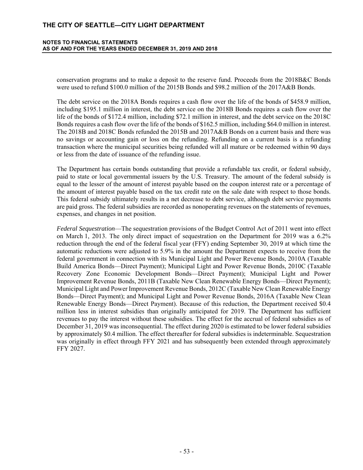### **NOTES TO FINANCIAL STATEMENTS AS OF AND FOR THE YEARS ENDED DECEMBER 31, 2019 AND 2018**

conservation programs and to make a deposit to the reserve fund. Proceeds from the 2018B&C Bonds were used to refund \$100.0 million of the 2015B Bonds and \$98.2 million of the 2017A&B Bonds.

The debt service on the 2018A Bonds requires a cash flow over the life of the bonds of \$458.9 million, including \$195.1 million in interest, the debt service on the 2018B Bonds requires a cash flow over the life of the bonds of \$172.4 million, including \$72.1 million in interest, and the debt service on the 2018C Bonds requires a cash flow over the life of the bonds of \$162.5 million, including \$64.0 million in interest. The 2018B and 2018C Bonds refunded the 2015B and 2017A&B Bonds on a current basis and there was no savings or accounting gain or loss on the refunding. Refunding on a current basis is a refunding transaction where the municipal securities being refunded will all mature or be redeemed within 90 days or less from the date of issuance of the refunding issue.

The Department has certain bonds outstanding that provide a refundable tax credit, or federal subsidy, paid to state or local governmental issuers by the U.S. Treasury. The amount of the federal subsidy is equal to the lesser of the amount of interest payable based on the coupon interest rate or a percentage of the amount of interest payable based on the tax credit rate on the sale date with respect to those bonds. This federal subsidy ultimately results in a net decrease to debt service, although debt service payments are paid gross. The federal subsidies are recorded as nonoperating revenues on the statements of revenues, expenses, and changes in net position.

*Federal Sequestration*—The sequestration provisions of the Budget Control Act of 2011 went into effect on March 1, 2013. The only direct impact of sequestration on the Department for 2019 was a 6.2% reduction through the end of the federal fiscal year (FFY) ending September 30, 2019 at which time the automatic reductions were adjusted to 5.9% in the amount the Department expects to receive from the federal government in connection with its Municipal Light and Power Revenue Bonds, 2010A (Taxable Build America Bonds—Direct Payment); Municipal Light and Power Revenue Bonds, 2010C (Taxable Recovery Zone Economic Development Bonds—Direct Payment); Municipal Light and Power Improvement Revenue Bonds, 2011B (Taxable New Clean Renewable Energy Bonds—Direct Payment); Municipal Light and Power Improvement Revenue Bonds, 2012C (Taxable New Clean Renewable Energy Bonds—Direct Payment); and Municipal Light and Power Revenue Bonds, 2016A (Taxable New Clean Renewable Energy Bonds—Direct Payment). Because of this reduction, the Department received \$0.4 million less in interest subsidies than originally anticipated for 2019. The Department has sufficient revenues to pay the interest without these subsidies. The effect for the accrual of federal subsidies as of December 31, 2019 was inconsequential. The effect during 2020 is estimated to be lower federal subsidies by approximately \$0.4 million. The effect thereafter for federal subsidies is indeterminable. Sequestration was originally in effect through FFY 2021 and has subsequently been extended through approximately FFY 2027.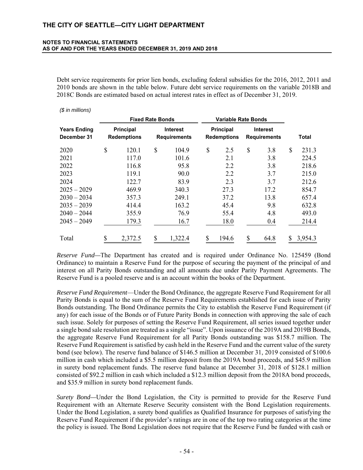*(\$ in millions)*

### **NOTES TO FINANCIAL STATEMENTS AS OF AND FOR THE YEARS ENDED DECEMBER 31, 2019 AND 2018**

Debt service requirements for prior lien bonds, excluding federal subsidies for the 2016, 2012, 2011 and 2010 bonds are shown in the table below. Future debt service requirements on the variable 2018B and 2018C Bonds are estimated based on actual interest rates in effect as of December 31, 2019.

|                                    |              | <b>Fixed Rate Bonds</b>                |              |                                        | <b>Variable Rate Bonds</b>             |    |                                        |             |
|------------------------------------|--------------|----------------------------------------|--------------|----------------------------------------|----------------------------------------|----|----------------------------------------|-------------|
| <b>Years Ending</b><br>December 31 |              | <b>Principal</b><br><b>Redemptions</b> |              | <b>Interest</b><br><b>Requirements</b> | <b>Principal</b><br><b>Redemptions</b> |    | <b>Interest</b><br><b>Requirements</b> | Total       |
| 2020                               | $\mathbb{S}$ | 120.1                                  | $\mathbb{S}$ | 104.9                                  | \$<br>2.5                              | \$ | 3.8                                    | \$<br>231.3 |
| 2021                               |              | 117.0                                  |              | 101.6                                  | 2.1                                    |    | 3.8                                    | 224.5       |
| 2022                               |              | 116.8                                  |              | 95.8                                   | 2.2                                    |    | 3.8                                    | 218.6       |
| 2023                               |              | 119.1                                  |              | 90.0                                   | 2.2                                    |    | 3.7                                    | 215.0       |
| 2024                               |              | 122.7                                  |              | 83.9                                   | 2.3                                    |    | 3.7                                    | 212.6       |
| $2025 - 2029$                      |              | 469.9                                  |              | 340.3                                  | 27.3                                   |    | 17.2                                   | 854.7       |
| $2030 - 2034$                      |              | 357.3                                  |              | 249.1                                  | 37.2                                   |    | 13.8                                   | 657.4       |
| $2035 - 2039$                      |              | 414.4                                  |              | 163.2                                  | 45.4                                   |    | 9.8                                    | 632.8       |
| $2040 - 2044$                      |              | 355.9                                  |              | 76.9                                   | 55.4                                   |    | 4.8                                    | 493.0       |
| $2045 - 2049$                      |              | 179.3                                  |              | 16.7                                   | 18.0                                   |    | 0.4                                    | 214.4       |
| Total                              | \$           | 2,372.5                                | \$           | 1,322.4                                | 194.6                                  | S  | 64.8                                   | 3,954.3     |

*Reserve Fund—*The Department has created and is required under Ordinance No. 125459 (Bond Ordinance) to maintain a Reserve Fund for the purpose of securing the payment of the principal of and interest on all Parity Bonds outstanding and all amounts due under Parity Payment Agreements. The Reserve Fund is a pooled reserve and is an account within the books of the Department.

*Reserve Fund Requirement*—Under the Bond Ordinance, the aggregate Reserve Fund Requirement for all Parity Bonds is equal to the sum of the Reserve Fund Requirements established for each issue of Parity Bonds outstanding. The Bond Ordinance permits the City to establish the Reserve Fund Requirement (if any) for each issue of the Bonds or of Future Parity Bonds in connection with approving the sale of each such issue. Solely for purposes of setting the Reserve Fund Requirement, all series issued together under a single bond sale resolution are treated as a single "issue". Upon issuance of the 2019A and 2019B Bonds, the aggregate Reserve Fund Requirement for all Parity Bonds outstanding was \$158.7 million. The Reserve Fund Requirement is satisfied by cash held in the Reserve Fund and the current value of the surety bond (see below). The reserve fund balance of \$146.5 million at December 31, 2019 consisted of \$100.6 million in cash which included a \$5.5 million deposit from the 2019A bond proceeds, and \$45.9 million in surety bond replacement funds. The reserve fund balance at December 31, 2018 of \$128.1 million consisted of \$92.2 million in cash which included a \$12.3 million deposit from the 2018A bond proceeds, and \$35.9 million in surety bond replacement funds.

*Surety Bond—*Under the Bond Legislation, the City is permitted to provide for the Reserve Fund Requirement with an Alternate Reserve Security consistent with the Bond Legislation requirements. Under the Bond Legislation, a surety bond qualifies as Qualified Insurance for purposes of satisfying the Reserve Fund Requirement if the provider's ratings are in one of the top two rating categories at the time the policy is issued. The Bond Legislation does not require that the Reserve Fund be funded with cash or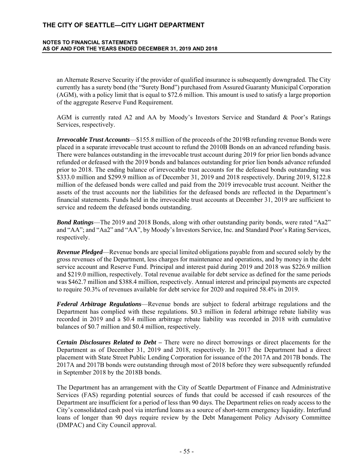### **NOTES TO FINANCIAL STATEMENTS AS OF AND FOR THE YEARS ENDED DECEMBER 31, 2019 AND 2018**

an Alternate Reserve Security if the provider of qualified insurance is subsequently downgraded. The City currently has a surety bond (the "Surety Bond") purchased from Assured Guaranty Municipal Corporation (AGM), with a policy limit that is equal to \$72.6 million. This amount is used to satisfy a large proportion of the aggregate Reserve Fund Requirement.

AGM is currently rated A2 and AA by Moody's Investors Service and Standard & Poor's Ratings Services, respectively.

*Irrevocable Trust Accounts*—\$155.8 million of the proceeds of the 2019B refunding revenue Bonds were placed in a separate irrevocable trust account to refund the 2010B Bonds on an advanced refunding basis. There were balances outstanding in the irrevocable trust account during 2019 for prior lien bonds advance refunded or defeased with the 2019 bonds and balances outstanding for prior lien bonds advance refunded prior to 2018. The ending balance of irrevocable trust accounts for the defeased bonds outstanding was \$333.0 million and \$299.9 million as of December 31, 2019 and 2018 respectively. During 2019, \$122.8 million of the defeased bonds were called and paid from the 2019 irrevocable trust account. Neither the assets of the trust accounts nor the liabilities for the defeased bonds are reflected in the Department's financial statements. Funds held in the irrevocable trust accounts at December 31, 2019 are sufficient to service and redeem the defeased bonds outstanding.

*Bond Ratings*—The 2019 and 2018 Bonds, along with other outstanding parity bonds, were rated "Aa2" and "AA"; and "Aa2" and "AA", by Moody's Investors Service, Inc. and Standard Poor's Rating Services, respectively.

*Revenue Pledged*—Revenue bonds are special limited obligations payable from and secured solely by the gross revenues of the Department, less charges for maintenance and operations, and by money in the debt service account and Reserve Fund. Principal and interest paid during 2019 and 2018 was \$226.9 million and \$219.0 million, respectively. Total revenue available for debt service as defined for the same periods was \$462.7 million and \$388.4 million, respectively. Annual interest and principal payments are expected to require 50.3% of revenues available for debt service for 2020 and required 58.4% in 2019.

*Federal Arbitrage Regulations*—Revenue bonds are subject to federal arbitrage regulations and the Department has complied with these regulations. \$0.3 million in federal arbitrage rebate liability was recorded in 2019 and a \$0.4 million arbitrage rebate liability was recorded in 2018 with cumulative balances of \$0.7 million and \$0.4 million, respectively.

*Certain Disclosures Related to Debt* **–** There were no direct borrowings or direct placements for the Department as of December 31, 2019 and 2018, respectively. In 2017 the Department had a direct placement with State Street Public Lending Corporation for issuance of the 2017A and 2017B bonds. The 2017A and 2017B bonds were outstanding through most of 2018 before they were subsequently refunded in September 2018 by the 2018B bonds.

The Department has an arrangement with the City of Seattle Department of Finance and Administrative Services (FAS) regarding potential sources of funds that could be accessed if cash resources of the Department are insufficient for a period of less than 90 days. The Department relies on ready access to the City's consolidated cash pool via interfund loans as a source of short-term emergency liquidity. Interfund loans of longer than 90 days require review by the Debt Management Policy Advisory Committee (DMPAC) and City Council approval.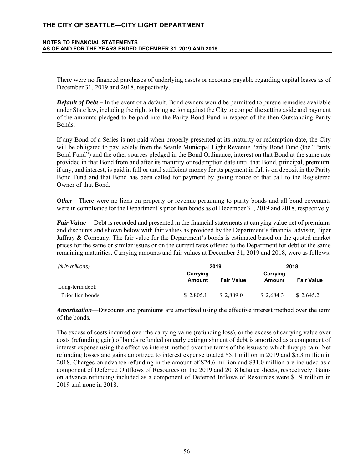### **NOTES TO FINANCIAL STATEMENTS AS OF AND FOR THE YEARS ENDED DECEMBER 31, 2019 AND 2018**

There were no financed purchases of underlying assets or accounts payable regarding capital leases as of December 31, 2019 and 2018, respectively.

*Default of Debt* **–** In the event of a default, Bond owners would be permitted to pursue remedies available under State law, including the right to bring action against the City to compel the setting aside and payment of the amounts pledged to be paid into the Parity Bond Fund in respect of the then-Outstanding Parity Bonds.

If any Bond of a Series is not paid when properly presented at its maturity or redemption date, the City will be obligated to pay, solely from the Seattle Municipal Light Revenue Parity Bond Fund (the "Parity Bond Fund") and the other sources pledged in the Bond Ordinance, interest on that Bond at the same rate provided in that Bond from and after its maturity or redemption date until that Bond, principal, premium, if any, and interest, is paid in full or until sufficient money for its payment in full is on deposit in the Parity Bond Fund and that Bond has been called for payment by giving notice of that call to the Registered Owner of that Bond.

*Other*—There were no liens on property or revenue pertaining to parity bonds and all bond covenants were in compliance for the Department's prior lien bonds as of December 31, 2019 and 2018, respectively.

*Fair Value*— Debt is recorded and presented in the financial statements at carrying value net of premiums and discounts and shown below with fair values as provided by the Department's financial advisor, Piper Jaffray & Company. The fair value for the Department's bonds is estimated based on the quoted market prices for the same or similar issues or on the current rates offered to the Department for debt of the same remaining maturities. Carrying amounts and fair values at December 31, 2019 and 2018, were as follows:

| (\$ in millions) | 2019               |                   | 2018               |                   |  |
|------------------|--------------------|-------------------|--------------------|-------------------|--|
|                  | Carrying<br>Amount | <b>Fair Value</b> | Carrying<br>Amount | <b>Fair Value</b> |  |
| Long-term debt:  |                    |                   |                    |                   |  |
| Prior lien bonds | \$2,805.1          | \$2,889.0         | \$2.684.3          | \$2,645.2         |  |

*Amortization*—Discounts and premiums are amortized using the effective interest method over the term of the bonds.

The excess of costs incurred over the carrying value (refunding loss), or the excess of carrying value over costs (refunding gain) of bonds refunded on early extinguishment of debt is amortized as a component of interest expense using the effective interest method over the terms of the issues to which they pertain. Net refunding losses and gains amortized to interest expense totaled \$5.1 million in 2019 and \$5.3 million in 2018. Charges on advance refunding in the amount of \$24.6 million and \$31.0 million are included as a component of Deferred Outflows of Resources on the 2019 and 2018 balance sheets, respectively. Gains on advance refunding included as a component of Deferred Inflows of Resources were \$1.9 million in 2019 and none in 2018.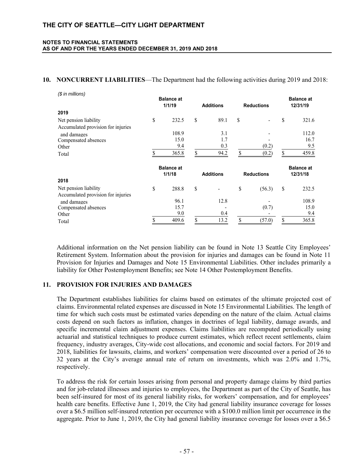### **NOTES TO FINANCIAL STATEMENTS AS OF AND FOR THE YEARS ENDED DECEMBER 31, 2019 AND 2018**

## **10. NONCURRENT LIABILITIES**—The Department had the following activities during 2019 and 2018:

| $$$ in millions)                   | <b>Balance at</b> |                  |                   |    | <b>Balance at</b> |
|------------------------------------|-------------------|------------------|-------------------|----|-------------------|
|                                    | 1/1/19            | <b>Additions</b> | <b>Reductions</b> |    | 12/31/19          |
| 2019                               |                   |                  |                   |    |                   |
| Net pension liability              | \$<br>232.5       | \$<br>89.1       | \$                | \$ | 321.6             |
| Accumulated provision for injuries |                   |                  |                   |    |                   |
| and damages                        | 108.9             | 3.1              |                   |    | 112.0             |
| Compensated absences               | 15.0              | 1.7              |                   |    | 16.7              |
| Other                              | 9.4               | 0.3              | (0.2)             |    | 9.5               |
| Total                              | 365.8             | \$<br>94.2       | \$<br>(0.2)       | S  | 459.8             |
|                                    | <b>Balance at</b> |                  |                   |    | <b>Balance at</b> |
|                                    | 1/1/18            | <b>Additions</b> | <b>Reductions</b> |    | 12/31/18          |
| 2018                               |                   |                  |                   |    |                   |
| Net pension liability              | \$<br>288.8       | \$               | \$<br>(56.3)      | \$ | 232.5             |
| Accumulated provision for injuries |                   |                  |                   |    |                   |
| and damages                        | 96.1              | 12.8             |                   |    | 108.9             |
| Compensated absences               | 15.7              |                  | (0.7)             |    | 15.0              |
| Other                              | 9.0               | 0.4              |                   |    | 9.4               |
| Total                              | 409.6             | \$<br>13.2       | (57.0)            | \$ | 365.8             |

Additional information on the Net pension liability can be found in Note 13 Seattle City Employees' Retirement System. Information about the provision for injuries and damages can be found in Note 11 Provision for Injuries and Damages and Note 15 Environmental Liabilities. Other includes primarily a liability for Other Postemployment Benefits; see Note 14 Other Postemployment Benefits.

# **11. PROVISION FOR INJURIES AND DAMAGES**

The Department establishes liabilities for claims based on estimates of the ultimate projected cost of claims. Environmental related expenses are discussed in Note 15 Environmental Liabilities. The length of time for which such costs must be estimated varies depending on the nature of the claim. Actual claims costs depend on such factors as inflation, changes in doctrines of legal liability, damage awards, and specific incremental claim adjustment expenses. Claims liabilities are recomputed periodically using actuarial and statistical techniques to produce current estimates, which reflect recent settlements, claim frequency, industry averages, City-wide cost allocations, and economic and social factors. For 2019 and 2018, liabilities for lawsuits, claims, and workers' compensation were discounted over a period of 26 to 32 years at the City's average annual rate of return on investments, which was 2.0% and 1.7%, respectively.

To address the risk for certain losses arising from personal and property damage claims by third parties and for job-related illnesses and injuries to employees, the Department as part of the City of Seattle, has been self-insured for most of its general liability risks, for workers' compensation, and for employees' health care benefits. Effective June 1, 2019, the City had general liability insurance coverage for losses over a \$6.5 million self-insured retention per occurrence with a \$100.0 million limit per occurrence in the aggregate. Prior to June 1, 2019, the City had general liability insurance coverage for losses over a \$6.5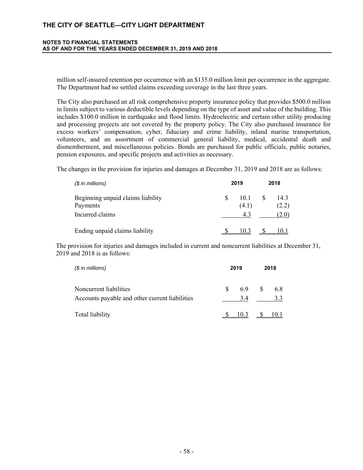### **NOTES TO FINANCIAL STATEMENTS AS OF AND FOR THE YEARS ENDED DECEMBER 31, 2019 AND 2018**

million self-insured retention per occurrence with an \$135.0 million limit per occurrence in the aggregate. The Department had no settled claims exceeding coverage in the last three years.

The City also purchased an all risk comprehensive property insurance policy that provides \$500.0 million in limits subject to various deductible levels depending on the type of asset and value of the building. This includes \$100.0 million in earthquake and flood limits. Hydroelectric and certain other utility producing and processing projects are not covered by the property policy. The City also purchased insurance for excess workers' compensation, cyber, fiduciary and crime liability, inland marine transportation, volunteers, and an assortment of commercial general liability, medical, accidental death and dismemberment, and miscellaneous policies. Bonds are purchased for public officials, public notaries, pension exposures, and specific projects and activities as necessary.

The changes in the provision for injuries and damages at December 31, 2019 and 2018 are as follows:

| $$$ in millions)                              | 2019 | 2018          |  |               |
|-----------------------------------------------|------|---------------|--|---------------|
| Beginning unpaid claims liability<br>Payments | S    | 10.1<br>(4.1) |  | 14.3<br>(2.2) |
| Incurred claims                               |      | 4.3           |  | (2.0)         |
| Ending unpaid claims liability                |      | 10.3          |  | 10.1          |

The provision for injuries and damages included in current and noncurrent liabilities at December 31, 2019 and 2018 is as follows:

| $$$ in millions)                                                         |     | 2019           |              |            |
|--------------------------------------------------------------------------|-----|----------------|--------------|------------|
| Noncurrent liabilities<br>Accounts payable and other current liabilities | \$. | 6.9<br>3.4     | <sup>S</sup> | 6.8<br>3.3 |
| Total liability                                                          |     | $10.3$ \$ 10.1 |              |            |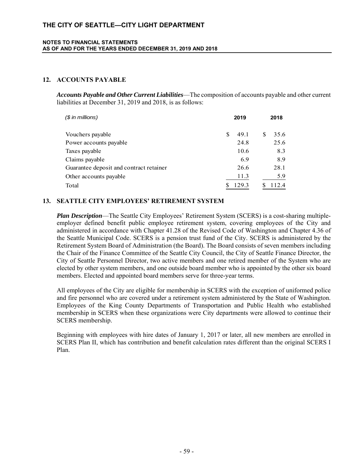# **12. ACCOUNTS PAYABLE**

*Accounts Payable and Other Current Liabilities*—The composition of accounts payable and other current liabilities at December 31, 2019 and 2018, is as follows:

| $(S \in \mathbb{R})$ in millions)       |     | 2019  | 2018 |      |
|-----------------------------------------|-----|-------|------|------|
| Vouchers payable                        | \$. | 49.1  |      | 35.6 |
| Power accounts payable                  |     | 24.8  |      | 25.6 |
| Taxes payable                           |     | 10.6  |      | 8.3  |
| Claims payable                          |     | 6.9   |      | 8.9  |
| Guarantee deposit and contract retainer |     | 26.6  |      | 28.1 |
| Other accounts payable                  |     | 11.3  |      | 5.9  |
| Total                                   |     | 129.3 |      |      |

# **13. SEATTLE CITY EMPLOYEES' RETIREMENT SYSTEM**

*Plan Description*—The Seattle City Employees' Retirement System (SCERS) is a cost-sharing multipleemployer defined benefit public employee retirement system, covering employees of the City and administered in accordance with Chapter 41.28 of the Revised Code of Washington and Chapter 4.36 of the Seattle Municipal Code. SCERS is a pension trust fund of the City. SCERS is administered by the Retirement System Board of Administration (the Board). The Board consists of seven members including the Chair of the Finance Committee of the Seattle City Council, the City of Seattle Finance Director, the City of Seattle Personnel Director, two active members and one retired member of the System who are elected by other system members, and one outside board member who is appointed by the other six board members. Elected and appointed board members serve for three-year terms.

All employees of the City are eligible for membership in SCERS with the exception of uniformed police and fire personnel who are covered under a retirement system administered by the State of Washington. Employees of the King County Departments of Transportation and Public Health who established membership in SCERS when these organizations were City departments were allowed to continue their SCERS membership.

Beginning with employees with hire dates of January 1, 2017 or later, all new members are enrolled in SCERS Plan II, which has contribution and benefit calculation rates different than the original SCERS I Plan.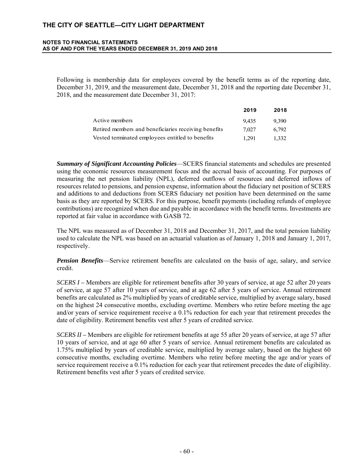### **NOTES TO FINANCIAL STATEMENTS AS OF AND FOR THE YEARS ENDED DECEMBER 31, 2019 AND 2018**

Following is membership data for employees covered by the benefit terms as of the reporting date, December 31, 2019, and the measurement date, December 31, 2018 and the reporting date December 31, 2018, and the measurement date December 31, 2017:

|                                                      | 2019  | 2018  |
|------------------------------------------------------|-------|-------|
| Active members                                       | 9.435 | 9.390 |
| Retired members and beneficiaries receiving benefits | 7.027 | 6.792 |
| Vested terminated employees entitled to benefits     | 1.291 | 1.332 |

*Summary of Significant Accounting Policies*—SCERS financial statements and schedules are presented using the economic resources measurement focus and the accrual basis of accounting. For purposes of measuring the net pension liability (NPL), deferred outflows of resources and deferred inflows of resources related to pensions, and pension expense, information about the fiduciary net position of SCERS and additions to and deductions from SCERS fiduciary net position have been determined on the same basis as they are reported by SCERS. For this purpose, benefit payments (including refunds of employee contributions) are recognized when due and payable in accordance with the benefit terms. Investments are reported at fair value in accordance with GASB 72.

The NPL was measured as of December 31, 2018 and December 31, 2017, and the total pension liability used to calculate the NPL was based on an actuarial valuation as of January 1, 2018 and January 1, 2017, respectively.

*Pension Benefits*—Service retirement benefits are calculated on the basis of age, salary, and service credit.

*SCERS I –* Members are eligible for retirement benefits after 30 years of service, at age 52 after 20 years of service, at age 57 after 10 years of service, and at age 62 after 5 years of service. Annual retirement benefits are calculated as 2% multiplied by years of creditable service, multiplied by average salary, based on the highest 24 consecutive months, excluding overtime. Members who retire before meeting the age and/or years of service requirement receive a 0.1% reduction for each year that retirement precedes the date of eligibility. Retirement benefits vest after 5 years of credited service.

*SCERS II –* Members are eligible for retirement benefits at age 55 after 20 years of service, at age 57 after 10 years of service, and at age 60 after 5 years of service. Annual retirement benefits are calculated as 1.75% multiplied by years of creditable service, multiplied by average salary, based on the highest 60 consecutive months, excluding overtime. Members who retire before meeting the age and/or years of service requirement receive a 0.1% reduction for each year that retirement precedes the date of eligibility. Retirement benefits vest after 5 years of credited service.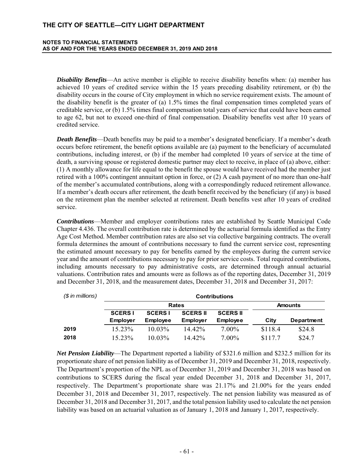### **NOTES TO FINANCIAL STATEMENTS AS OF AND FOR THE YEARS ENDED DECEMBER 31, 2019 AND 2018**

*Disability Benefits*—An active member is eligible to receive disability benefits when: (a) member has achieved 10 years of credited service within the 15 years preceding disability retirement, or (b) the disability occurs in the course of City employment in which no service requirement exists. The amount of the disability benefit is the greater of (a) 1.5% times the final compensation times completed years of creditable service, or (b) 1.5% times final compensation total years of service that could have been earned to age 62, but not to exceed one-third of final compensation. Disability benefits vest after 10 years of credited service.

*Death Benefits*—Death benefits may be paid to a member's designated beneficiary. If a member's death occurs before retirement, the benefit options available are (a) payment to the beneficiary of accumulated contributions, including interest, or (b) if the member had completed 10 years of service at the time of death, a surviving spouse or registered domestic partner may elect to receive, in place of (a) above, either: (1) A monthly allowance for life equal to the benefit the spouse would have received had the member just retired with a 100% contingent annuitant option in force, or (2) A cash payment of no more than one-half of the member's accumulated contributions, along with a correspondingly reduced retirement allowance. If a member's death occurs after retirement, the death benefit received by the beneficiary (if any) is based on the retirement plan the member selected at retirement. Death benefits vest after 10 years of credited service.

*Contributions*—Member and employer contributions rates are established by Seattle Municipal Code Chapter 4.436. The overall contribution rate is determined by the actuarial formula identified as the Entry Age Cost Method. Member contribution rates are also set via collective bargaining contracts. The overall formula determines the amount of contributions necessary to fund the current service cost, representing the estimated amount necessary to pay for benefits earned by the employees during the current service year and the amount of contributions necessary to pay for prior service costs. Total required contributions, including amounts necessary to pay administrative costs, are determined through annual actuarial valuations. Contribution rates and amounts were as follows as of the reporting dates, December 31, 2019 and December 31, 2018, and the measurement dates, December 31, 2018 and December 31, 2017:

| $$$ in millions) |                 |                 |                 | <b>Contributions</b> |         |                   |
|------------------|-----------------|-----------------|-----------------|----------------------|---------|-------------------|
|                  |                 | <b>Rates</b>    | Amounts         |                      |         |                   |
|                  | <b>SCERS I</b>  | <b>SCERS I</b>  | <b>SCERS II</b> | <b>SCERS II</b>      |         |                   |
|                  | <b>Employer</b> | <b>Employee</b> | <b>Employer</b> | <b>Employee</b>      | City    | <b>Department</b> |
| 2019             | $15.23\%$       | $10.03\%$       | 14.42%          | 7.00%                | \$118.4 | \$24.8            |
| 2018             | 15.23%          | 10.03%          | 14.42%          | $7.00\%$             | \$117.7 | \$24.7            |

*Net Pension Liability*—The Department reported a liability of \$321.6 million and \$232.5 million for its proportionate share of net pension liability as of December 31, 2019 and December 31, 2018, respectively. The Department's proportion of the NPL as of December 31, 2019 and December 31, 2018 was based on contributions to SCERS during the fiscal year ended December 31, 2018 and December 31, 2017, respectively. The Department's proportionate share was 21.17% and 21.00% for the years ended December 31, 2018 and December 31, 2017, respectively. The net pension liability was measured as of December 31, 2018 and December 31, 2017, and the total pension liability used to calculate the net pension liability was based on an actuarial valuation as of January 1, 2018 and January 1, 2017, respectively.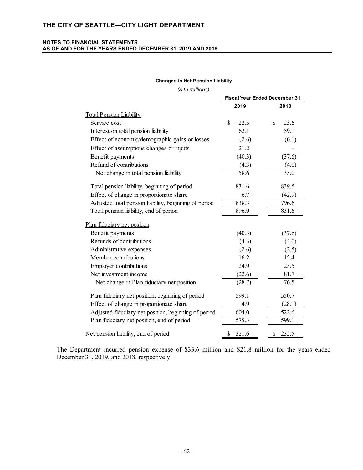### **NOTES TO FINANCIAL STATEMENTS AS OF AND FOR THE YEARS ENDED DECEMBER 31, 2019 AND 2018**

### **Changes in Net Pension Liability**

*(\$ In millions)*

|                                                       | <b>Fiscal Year Ended December 31</b> |             |
|-------------------------------------------------------|--------------------------------------|-------------|
|                                                       | 2019                                 | 2018        |
| <b>Total Pension Liability</b>                        |                                      |             |
| Service cost                                          | \$<br>22.5                           | \$<br>23.6  |
| Interest on total pension liability                   | 62.1                                 | 59.1        |
| Effect of economic/demographic gains or losses        | (2.6)                                | (6.1)       |
| Effect of assumptions changes or inputs               | 21.2                                 |             |
| Benefit payments                                      | (40.3)                               | (37.6)      |
| Refund of contributions                               | (4.3)                                | (4.0)       |
| Net change in total pension liability                 | 58.6                                 | 35.0        |
| Total pension liability, beginning of period          | 831.6                                | 839.5       |
| Effect of change in proportionate share               | 6.7                                  | (42.9)      |
| Adjusted total pension liability, beginning of period | 838.3                                | 796.6       |
| Total pension liability, end of period                | 896.9                                | 831.6       |
| Plan fiduciary net position                           |                                      |             |
| Benefit payments                                      | (40.3)                               | (37.6)      |
| Refunds of contributions                              | (4.3)                                | (4.0)       |
| Administrative expenses                               | (2.6)                                | (2.5)       |
| Member contributions                                  | 16.2                                 | 15.4        |
| <b>Employer contributions</b>                         | 24.9                                 | 23.5        |
| Net investment income                                 | (22.6)                               | 81.7        |
| Net change in Plan fiduciary net position             | (28.7)                               | 76.5        |
| Plan fiduciary net position, beginning of period      | 599.1                                | 550.7       |
| Effect of change in proportionate share               | 4.9                                  | (28.1)      |
| Adjusted fiduciary net position, beginning of period  | 604.0                                | 522.6       |
| Plan fiduciary net position, end of period            | 575.3                                | 599.1       |
| Net pension liability, end of period                  | \$<br>321.6                          | \$<br>232.5 |

The Department incurred pension expense of \$33.6 million and \$21.8 million for the years ended December 31, 2019, and 2018, respectively.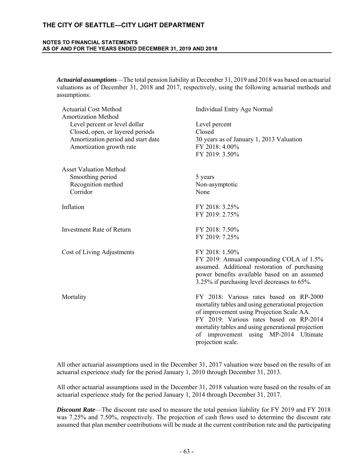### **NOTES TO FINANCIAL STATEMENTS AS OF AND FOR THE YEARS ENDED DECEMBER 31, 2019 AND 2018**

*Actuarial assumptions*—The total pension liability at December 31, 2019 and 2018 was based on actuarial valuations as of December 31, 2018 and 2017, respectively, using the following actuarial methods and assumptions:

| <b>Actuarial Cost Method</b><br><b>Amortization Method</b>                          | Individual Entry Age Normal                                                                                                                                                                                                                                                                               |
|-------------------------------------------------------------------------------------|-----------------------------------------------------------------------------------------------------------------------------------------------------------------------------------------------------------------------------------------------------------------------------------------------------------|
| Level percent or level dollar<br>Closed, open, or layered periods                   | Level percent<br>Closed                                                                                                                                                                                                                                                                                   |
| Amortization period and start date<br>Amortization growth rate                      | 30 years as of January 1, 2013 Valuation<br>FY 2018: 4.00%<br>FY 2019: 3.50%                                                                                                                                                                                                                              |
| <b>Asset Valuation Method</b><br>Smoothing period<br>Recognition method<br>Corridor | 5 years<br>Non-asymptotic<br>None                                                                                                                                                                                                                                                                         |
| Inflation                                                                           | FY 2018: 3.25%<br>FY 2019: 2.75%                                                                                                                                                                                                                                                                          |
| Investment Rate of Return                                                           | FY 2018: 7.50%<br>FY 2019: 7.25%                                                                                                                                                                                                                                                                          |
| Cost of Living Adjustments                                                          | FY 2018: 1.50%<br>FY 2019: Annual compounding COLA of 1.5%<br>assumed. Additional restoration of purchasing<br>power benefits available based on an assumed<br>3.25% if purchasing level decreases to 65%.                                                                                                |
| Mortality                                                                           | FY 2018: Various rates based on RP-2000<br>mortality tables and using generational projection<br>of improvement using Projection Scale AA.<br>FY 2019: Various rates based on RP-2014<br>mortality tables and using generational projection<br>of improvement using MP-2014 Ultimate<br>projection scale. |

All other actuarial assumptions used in the December 31, 2017 valuation were based on the results of an actuarial experience study for the period January 1, 2010 through December 31, 2013.

All other actuarial assumptions used in the December 31, 2018 valuation were based on the results of an actuarial experience study for the period January 1, 2014 through December 31, 2017.

*Discount Rate*—The discount rate used to measure the total pension liability for FY 2019 and FY 2018 was 7.25% and 7.50%, respectively. The projection of cash flows used to determine the discount rate assumed that plan member contributions will be made at the current contribution rate and the participating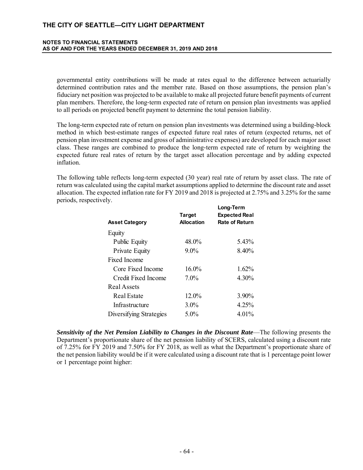### **NOTES TO FINANCIAL STATEMENTS AS OF AND FOR THE YEARS ENDED DECEMBER 31, 2019 AND 2018**

governmental entity contributions will be made at rates equal to the difference between actuarially determined contribution rates and the member rate. Based on those assumptions, the pension plan's fiduciary net position was projected to be available to make all projected future benefit payments of current plan members. Therefore, the long-term expected rate of return on pension plan investments was applied to all periods on projected benefit payment to determine the total pension liability.

The long-term expected rate of return on pension plan investments was determined using a building-block method in which best-estimate ranges of expected future real rates of return (expected returns, net of pension plan investment expense and gross of administrative expenses) are developed for each major asset class. These ranges are combined to produce the long-term expected rate of return by weighting the expected future real rates of return by the target asset allocation percentage and by adding expected inflation.

The following table reflects long-term expected (30 year) real rate of return by asset class. The rate of return was calculated using the capital market assumptions applied to determine the discount rate and asset allocation. The expected inflation rate for FY 2019 and 2018 is projected at 2.75% and 3.25% for the same periods, respectively.

| <b>Asset Category</b>   | <b>Target</b><br><b>Allocation</b> | Long-Term<br><b>Expected Real</b><br><b>Rate of Return</b> |
|-------------------------|------------------------------------|------------------------------------------------------------|
| Equity                  |                                    |                                                            |
| Public Equity           | 48.0%                              | 5.43%                                                      |
| Private Equity          | $9.0\%$                            | 8.40%                                                      |
| <b>Fixed Income</b>     |                                    |                                                            |
| Core Fixed Income       | $16.0\%$                           | 1.62%                                                      |
| Credit Fixed Income     | $7.0\%$                            | 4.30%                                                      |
| Real Assets             |                                    |                                                            |
| <b>Real Estate</b>      | 12.0%                              | 3.90%                                                      |
| Infrastructure          | $3.0\%$                            | 4.25%                                                      |
| Diversifying Strategies | $5.0\%$                            | 4.01%                                                      |

**Sensitivity of the Net Pension Liability to Changes in the Discount Rate—The following presents the** Department's proportionate share of the net pension liability of SCERS, calculated using a discount rate of 7.25% for FY 2019 and 7.50% for FY 2018, as well as what the Department's proportionate share of the net pension liability would be if it were calculated using a discount rate that is 1 percentage point lower or 1 percentage point higher: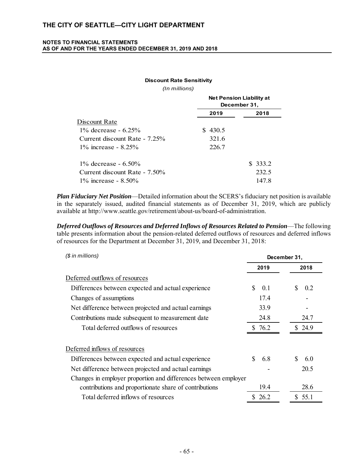### **NOTES TO FINANCIAL STATEMENTS AS OF AND FOR THE YEARS ENDED DECEMBER 31, 2019 AND 2018**

### **Discount Rate Sensitivity**

*(In millions)*

|                               | <b>Net Pension Liability at</b><br>December 31, |          |
|-------------------------------|-------------------------------------------------|----------|
|                               | 2019                                            | 2018     |
| Discount Rate                 |                                                 |          |
| $1\%$ decrease - 6.25%        | 430.5                                           |          |
| Current discount Rate - 7.25% | 321.6                                           |          |
| $1\%$ increase - 8.25%        | 226.7                                           |          |
| $1\%$ decrease - 6.50%        |                                                 | \$ 333.2 |
| Current discount Rate - 7.50% |                                                 | 232.5    |
| $1\%$ increase - 8.50%        |                                                 | 147.8    |

*Plan Fiduciary Net Position*—Detailed information about the SCERS's fiduciary net position is available in the separately issued, audited financial statements as of December 31, 2019, which are publicly available at http://www.seattle.gov/retirement/about-us/board-of-administration.

*Deferred Outflows of Resources and Deferred Inflows of Resources Related to Pension*—The following table presents information about the pension-related deferred outflows of resources and deferred inflows of resources for the Department at December 31, 2019, and December 31, 2018:

| (\$ in millions)                                                |    | December 31, |  |        |  |
|-----------------------------------------------------------------|----|--------------|--|--------|--|
|                                                                 |    | 2019         |  | 2018   |  |
| Deferred outflows of resources                                  |    |              |  |        |  |
| Differences between expected and actual experience              | S. | 0.1          |  | 0.2    |  |
| Changes of assumptions                                          |    | 17.4         |  |        |  |
| Net difference between projected and actual earnings            |    | 33.9         |  |        |  |
| Contributions made subsequent to measurement date               |    | 24.8         |  | 24.7   |  |
| Total deferred outflows of resources                            |    | \$76.2       |  | \$24.9 |  |
| Deferred inflows of resources                                   |    |              |  |        |  |
| Differences between expected and actual experience              | S. | 6.8          |  | 6.0    |  |
| Net difference between projected and actual earnings            |    |              |  | 20.5   |  |
| Changes in employer proportion and differences between employer |    |              |  |        |  |
| contributions and proportionate share of contributions          |    | 19.4         |  | 28.6   |  |
| Total deferred inflows of resources                             |    | \$26.2       |  | \$55.1 |  |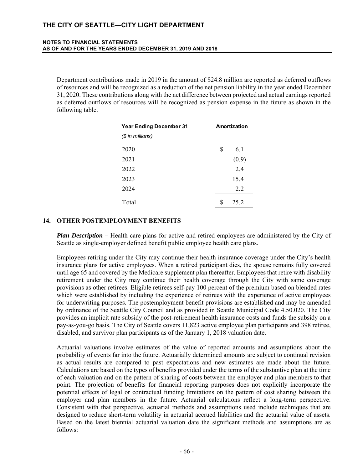### **NOTES TO FINANCIAL STATEMENTS AS OF AND FOR THE YEARS ENDED DECEMBER 31, 2019 AND 2018**

Department contributions made in 2019 in the amount of \$24.8 million are reported as deferred outflows of resources and will be recognized as a reduction of the net pension liability in the year ended December 31, 2020. These contributions along with the net difference between projected and actual earnings reported as deferred outflows of resources will be recognized as pension expense in the future as shown in the following table.

| <b>Year Ending December 31</b> |   | Amortization |
|--------------------------------|---|--------------|
| $$$ in millions)               |   |              |
| 2020                           | S | 6.1          |
| 2021                           |   | (0.9)        |
| 2022                           |   | 2.4          |
| 2023                           |   | 15.4         |
| 2024                           |   | 2.2          |
| Total                          | S | 25.2         |

### **14. OTHER POSTEMPLOYMENT BENEFITS**

*Plan Description –* Health care plans for active and retired employees are administered by the City of Seattle as single-employer defined benefit public employee health care plans.

Employees retiring under the City may continue their health insurance coverage under the City's health insurance plans for active employees. When a retired participant dies, the spouse remains fully covered until age 65 and covered by the Medicare supplement plan thereafter. Employees that retire with disability retirement under the City may continue their health coverage through the City with same coverage provisions as other retirees. Eligible retirees self-pay 100 percent of the premium based on blended rates which were established by including the experience of retirees with the experience of active employees for underwriting purposes. The postemployment benefit provisions are established and may be amended by ordinance of the Seattle City Council and as provided in Seattle Municipal Code 4.50.020. The City provides an implicit rate subsidy of the post-retirement health insurance costs and funds the subsidy on a pay-as-you-go basis. The City of Seattle covers 11,823 active employee plan participants and 398 retiree, disabled, and survivor plan participants as of the January 1, 2018 valuation date.

Actuarial valuations involve estimates of the value of reported amounts and assumptions about the probability of events far into the future. Actuarially determined amounts are subject to continual revision as actual results are compared to past expectations and new estimates are made about the future. Calculations are based on the types of benefits provided under the terms of the substantive plan at the time of each valuation and on the pattern of sharing of costs between the employer and plan members to that point. The projection of benefits for financial reporting purposes does not explicitly incorporate the potential effects of legal or contractual funding limitations on the pattern of cost sharing between the employer and plan members in the future. Actuarial calculations reflect a long-term perspective. Consistent with that perspective, actuarial methods and assumptions used include techniques that are designed to reduce short-term volatility in actuarial accrued liabilities and the actuarial value of assets. Based on the latest biennial actuarial valuation date the significant methods and assumptions are as follows: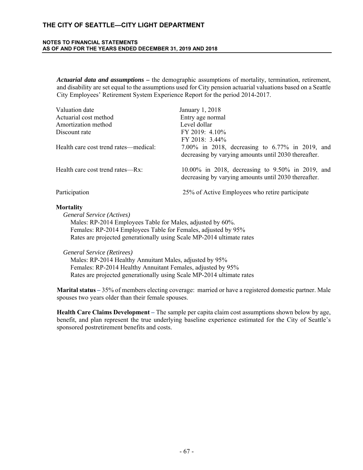### **NOTES TO FINANCIAL STATEMENTS AS OF AND FOR THE YEARS ENDED DECEMBER 31, 2019 AND 2018**

*Actuarial data and assumptions –* the demographic assumptions of mortality, termination, retirement, and disability are set equal to the assumptions used for City pension actuarial valuations based on a Seattle City Employees' Retirement System Experience Report for the period 2014-2017.

| Valuation date                        | January 1, 2018                                      |
|---------------------------------------|------------------------------------------------------|
| Actuarial cost method                 | Entry age normal                                     |
| Amortization method                   | Level dollar                                         |
| Discount rate                         | $FY$ 2019: 4.10%                                     |
|                                       | FY 2018: 3.44%                                       |
| Health care cost trend rates—medical: | 7.00% in 2018, decreasing to 6.77% in 2019, and      |
|                                       | decreasing by varying amounts until 2030 thereafter. |
| Health care cost trend rates—Rx:      | 10.00% in 2018, decreasing to 9.50% in 2019, and     |
|                                       | decreasing by varying amounts until 2030 thereafter. |
| Participation                         | 25% of Active Employees who retire participate       |

### **Mortality**

*General Service (Actives)* 

Males: RP-2014 Employees Table for Males, adjusted by 60%. Females: RP-2014 Employees Table for Females, adjusted by 95% Rates are projected generationally using Scale MP-2014 ultimate rates

### *General Service (Retirees)*

Males: RP-2014 Healthy Annuitant Males, adjusted by 95% Females: RP-2014 Healthy Annuitant Females, adjusted by 95% Rates are projected generationally using Scale MP-2014 ultimate rates

**Marital status** *–* 35% of members electing coverage: married or have a registered domestic partner. Male spouses two years older than their female spouses.

**Health Care Claims Development** *–* The sample per capita claim cost assumptions shown below by age, benefit, and plan represent the true underlying baseline experience estimated for the City of Seattle's sponsored postretirement benefits and costs.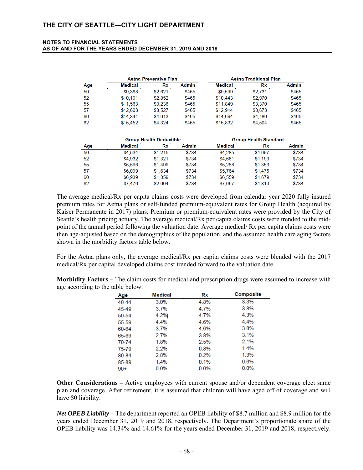### **NOTES TO FINANCIAL STATEMENTS AS OF AND FOR THE YEARS ENDED DECEMBER 31, 2019 AND 2018**

|     |          | Aetna Preventive Plan |       |          | <b>Aetna Traditional Plan</b> |       |
|-----|----------|-----------------------|-------|----------|-------------------------------|-------|
| Age | Medical  | Rx                    | Admin | Medical  | Rx                            | Admin |
| 50  | \$9,368  | \$2.621               | \$465 | \$9,599  | \$2,731                       | \$465 |
| 52  | \$10,191 | \$2,852               | \$465 | \$10,443 | \$2,970                       | \$465 |
| 55  | \$11,563 | \$3,236               | \$465 | \$11,849 | \$3,370                       | \$465 |
| 57  | \$12,603 | \$3,527               | \$465 | \$12,914 | \$3,673                       | \$465 |
| 60  | \$14,341 | \$4,013               | \$465 | \$14,694 | \$4,180                       | \$465 |
| 62  | \$15,452 | \$4,324               | \$465 | \$15,832 | \$4,504                       | \$465 |

|     |         | <b>Group Health Deductible</b> |       |         | <b>Group Health Standard</b> |              |
|-----|---------|--------------------------------|-------|---------|------------------------------|--------------|
| Age | Medical | Rx                             | Admin | Medical | Rx                           | <b>Admin</b> |
| 50  | \$4,534 | \$1,215                        | \$734 | \$4.285 | \$1,097                      | \$734        |
| 52  | \$4,932 | \$1,321                        | \$734 | \$4,661 | \$1,193                      | \$734        |
| 55  | \$5,596 | \$1,499                        | \$734 | \$5,288 | \$1,353                      | \$734        |
| 57  | \$6,099 | \$1,634                        | \$734 | \$5,764 | \$1,475                      | \$734        |
| 60  | \$6,939 | \$1,859                        | \$734 | \$6,559 | \$1,679                      | \$734        |
| 62  | \$7,476 | \$2,004                        | \$734 | \$7.067 | \$1,810                      | \$734        |

The average medical/Rx per capita claims costs were developed from calendar year 2020 fully insured premium rates for Aetna plans or self-funded premium-equivalent rates for Group Health (acquired by Kaiser Permanente in 2017) plans. Premium or premium-equivalent rates were provided by the City of Seattle's health pricing actuary. The average medical/Rx per capita claims costs were trended to the midpoint of the annual period following the valuation date. Average medical/ Rx per capita claims costs were then age-adjusted based on the demographics of the population, and the assumed health care aging factors shown in the morbidity factors table below.

For the Aetna plans only, the average medical/Rx per capita claims costs were blended with the 2017 medical/Rx per capital developed claims cost trended forward to the valuation date.

**Morbidity Factors** *–* The claim costs for medical and prescription drugs were assumed to increase with age according to the table below.

| Age   | <b>Medical</b> | Rx   | Composite |
|-------|----------------|------|-----------|
| 40-44 | 3.0%           | 4.8% | 3.3%      |
| 45-49 | 3.7%           | 4.7% | 3.8%      |
| 50-54 | 4.2%           | 4.7% | 4.3%      |
| 55-59 | 4.4%           | 4.6% | 4.4%      |
| 60-64 | 3.7%           | 4.6% | 3.8%      |
| 65-69 | 2.7%           | 3.8% | 3.1%      |
| 70-74 | 1.8%           | 2.5% | 2.1%      |
| 75-79 | 2.2%           | 0.8% | 1.4%      |
| 80-84 | 2.8%           | 0.2% | 1.3%      |
| 85-89 | 1.4%           | 0.1% | 0.6%      |
| $90+$ | $0.0\%$        | 0.0% | $0.0\%$   |

**Other Considerations** *–* Active employees with current spouse and/or dependent coverage elect same plan and coverage. After retirement, it is assumed that children will have aged off of coverage and will have \$0 liability.

*Net OPEB Liability –* The department reported an OPEB liability of \$8.7 million and \$8.9 million for the years ended December 31, 2019 and 2018, respectively. The Department's proportionate share of the OPEB liability was 14.34% and 14.61% for the years ended December 31, 2019 and 2018, respectively.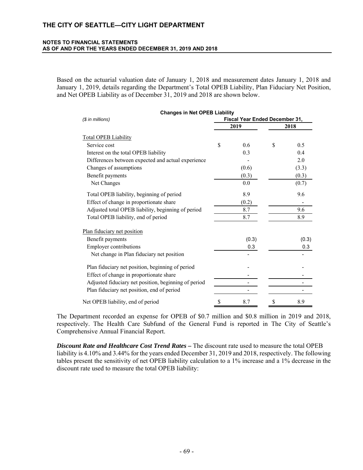#### **NOTES TO FINANCIAL STATEMENTS AS OF AND FOR THE YEARS ENDED DECEMBER 31, 2019 AND 2018**

Based on the actuarial valuation date of January 1, 2018 and measurement dates January 1, 2018 and January 1, 2019, details regarding the Department's Total OPEB Liability, Plan Fiduciary Net Position, and Net OPEB Liability as of December 31, 2019 and 2018 are shown below.

| <b>Changes in Net OPEB Liability</b>                 |                                |       |    |       |  |
|------------------------------------------------------|--------------------------------|-------|----|-------|--|
| $($$ in millions)                                    | Fiscal Year Ended December 31, |       |    |       |  |
|                                                      |                                | 2019  |    | 2018  |  |
| <b>Total OPEB Liability</b>                          |                                |       |    |       |  |
| Service cost                                         | \$                             | 0.6   | S  | 0.5   |  |
| Interest on the total OPEB liability                 |                                | 0.3   |    | 0.4   |  |
| Differences between expected and actual experience   |                                |       |    | 2.0   |  |
| Changes of assumptions                               |                                | (0.6) |    | (3.3) |  |
| Benefit payments                                     |                                | (0.3) |    | (0.3) |  |
| Net Changes                                          |                                | 0.0   |    | (0.7) |  |
| Total OPEB liability, beginning of period            |                                | 8.9   |    | 9.6   |  |
| Effect of change in proportionate share              |                                | (0.2) |    |       |  |
| Adjusted total OPEB liability, beginning of period   |                                | 8.7   |    | 9.6   |  |
| Total OPEB liability, end of period                  |                                | 8.7   |    | 8.9   |  |
| Plan fiduciary net position                          |                                |       |    |       |  |
| Benefit payments                                     |                                | (0.3) |    | (0.3) |  |
| <b>Employer contributions</b>                        |                                | 0.3   |    | 0.3   |  |
| Net change in Plan fiduciary net position            |                                |       |    |       |  |
| Plan fiduciary net position, beginning of period     |                                |       |    |       |  |
| Effect of change in proportionate share              |                                |       |    |       |  |
| Adjusted fiduciary net position, beginning of period |                                |       |    |       |  |
| Plan fiduciary net position, end of period           |                                |       |    |       |  |
| Net OPEB liability, end of period                    | \$                             | 8.7   | \$ | 8.9   |  |

The Department recorded an expense for OPEB of \$0.7 million and \$0.8 million in 2019 and 2018, respectively. The Health Care Subfund of the General Fund is reported in The City of Seattle's Comprehensive Annual Financial Report.

*Discount Rate and Healthcare Cost Trend Rates –* The discount rate used to measure the total OPEB liability is 4.10% and 3.44% for the years ended December 31, 2019 and 2018, respectively. The following tables present the sensitivity of net OPEB liability calculation to a 1% increase and a 1% decrease in the discount rate used to measure the total OPEB liability: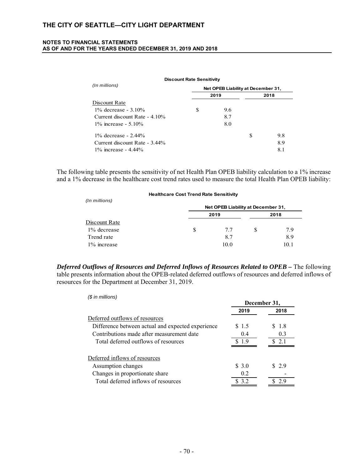#### **NOTES TO FINANCIAL STATEMENTS AS OF AND FOR THE YEARS ENDED DECEMBER 31, 2019 AND 2018**

|                               | <b>Discount Rate Sensitivity</b>   |      |   |      |  |
|-------------------------------|------------------------------------|------|---|------|--|
| (In millions)                 | Net OPEB Liability at December 31, |      |   |      |  |
|                               |                                    | 2019 |   | 2018 |  |
| Discount Rate                 |                                    |      |   |      |  |
| $1\%$ decrease - $3.10\%$     | S                                  | 9.6  |   |      |  |
| Current discount Rate - 4.10% |                                    | 8.7  |   |      |  |
| $1\%$ increase - 5.10%        |                                    | 8.0  |   |      |  |
| $1\%$ decrease - $2.44\%$     |                                    |      | S | 9.8  |  |
| Current discount Rate - 3.44% |                                    |      |   | 8.9  |  |
| $1\%$ increase - $4.44\%$     |                                    |      |   | 8.1  |  |

The following table presents the sensitivity of net Health Plan OPEB liability calculation to a 1% increase and a 1% decrease in the healthcare cost trend rates used to measure the total Health Plan OPEB liability:

**Healthcare Cost Trend Rate Sensitivity**

| <b>NUMBER OF STREET IS NOT THE LIGHT OF BUILDING</b> |   |                                    |      |      |
|------------------------------------------------------|---|------------------------------------|------|------|
| (In millions)                                        |   |                                    |      |      |
|                                                      |   | Net OPEB Liability at December 31, |      |      |
|                                                      |   | 2019                               | 2018 |      |
| Discount Rate                                        |   |                                    |      |      |
| 1% decrease                                          | S | 7.7                                |      | 7.9  |
| Trend rate                                           |   | 8.7                                |      | 8.9  |
| 1% increase                                          |   | 10.0                               |      | 10.1 |

*Deferred Outflows of Resources and Deferred Inflows of Resources Related to OPEB –* The following table presents information about the OPEB-related deferred outflows of resources and deferred inflows of resources for the Department at December 31, 2019.

| $(S \in \mathbb{R})$ in millions)                 |        | December 31, |
|---------------------------------------------------|--------|--------------|
|                                                   | 2019   | 2018         |
| Deferred outflows of resources                    |        |              |
| Difference between actual and expected experience | \$ 1.5 | \$1.8        |
| Contributions made after measurement date         | 0.4    | 0.3          |
| Total deferred outflows of resources              | S 19   | 2.1          |
| Deferred inflows of resources                     |        |              |
| Assumption changes                                | \$3.0  | \$2.9        |
| Changes in proportionate share                    | 0.2    |              |
| Total deferred inflows of resources               | \$ 3.2 | 2.9          |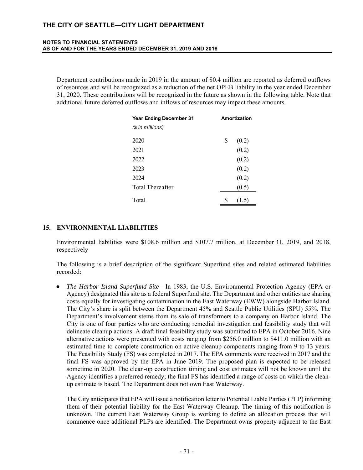#### **NOTES TO FINANCIAL STATEMENTS AS OF AND FOR THE YEARS ENDED DECEMBER 31, 2019 AND 2018**

Department contributions made in 2019 in the amount of \$0.4 million are reported as deferred outflows of resources and will be recognized as a reduction of the net OPEB liability in the year ended December 31, 2020. These contributions will be recognized in the future as shown in the following table. Note that additional future deferred outflows and inflows of resources may impact these amounts.

| <b>Year Ending December 31</b><br>(\$ in millions) | Amortization |       |  |
|----------------------------------------------------|--------------|-------|--|
| 2020                                               | \$           | (0.2) |  |
| 2021                                               |              | (0.2) |  |
| 2022                                               |              | (0.2) |  |
| 2023                                               |              | (0.2) |  |
| 2024                                               |              | (0.2) |  |
| Total Thereafter                                   |              | (0.5) |  |
| Total                                              |              | (1.5) |  |

### **15. ENVIRONMENTAL LIABILITIES**

Environmental liabilities were \$108.6 million and \$107.7 million, at December 31, 2019, and 2018, respectively

The following is a brief description of the significant Superfund sites and related estimated liabilities recorded:

● *The Harbor Island Superfund Site*—In 1983, the U.S. Environmental Protection Agency (EPA or Agency) designated this site as a federal Superfund site. The Department and other entities are sharing costs equally for investigating contamination in the East Waterway (EWW) alongside Harbor Island. The City's share is split between the Department 45% and Seattle Public Utilities (SPU) 55%. The Department's involvement stems from its sale of transformers to a company on Harbor Island. The City is one of four parties who are conducting remedial investigation and feasibility study that will delineate cleanup actions. A draft final feasibility study was submitted to EPA in October 2016. Nine alternative actions were presented with costs ranging from \$256.0 million to \$411.0 million with an estimated time to complete construction on active cleanup components ranging from 9 to 13 years. The Feasibility Study (FS) was completed in 2017. The EPA comments were received in 2017 and the final FS was approved by the EPA in June 2019. The proposed plan is expected to be released sometime in 2020. The clean-up construction timing and cost estimates will not be known until the Agency identifies a preferred remedy; the final FS has identified a range of costs on which the cleanup estimate is based. The Department does not own East Waterway.

The City anticipates that EPA will issue a notification letter to Potential Liable Parties (PLP) informing them of their potential liability for the East Waterway Cleanup. The timing of this notification is unknown. The current East Waterway Group is working to define an allocation process that will commence once additional PLPs are identified. The Department owns property adjacent to the East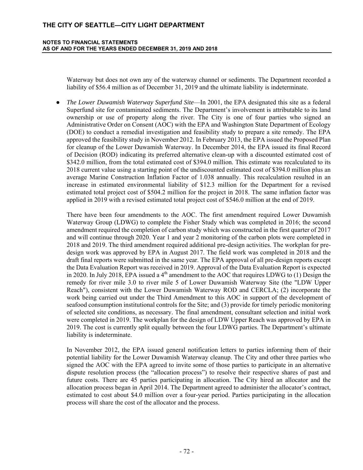#### **NOTES TO FINANCIAL STATEMENTS AS OF AND FOR THE YEARS ENDED DECEMBER 31, 2019 AND 2018**

Waterway but does not own any of the waterway channel or sediments. The Department recorded a liability of \$56.4 million as of December 31, 2019 and the ultimate liability is indeterminate.

• *The Lower Duwamish Waterway Superfund Site*—In 2001, the EPA designated this site as a federal Superfund site for contaminated sediments. The Department's involvement is attributable to its land ownership or use of property along the river. The City is one of four parties who signed an Administrative Order on Consent (AOC) with the EPA and Washington State Department of Ecology (DOE) to conduct a remedial investigation and feasibility study to prepare a site remedy. The EPA approved the feasibility study in November 2012. In February 2013, the EPA issued the Proposed Plan for cleanup of the Lower Duwamish Waterway. In December 2014, the EPA issued its final Record of Decision (ROD) indicating its preferred alternative clean-up with a discounted estimated cost of \$342.0 million, from the total estimated cost of \$394.0 million. This estimate was recalculated to its 2018 current value using a starting point of the undiscounted estimated cost of \$394.0 million plus an average Marine Construction Inflation Factor of 1.038 annually. This recalculation resulted in an increase in estimated environmental liability of \$12.3 million for the Department for a revised estimated total project cost of \$504.2 million for the project in 2018. The same inflation factor was applied in 2019 with a revised estimated total project cost of \$546.0 million at the end of 2019.

There have been four amendments to the AOC. The first amendment required Lower Duwamish Waterway Group (LDWG) to complete the Fisher Study which was completed in 2016; the second amendment required the completion of carbon study which was constructed in the first quarter of 2017 and will continue through 2020. Year 1 and year 2 monitoring of the carbon plots were completed in 2018 and 2019. The third amendment required additional pre-design activities. The workplan for predesign work was approved by EPA in August 2017. The field work was completed in 2018 and the draft final reports were submitted in the same year. The EPA approval of all pre-design reports except the Data Evaluation Report was received in 2019. Approval of the Data Evaluation Report is expected in 2020. In July 2018, EPA issued a  $4<sup>th</sup>$  amendment to the AOC that requires LDWG to (1) Design the remedy for river mile 3.0 to river mile 5 of Lower Duwamish Waterway Site (the "LDW Upper Reach"), consistent with the Lower Duwamish Waterway ROD and CERCLA; (2) incorporate the work being carried out under the Third Amendment to this AOC in support of the development of seafood consumption institutional controls for the Site; and (3) provide for timely periodic monitoring of selected site conditions, as necessary. The final amendment, consultant selection and initial work were completed in 2019. The workplan for the design of LDW Upper Reach was approved by EPA in 2019. The cost is currently split equally between the four LDWG parties. The Department's ultimate liability is indeterminate.

In November 2012, the EPA issued general notification letters to parties informing them of their potential liability for the Lower Duwamish Waterway cleanup. The City and other three parties who signed the AOC with the EPA agreed to invite some of those parties to participate in an alternative dispute resolution process (the "allocation process") to resolve their respective shares of past and future costs. There are 45 parties participating in allocation. The City hired an allocator and the allocation process began in April 2014. The Department agreed to administer the allocator's contract, estimated to cost about \$4.0 million over a four-year period. Parties participating in the allocation process will share the cost of the allocator and the process.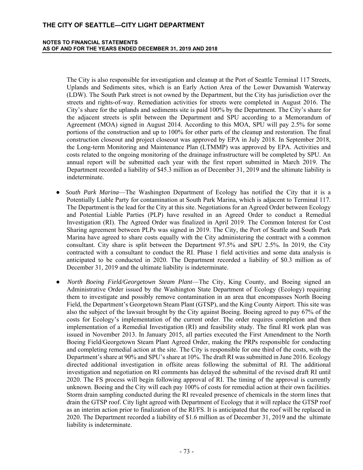#### **NOTES TO FINANCIAL STATEMENTS AS OF AND FOR THE YEARS ENDED DECEMBER 31, 2019 AND 2018**

The City is also responsible for investigation and cleanup at the Port of Seattle Terminal 117 Streets, Uplands and Sediments sites, which is an Early Action Area of the Lower Duwamish Waterway (LDW). The South Park street is not owned by the Department, but the City has jurisdiction over the streets and rights-of-way. Remediation activities for streets were completed in August 2016. The City's share for the uplands and sediments site is paid 100% by the Department. The City's share for the adjacent streets is split between the Department and SPU according to a Memorandum of Agreement (MOA) signed in August 2014. According to this MOA, SPU will pay 2.5% for some portions of the construction and up to 100% for other parts of the cleanup and restoration. The final construction closeout and project closeout was approved by EPA in July 2018. In September 2018, the Long-term Monitoring and Maintenance Plan (LTMMP) was approved by EPA. Activities and costs related to the ongoing monitoring of the drainage infrastructure will be completed by SPU. An annual report will be submitted each year with the first report submitted in March 2019. The Department recorded a liability of \$45.3 million as of December 31, 2019 and the ultimate liability is indeterminate.

- South Park Marina—The Washington Department of Ecology has notified the City that it is a Potentially Liable Party for contamination at South Park Marina, which is adjacent to Terminal 117. The Department is the lead for the City at this site. Negotiations for an Agreed Order between Ecology and Potential Liable Parties (PLP) have resulted in an Agreed Order to conduct a Remedial Investigation (RI). The Agreed Order was finalized in April 2019. The Common Interest for Cost Sharing agreement between PLPs was signed in 2019. The City, the Port of Seattle and South Park Marina have agreed to share costs equally with the City administering the contract with a common consultant. City share is split between the Department 97.5% and SPU 2.5%. In 2019, the City contracted with a consultant to conduct the RI. Phase 1 field activities and some data analysis is anticipated to be conducted in 2020. The Department recorded a liability of \$0.3 million as of December 31, 2019 and the ultimate liability is indeterminate.
- ● *North Boeing Field/Georgetown Steam Plant*—The City, King County, and Boeing signed an Administrative Order issued by the Washington State Department of Ecology (Ecology) requiring them to investigate and possibly remove contamination in an area that encompasses North Boeing Field, the Department's Georgetown Steam Plant (GTSP), and the King County Airport. This site was also the subject of the lawsuit brought by the City against Boeing. Boeing agreed to pay 67% of the costs for Ecology's implementation of the current order. The order requires completion and then implementation of a Remedial Investigation (RI) and feasibility study. The final RI work plan was issued in November 2013. In January 2015, all parties executed the First Amendment to the North Boeing Field/Georgetown Steam Plant Agreed Order, making the PRPs responsible for conducting and completing remedial action at the site. The City is responsible for one third of the costs, with the Department's share at 90% and SPU's share at 10%. The draft RI was submitted in June 2016. Ecology directed additional investigation in offsite areas following the submittal of RI. The additional investigation and negotiation on RI comments has delayed the submittal of the revised draft RI until 2020. The FS process will begin following approval of RI. The timing of the approval is currently unknown. Boeing and the City will each pay 100% of costs for remedial action at their own facilities. Storm drain sampling conducted during the RI revealed presence of chemicals in the storm lines that drain the GTSP roof. City light agreed with Department of Ecology that it will replace the GTSP roof as an interim action prior to finalization of the RI/FS. It is anticipated that the roof will be replaced in 2020. The Department recorded a liability of \$1.6 million as of December 31, 2019 and the ultimate liability is indeterminate.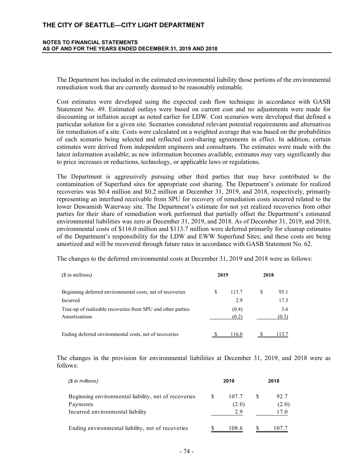#### **NOTES TO FINANCIAL STATEMENTS AS OF AND FOR THE YEARS ENDED DECEMBER 31, 2019 AND 2018**

The Department has included in the estimated environmental liability those portions of the environmental remediation work that are currently deemed to be reasonably estimable.

Cost estimates were developed using the expected cash flow technique in accordance with GASB Statement No. 49. Estimated outlays were based on current cost and no adjustments were made for discounting or inflation accept as noted earlier for LDW. Cost scenarios were developed that defined a particular solution for a given site. Scenarios considered relevant potential requirements and alternatives for remediation of a site. Costs were calculated on a weighted average that was based on the probabilities of each scenario being selected and reflected cost-sharing agreements in effect. In addition, certain estimates were derived from independent engineers and consultants. The estimates were made with the latest information available; as new information becomes available, estimates may vary significantly due to price increases or reductions, technology, or applicable laws or regulations.

The Department is aggressively pursuing other third parties that may have contributed to the contamination of Superfund sites for appropriate cost sharing. The Department's estimate for realized recoveries was \$0.4 million and \$0.2 million at December 31, 2019, and 2018, respectively, primarily representing an interfund receivable from SPU for recovery of remediation costs incurred related to the lower Duwamish Waterway site. The Department's estimate for not yet realized recoveries from other parties for their share of remediation work performed that partially offset the Department's estimated environmental liabilities was zero at December 31, 2019, and 2018. As of December 31, 2019, and 2018, environmental costs of \$116.0 million and \$113.7 million were deferred primarily for cleanup estimates of the Department's responsibility for the LDW and EWW Superfund Sites; and these costs are being amortized and will be recovered through future rates in accordance with GASB Statement No. 62.

The changes to the deferred environmental costs at December 31, 2019 and 2018 were as follows:

| $(S \in \mathbb{N})$ in millions)                           |   | 2019  | 2018 |       |
|-------------------------------------------------------------|---|-------|------|-------|
| Beginning deferred environmental costs, net of recoveries   | S | 113.7 | S    | 93.1  |
| Incurred                                                    |   | 2.9   |      | 17.3  |
| True-up of realizable recoveries from SPU and other parties |   | (0.4) |      | 3.6   |
| Amortizations                                               |   | (0.2) |      | (0.3) |
| Ending deferred environmental costs, net of recoveries      |   | 116.0 |      |       |

The changes in the provision for environmental liabilities at December 31, 2019, and 2018 were as follows:

| $(S \in \mathbb{R})$ in millions)                    | 2019  | 2018  |  |  |
|------------------------------------------------------|-------|-------|--|--|
| Beginning environmental liability, net of recoveries | 107.7 | 92.7  |  |  |
| Payments                                             | (2.0) | (2.0) |  |  |
| Incurred environmental liability                     | 2.9   | 17.0  |  |  |
| Ending environmental liability, net of recoveries    | 108.6 | 107.7 |  |  |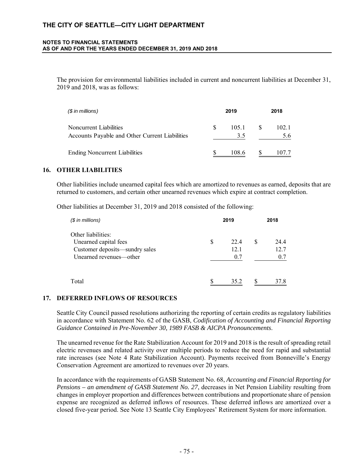#### **NOTES TO FINANCIAL STATEMENTS AS OF AND FOR THE YEARS ENDED DECEMBER 31, 2019 AND 2018**

The provision for environmental liabilities included in current and noncurrent liabilities at December 31, 2019 and 2018, was as follows:

| $($$ in millions)                                                        |     | 2019         | 2018 |              |  |
|--------------------------------------------------------------------------|-----|--------------|------|--------------|--|
| Noncurrent Liabilities<br>Accounts Payable and Other Current Liabilities | \$. | 105.1<br>3.5 | -S   | 102.1<br>5.6 |  |
| <b>Ending Noncurrent Liabilities</b>                                     |     | 108.6        |      | 107.7        |  |

### **16. OTHER LIABILITIES**

Other liabilities include unearned capital fees which are amortized to revenues as earned, deposits that are returned to customers, and certain other unearned revenues which expire at contract completion.

Other liabilities at December 31, 2019 and 2018 consisted of the following:

| $$$ in millions)                                                                                         |   | 2019                |   |                     |
|----------------------------------------------------------------------------------------------------------|---|---------------------|---|---------------------|
| Other liabilities:<br>Unearned capital fees<br>Customer deposits—sundry sales<br>Unearned revenues—other | S | 22.4<br>12.1<br>0.7 | S | 24.4<br>12.7<br>0.7 |
| Total                                                                                                    |   | 35.2                |   | 37.8                |

### **17. DEFERRED INFLOWS OF RESOURCES**

Seattle City Council passed resolutions authorizing the reporting of certain credits as regulatory liabilities in accordance with Statement No. 62 of the GASB, *Codification of Accounting and Financial Reporting Guidance Contained in Pre-November 30, 1989 FASB & AICPA Pronouncements*.

The unearned revenue for the Rate Stabilization Account for 2019 and 2018 is the result of spreading retail electric revenues and related activity over multiple periods to reduce the need for rapid and substantial rate increases (see Note 4 Rate Stabilization Account). Payments received from Bonneville's Energy Conservation Agreement are amortized to revenues over 20 years.

In accordance with the requirements of GASB Statement No. 68, *Accounting and Financial Reporting for Pensions – an amendment of GASB Statement No. 27*, decreases in Net Pension Liability resulting from changes in employer proportion and differences between contributions and proportionate share of pension expense are recognized as deferred inflows of resources. These deferred inflows are amortized over a closed five-year period. See Note 13 Seattle City Employees' Retirement System for more information.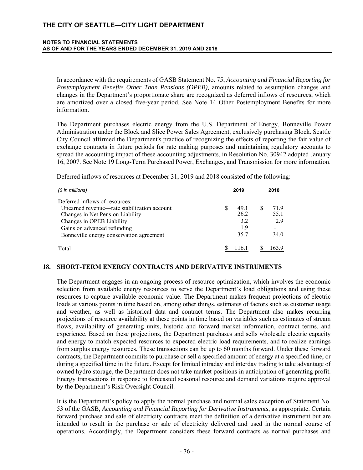#### **NOTES TO FINANCIAL STATEMENTS AS OF AND FOR THE YEARS ENDED DECEMBER 31, 2019 AND 2018**

In accordance with the requirements of GASB Statement No. 75, *Accounting and Financial Reporting for Postemployment Benefits Other Than Pensions (OPEB)*, amounts related to assumption changes and changes in the Department's proportionate share are recognized as deferred inflows of resources, which are amortized over a closed five-year period. See Note 14 Other Postemployment Benefits for more information.

The Department purchases electric energy from the U.S. Department of Energy, Bonneville Power Administration under the Block and Slice Power Sales Agreement, exclusively purchasing Block. Seattle City Council affirmed the Department's practice of recognizing the effects of reporting the fair value of exchange contracts in future periods for rate making purposes and maintaining regulatory accounts to spread the accounting impact of these accounting adjustments, in Resolution No. 30942 adopted January 16, 2007. See Note 19 Long-Term Purchased Power, Exchanges, and Transmission for more information.

Deferred inflows of resources at December 31, 2019 and 2018 consisted of the following:

| $(S \in \mathbb{R})$ in millions)           |  | 2019  |  | 2018  |  |
|---------------------------------------------|--|-------|--|-------|--|
| Deferred inflows of resources:              |  |       |  |       |  |
| Unearned revenue—rate stabilization account |  | 49.1  |  | 71.9  |  |
| Changes in Net Pension Liability            |  | 26.2  |  | 55.1  |  |
| Changes in OPEB Liability                   |  | 3.2   |  | 2.9   |  |
| Gains on advanced refunding                 |  | 1.9   |  |       |  |
| Bonneville energy conservation agreement    |  | 35.7  |  | 34.0  |  |
| Total                                       |  | 116.1 |  | 163 S |  |

#### **18. SHORT-TERM ENERGY CONTRACTS AND DERIVATIVE INSTRUMENTS**

The Department engages in an ongoing process of resource optimization, which involves the economic selection from available energy resources to serve the Department's load obligations and using these resources to capture available economic value. The Department makes frequent projections of electric loads at various points in time based on, among other things, estimates of factors such as customer usage and weather, as well as historical data and contract terms. The Department also makes recurring projections of resource availability at these points in time based on variables such as estimates of stream flows, availability of generating units, historic and forward market information, contract terms, and experience. Based on these projections, the Department purchases and sells wholesale electric capacity and energy to match expected resources to expected electric load requirements, and to realize earnings from surplus energy resources. These transactions can be up to 60 months forward. Under these forward contracts, the Department commits to purchase or sell a specified amount of energy at a specified time, or during a specified time in the future. Except for limited intraday and interday trading to take advantage of owned hydro storage, the Department does not take market positions in anticipation of generating profit. Energy transactions in response to forecasted seasonal resource and demand variations require approval by the Department's Risk Oversight Council.

It is the Department's policy to apply the normal purchase and normal sales exception of Statement No. 53 of the GASB, *Accounting and Financial Reporting for Derivative Instruments*, as appropriate. Certain forward purchase and sale of electricity contracts meet the definition of a derivative instrument but are intended to result in the purchase or sale of electricity delivered and used in the normal course of operations. Accordingly, the Department considers these forward contracts as normal purchases and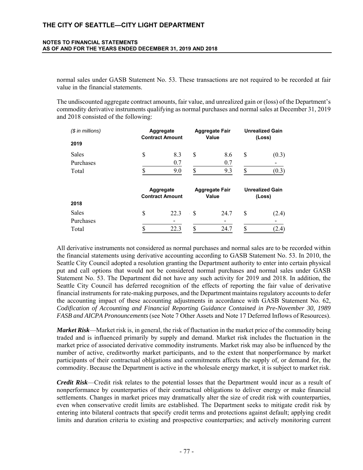#### **NOTES TO FINANCIAL STATEMENTS AS OF AND FOR THE YEARS ENDED DECEMBER 31, 2019 AND 2018**

normal sales under GASB Statement No. 53. These transactions are not required to be recorded at fair value in the financial statements.

The undiscounted aggregate contract amounts, fair value, and unrealized gain or (loss) of the Department's commodity derivative instruments qualifying as normal purchases and normal sales at December 31, 2019 and 2018 consisted of the following:

| $(S \in \mathbb{R})$ in millions) | Aggregate<br><b>Contract Amount</b> |      |                                | <b>Aggregate Fair</b><br>Value |                                  | <b>Unrealized Gain</b><br>(Loss) |  |
|-----------------------------------|-------------------------------------|------|--------------------------------|--------------------------------|----------------------------------|----------------------------------|--|
| 2019                              |                                     |      |                                |                                |                                  |                                  |  |
| Sales                             | \$                                  | 8.3  | \$                             | 8.6                            | \$                               | (0.3)                            |  |
| Purchases                         |                                     | 0.7  |                                | 0.7                            |                                  |                                  |  |
| Total                             | \$                                  | 9.0  | \$                             | 9.3                            | $\mathbb{S}$                     | (0.3)                            |  |
|                                   | Aggregate<br><b>Contract Amount</b> |      | <b>Aggregate Fair</b><br>Value |                                | <b>Unrealized Gain</b><br>(Loss) |                                  |  |
| 2018                              |                                     |      |                                |                                |                                  |                                  |  |
| Sales                             | \$                                  | 22.3 | $\cdot$ S                      | 24.7                           | \$                               | (2.4)                            |  |
| Purchases                         |                                     |      |                                |                                |                                  |                                  |  |
| Total                             | Φ                                   | 22.3 | ¢                              | 24.7                           | \$                               | (2.4)                            |  |

All derivative instruments not considered as normal purchases and normal sales are to be recorded within the financial statements using derivative accounting according to GASB Statement No. 53. In 2010, the Seattle City Council adopted a resolution granting the Department authority to enter into certain physical put and call options that would not be considered normal purchases and normal sales under GASB Statement No. 53. The Department did not have any such activity for 2019 and 2018. In addition, the Seattle City Council has deferred recognition of the effects of reporting the fair value of derivative financial instruments for rate-making purposes, and the Department maintains regulatory accounts to defer the accounting impact of these accounting adjustments in accordance with GASB Statement No. 62, *Codification of Accounting and Financial Reporting Guidance Contained in Pre-November 30, 1989 FASB and AICPA Pronouncements* (see Note 7 Other Assets and Note 17 Deferred Inflows of Resources).

*Market Risk*—Market risk is, in general, the risk of fluctuation in the market price of the commodity being traded and is influenced primarily by supply and demand. Market risk includes the fluctuation in the market price of associated derivative commodity instruments. Market risk may also be influenced by the number of active, creditworthy market participants, and to the extent that nonperformance by market participants of their contractual obligations and commitments affects the supply of, or demand for, the commodity. Because the Department is active in the wholesale energy market, it is subject to market risk.

*Credit Risk*—Credit risk relates to the potential losses that the Department would incur as a result of nonperformance by counterparties of their contractual obligations to deliver energy or make financial settlements. Changes in market prices may dramatically alter the size of credit risk with counterparties, even when conservative credit limits are established. The Department seeks to mitigate credit risk by entering into bilateral contracts that specify credit terms and protections against default; applying credit limits and duration criteria to existing and prospective counterparties; and actively monitoring current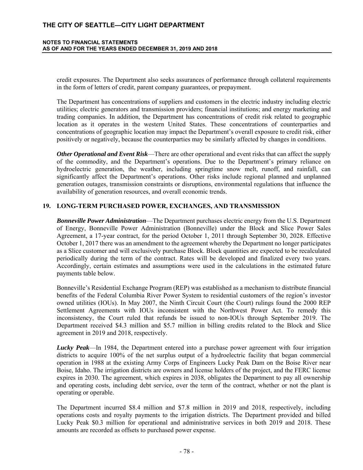#### **NOTES TO FINANCIAL STATEMENTS AS OF AND FOR THE YEARS ENDED DECEMBER 31, 2019 AND 2018**

credit exposures. The Department also seeks assurances of performance through collateral requirements in the form of letters of credit, parent company guarantees, or prepayment.

The Department has concentrations of suppliers and customers in the electric industry including electric utilities; electric generators and transmission providers; financial institutions; and energy marketing and trading companies. In addition, the Department has concentrations of credit risk related to geographic location as it operates in the western United States. These concentrations of counterparties and concentrations of geographic location may impact the Department's overall exposure to credit risk, either positively or negatively, because the counterparties may be similarly affected by changes in conditions.

*Other Operational and Event Risk*—There are other operational and event risks that can affect the supply of the commodity, and the Department's operations. Due to the Department's primary reliance on hydroelectric generation, the weather, including springtime snow melt, runoff, and rainfall, can significantly affect the Department's operations. Other risks include regional planned and unplanned generation outages, transmission constraints or disruptions, environmental regulations that influence the availability of generation resources, and overall economic trends.

### **19. LONG-TERM PURCHASED POWER, EXCHANGES, AND TRANSMISSION**

*Bonneville Power Administration*—The Department purchases electric energy from the U.S. Department of Energy, Bonneville Power Administration (Bonneville) under the Block and Slice Power Sales Agreement, a 17-year contract, for the period October 1, 2011 through September 30, 2028. Effective October 1, 2017 there was an amendment to the agreement whereby the Department no longer participates as a Slice customer and will exclusively purchase Block. Block quantities are expected to be recalculated periodically during the term of the contract. Rates will be developed and finalized every two years. Accordingly, certain estimates and assumptions were used in the calculations in the estimated future payments table below.

Bonneville's Residential Exchange Program (REP) was established as a mechanism to distribute financial benefits of the Federal Columbia River Power System to residential customers of the region's investor owned utilities (IOUs). In May 2007, the Ninth Circuit Court (the Court) rulings found the 2000 REP Settlement Agreements with IOUs inconsistent with the Northwest Power Act. To remedy this inconsistency, the Court ruled that refunds be issued to non-IOUs through September 2019. The Department received \$4.3 million and \$5.7 million in billing credits related to the Block and Slice agreement in 2019 and 2018, respectively.

*Lucky Peak*—In 1984, the Department entered into a purchase power agreement with four irrigation districts to acquire 100% of the net surplus output of a hydroelectric facility that began commercial operation in 1988 at the existing Army Corps of Engineers Lucky Peak Dam on the Boise River near Boise, Idaho. The irrigation districts are owners and license holders of the project, and the FERC license expires in 2030. The agreement, which expires in 2038, obligates the Department to pay all ownership and operating costs, including debt service, over the term of the contract, whether or not the plant is operating or operable.

The Department incurred \$8.4 million and \$7.8 million in 2019 and 2018, respectively, including operations costs and royalty payments to the irrigation districts. The Department provided and billed Lucky Peak \$0.3 million for operational and administrative services in both 2019 and 2018. These amounts are recorded as offsets to purchased power expense.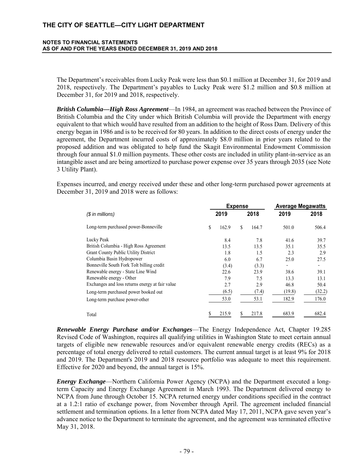#### **NOTES TO FINANCIAL STATEMENTS AS OF AND FOR THE YEARS ENDED DECEMBER 31, 2019 AND 2018**

The Department's receivables from Lucky Peak were less than \$0.1 million at December 31, for 2019 and 2018, respectively. The Department's payables to Lucky Peak were \$1.2 million and \$0.8 million at December 31, for 2019 and 2018, respectively.

*British Columbia—High Ross Agreement*—In 1984, an agreement was reached between the Province of British Columbia and the City under which British Columbia will provide the Department with energy equivalent to that which would have resulted from an addition to the height of Ross Dam. Delivery of this energy began in 1986 and is to be received for 80 years. In addition to the direct costs of energy under the agreement, the Department incurred costs of approximately \$8.0 million in prior years related to the proposed addition and was obligated to help fund the Skagit Environmental Endowment Commission through four annual \$1.0 million payments. These other costs are included in utility plant-in-service as an intangible asset and are being amortized to purchase power expense over 35 years through 2035 (see Note 3 Utility Plant).

Expenses incurred, and energy received under these and other long-term purchased power agreements at December 31, 2019 and 2018 were as follows:

|                                                 |    | <b>Expense</b> |    |       | <b>Average Megawatts</b>     |        |  |
|-------------------------------------------------|----|----------------|----|-------|------------------------------|--------|--|
| $$$ in millions)                                |    | 2019           |    | 2018  | 2019                         | 2018   |  |
| Long-term purchased power-Bonneville            | \$ | 162.9          | \$ | 164.7 | 501.0                        | 506.4  |  |
| Lucky Peak                                      |    | 8.4            |    | 7.8   | 41.6                         | 39.7   |  |
| British Columbia - High Ross Agreement          |    | 13.5           |    | 13.5  | 35.1                         | 35.5   |  |
| <b>Grant County Public Utility District</b>     |    | 1.8            |    | 1.5   | 2.3                          | 2.9    |  |
| Columbia Basin Hydropower                       |    | 6.0            |    | 6.7   | 25.0                         | 27.5   |  |
| Bonneville South Fork Tolt billing credit       |    | (3.4)          |    | (3.3) | $\qquad \qquad \blacksquare$ |        |  |
| Renewable energy - State Line Wind              |    | 22.6           |    | 23.9  | 38.6                         | 39.1   |  |
| Renewable energy - Other                        |    | 7.9            |    | 7.5   | 13.3                         | 13.1   |  |
| Exchanges and loss returns energy at fair value |    | 2.7            |    | 2.9   | 46.8                         | 50.4   |  |
| Long-term purchased power booked out            |    | (6.5)          |    | (7.4) | (19.8)                       | (32.2) |  |
| Long-term purchase power-other                  |    | 53.0           |    | 53.1  | 182.9                        | 176.0  |  |
| Total                                           | S  | 215.9          | \$ | 217.8 | 683.9                        | 682.4  |  |

*Renewable Energy Purchase and/or Exchanges*—The Energy Independence Act, Chapter 19.285 Revised Code of Washington, requires all qualifying utilities in Washington State to meet certain annual targets of eligible new renewable resources and/or equivalent renewable energy credits (RECs) as a percentage of total energy delivered to retail customers. The current annual target is at least 9% for 2018 and 2019. The Department's 2019 and 2018 resource portfolio was adequate to meet this requirement. Effective for 2020 and beyond, the annual target is 15%.

*Energy Exchange*—Northern California Power Agency (NCPA) and the Department executed a longterm Capacity and Energy Exchange Agreement in March 1993. The Department delivered energy to NCPA from June through October 15. NCPA returned energy under conditions specified in the contract at a 1.2:1 ratio of exchange power, from November through April. The agreement included financial settlement and termination options. In a letter from NCPA dated May 17, 2011, NCPA gave seven year's advance notice to the Department to terminate the agreement, and the agreement was terminated effective May 31, 2018.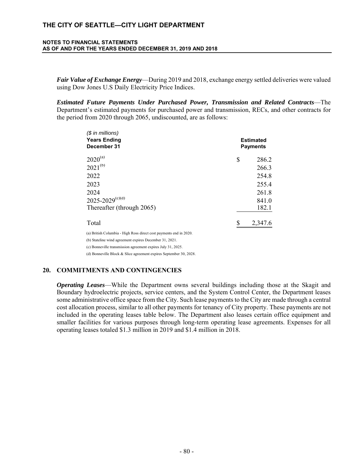#### **NOTES TO FINANCIAL STATEMENTS AS OF AND FOR THE YEARS ENDED DECEMBER 31, 2019 AND 2018**

*Fair Value of Exchange Energy*—During 2019 and 2018, exchange energy settled deliveries were valued using Dow Jones U.S Daily Electricity Price Indices.

*Estimated Future Payments Under Purchased Power, Transmission and Related Contracts*—The Department's estimated payments for purchased power and transmission, RECs, and other contracts for the period from 2020 through 2065, undiscounted, are as follows:

| $(S \in \mathbb{R})$ in millions)<br><b>Years Ending</b><br>December 31 | <b>Estimated</b><br><b>Payments</b> |
|-------------------------------------------------------------------------|-------------------------------------|
| $2020^{(a)}$                                                            | \$<br>286.2                         |
| $2021^{(b)}$                                                            | 266.3                               |
| 2022                                                                    | 254.8                               |
| 2023                                                                    | 255.4                               |
| 2024                                                                    | 261.8                               |
| $2025 - 2029^{\text{(c)(d)}}$                                           | 841.0                               |
| Thereafter (through 2065)                                               | 182.1                               |
| Total                                                                   | \$<br>2,347.6                       |
| (a) British Columbia - High Ross direct cost payments end in 2020.      |                                     |
| (b) Stateline wind agreement expires December 31, 2021.                 |                                     |
| (c) Bonneville transmission agreement expires July 31, 2025.            |                                     |

(d) Bonneville Block & Slice agreement expires September 30, 2028.

### **20. COMMITMENTS AND CONTINGENCIES**

*Operating Leases*—While the Department owns several buildings including those at the Skagit and Boundary hydroelectric projects, service centers, and the System Control Center, the Department leases some administrative office space from the City. Such lease payments to the City are made through a central cost allocation process, similar to all other payments for tenancy of City property. These payments are not included in the operating leases table below. The Department also leases certain office equipment and smaller facilities for various purposes through long-term operating lease agreements. Expenses for all operating leases totaled \$1.3 million in 2019 and \$1.4 million in 2018.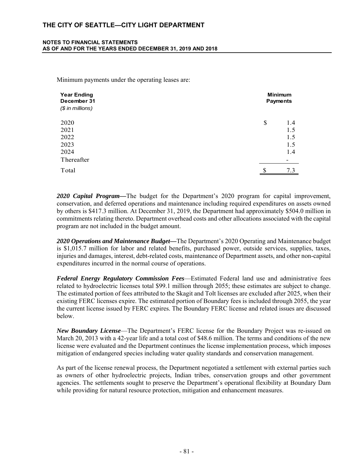#### **NOTES TO FINANCIAL STATEMENTS AS OF AND FOR THE YEARS ENDED DECEMBER 31, 2019 AND 2018**

Minimum payments under the operating leases are:

| <b>Year Ending</b><br>December 31<br>$($$ in millions) | <b>Minimum</b><br><b>Payments</b> |
|--------------------------------------------------------|-----------------------------------|
| 2020                                                   | \$<br>1.4                         |
| 2021                                                   | 1.5                               |
| 2022                                                   | 1.5                               |
| 2023                                                   | 1.5                               |
| 2024                                                   | 1.4                               |
| Thereafter                                             |                                   |
| Total                                                  | 7.3                               |

*2020 Capital Program—*The budget for the Department's 2020 program for capital improvement, conservation, and deferred operations and maintenance including required expenditures on assets owned by others is \$417.3 million. At December 31, 2019, the Department had approximately \$504.0 million in commitments relating thereto. Department overhead costs and other allocations associated with the capital program are not included in the budget amount.

*2020 Operations and Maintenance Budget—*The Department's 2020 Operating and Maintenance budget is \$1,015.7 million for labor and related benefits, purchased power, outside services, supplies, taxes, injuries and damages, interest, debt-related costs, maintenance of Department assets, and other non-capital expenditures incurred in the normal course of operations.

*Federal Energy Regulatory Commission Fees*—Estimated Federal land use and administrative fees related to hydroelectric licenses total \$99.1 million through 2055; these estimates are subject to change. The estimated portion of fees attributed to the Skagit and Tolt licenses are excluded after 2025, when their existing FERC licenses expire. The estimated portion of Boundary fees is included through 2055, the year the current license issued by FERC expires. The Boundary FERC license and related issues are discussed below.

*New Boundary License*—The Department's FERC license for the Boundary Project was re-issued on March 20, 2013 with a 42-year life and a total cost of \$48.6 million. The terms and conditions of the new license were evaluated and the Department continues the license implementation process, which imposes mitigation of endangered species including water quality standards and conservation management.

As part of the license renewal process, the Department negotiated a settlement with external parties such as owners of other hydroelectric projects, Indian tribes, conservation groups and other government agencies. The settlements sought to preserve the Department's operational flexibility at Boundary Dam while providing for natural resource protection, mitigation and enhancement measures.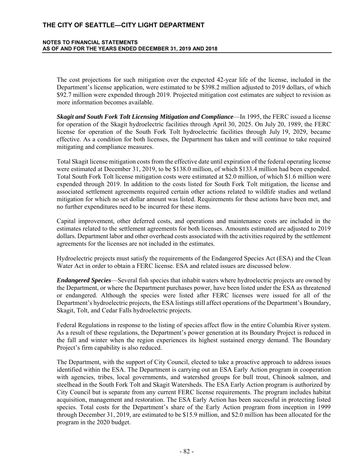#### **NOTES TO FINANCIAL STATEMENTS AS OF AND FOR THE YEARS ENDED DECEMBER 31, 2019 AND 2018**

The cost projections for such mitigation over the expected 42-year life of the license, included in the Department's license application, were estimated to be \$398.2 million adjusted to 2019 dollars, of which \$92.7 million were expended through 2019. Projected mitigation cost estimates are subject to revision as more information becomes available.

*Skagit and South Fork Tolt Licensing Mitigation and Compliance*—In 1995, the FERC issued a license for operation of the Skagit hydroelectric facilities through April 30, 2025. On July 20, 1989, the FERC license for operation of the South Fork Tolt hydroelectric facilities through July 19, 2029, became effective. As a condition for both licenses, the Department has taken and will continue to take required mitigating and compliance measures.

Total Skagit license mitigation costs from the effective date until expiration of the federal operating license were estimated at December 31, 2019, to be \$138.0 million, of which \$133.4 million had been expended. Total South Fork Tolt license mitigation costs were estimated at \$2.0 million, of which \$1.6 million were expended through 2019. In addition to the costs listed for South Fork Tolt mitigation, the license and associated settlement agreements required certain other actions related to wildlife studies and wetland mitigation for which no set dollar amount was listed. Requirements for these actions have been met, and no further expenditures need to be incurred for these items.

Capital improvement, other deferred costs, and operations and maintenance costs are included in the estimates related to the settlement agreements for both licenses. Amounts estimated are adjusted to 2019 dollars. Department labor and other overhead costs associated with the activities required by the settlement agreements for the licenses are not included in the estimates.

Hydroelectric projects must satisfy the requirements of the Endangered Species Act (ESA) and the Clean Water Act in order to obtain a FERC license. ESA and related issues are discussed below.

*Endangered Species*—Several fish species that inhabit waters where hydroelectric projects are owned by the Department, or where the Department purchases power, have been listed under the ESA as threatened or endangered. Although the species were listed after FERC licenses were issued for all of the Department's hydroelectric projects, the ESA listings still affect operations of the Department's Boundary, Skagit, Tolt, and Cedar Falls hydroelectric projects.

Federal Regulations in response to the listing of species affect flow in the entire Columbia River system. As a result of these regulations, the Department's power generation at its Boundary Project is reduced in the fall and winter when the region experiences its highest sustained energy demand. The Boundary Project's firm capability is also reduced.

The Department, with the support of City Council, elected to take a proactive approach to address issues identified within the ESA. The Department is carrying out an ESA Early Action program in cooperation with agencies, tribes, local governments, and watershed groups for bull trout, Chinook salmon, and steelhead in the South Fork Tolt and Skagit Watersheds. The ESA Early Action program is authorized by City Council but is separate from any current FERC license requirements. The program includes habitat acquisition, management and restoration. The ESA Early Action has been successful in protecting listed species. Total costs for the Department's share of the Early Action program from inception in 1999 through December 31, 2019, are estimated to be \$15.9 million, and \$2.0 million has been allocated for the program in the 2020 budget.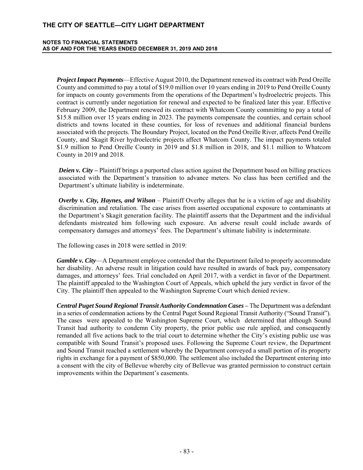#### **NOTES TO FINANCIAL STATEMENTS AS OF AND FOR THE YEARS ENDED DECEMBER 31, 2019 AND 2018**

*Project Impact Payments*—Effective August 2010, the Department renewed its contract with Pend Oreille County and committed to pay a total of \$19.0 million over 10 years ending in 2019 to Pend Oreille County for impacts on county governments from the operations of the Department's hydroelectric projects. This contract is currently under negotiation for renewal and expected to be finalized later this year. Effective February 2009, the Department renewed its contract with Whatcom County committing to pay a total of \$15.8 million over 15 years ending in 2023. The payments compensate the counties, and certain school districts and towns located in these counties, for loss of revenues and additional financial burdens associated with the projects. The Boundary Project, located on the Pend Oreille River, affects Pend Oreille County, and Skagit River hydroelectric projects affect Whatcom County. The impact payments totaled \$1.9 million to Pend Oreille County in 2019 and \$1.8 million in 2018, and \$1.1 million to Whatcom County in 2019 and 2018.

*Deien v. City* – Plaintiff brings a purported class action against the Department based on billing practices associated with the Department's transition to advance meters. No class has been certified and the Department's ultimate liability is indeterminate.

*Overby v. City, Haynes, and Wilson* – Plaintiff Overby alleges that he is a victim of age and disability discrimination and retaliation. The case arises from asserted occupational exposure to contaminants at the Department's Skagit generation facility. The plaintiff asserts that the Department and the individual defendants mistreated him following such exposure. An adverse result could include awards of compensatory damages and attorneys' fees. The Department's ultimate liability is indeterminate.

The following cases in 2018 were settled in 2019:

*Gamble v. City*—A Department employee contended that the Department failed to properly accommodate her disability. An adverse result in litigation could have resulted in awards of back pay, compensatory damages, and attorneys' fees. Trial concluded on April 2017, with a verdict in favor of the Department. The plaintiff appealed to the Washington Court of Appeals, which upheld the jury verdict in favor of the City. The plaintiff then appealed to the Washington Supreme Court which denied review.

*Central Puget Sound Regional Transit Authority Condemnation Cases –* The Department was a defendant in a series of condemnation actions by the Central Puget Sound Regional Transit Authority ("Sound Transit"). The cases were appealed to the Washington Supreme Court, which determined that although Sound Transit had authority to condemn City property, the prior public use rule applied, and consequently remanded all five actions back to the trial court to determine whether the City's existing public use was compatible with Sound Transit's proposed uses. Following the Supreme Court review, the Department and Sound Transit reached a settlement whereby the Department conveyed a small portion of its property rights in exchange for a payment of \$850,000. The settlement also included the Department entering into a consent with the city of Bellevue whereby city of Bellevue was granted permission to construct certain improvements within the Department's easements.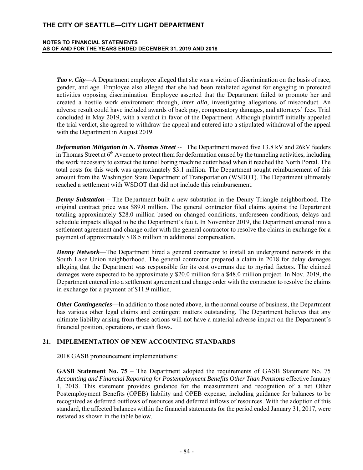#### **NOTES TO FINANCIAL STATEMENTS AS OF AND FOR THE YEARS ENDED DECEMBER 31, 2019 AND 2018**

*Tao v. City*—A Department employee alleged that she was a victim of discrimination on the basis of race, gender, and age. Employee also alleged that she had been retaliated against for engaging in protected activities opposing discrimination. Employee asserted that the Department failed to promote her and created a hostile work environment through, *inter alia*, investigating allegations of misconduct. An adverse result could have included awards of back pay, compensatory damages, and attorneys' fees. Trial concluded in May 2019, with a verdict in favor of the Department. Although plaintiff initially appealed the trial verdict, she agreed to withdraw the appeal and entered into a stipulated withdrawal of the appeal with the Department in August 2019.

*Deformation Mitigation in N. Thomas Street* -- The Department moved five 13.8 kV and 26kV feeders in Thomas Street at  $6<sup>th</sup>$  Avenue to protect them for deformation caused by the tunneling activities, including the work necessary to extract the tunnel boring machine cutter head when it reached the North Portal. The total costs for this work was approximately \$3.1 million. The Department sought reimbursement of this amount from the Washington State Department of Transportation (WSDOT). The Department ultimately reached a settlement with WSDOT that did not include this reimbursement.

*Denny Substation* – The Department built a new substation in the Denny Triangle neighborhood. The original contract price was \$89.0 million. The general contractor filed claims against the Department totaling approximately \$28.0 million based on changed conditions, unforeseen conditions, delays and schedule impacts alleged to be the Department's fault. In November 2019, the Department entered into a settlement agreement and change order with the general contractor to resolve the claims in exchange for a payment of approximately \$18.5 million in additional compensation.

*Denny Network*—The Department hired a general contractor to install an underground network in the South Lake Union neighborhood. The general contractor prepared a claim in 2018 for delay damages alleging that the Department was responsible for its cost overruns due to myriad factors. The claimed damages were expected to be approximately \$20.0 million for a \$48.0 million project. In Nov. 2019, the Department entered into a settlement agreement and change order with the contractor to resolve the claims in exchange for a payment of \$11.9 million.

*Other Contingencies*—In addition to those noted above, in the normal course of business, the Department has various other legal claims and contingent matters outstanding. The Department believes that any ultimate liability arising from these actions will not have a material adverse impact on the Department's financial position, operations, or cash flows.

### **21. IMPLEMENTATION OF NEW ACCOUNTING STANDARDS**

2018 GASB pronouncement implementations:

**GASB Statement No. 75** – The Department adopted the requirements of GASB Statement No. 75 *Accounting and Financial Reporting for Postemployment Benefits Other Than Pensions* effective January 1, 2018. This statement provides guidance for the measurement and recognition of a net Other Postemployment Benefits (OPEB) liability and OPEB expense, including guidance for balances to be recognized as deferred outflows of resources and deferred inflows of resources. With the adoption of this standard, the affected balances within the financial statements for the period ended January 31, 2017, were restated as shown in the table below.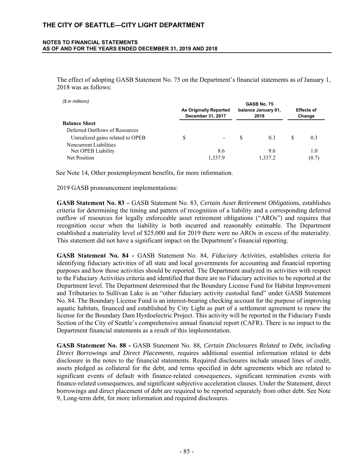#### **NOTES TO FINANCIAL STATEMENTS AS OF AND FOR THE YEARS ENDED DECEMBER 31, 2019 AND 2018**

The effect of adopting GASB Statement No. 75 on the Department's financial statements as of January 1, 2018 was as follows:

| $(S \in \mathbb{R})$ in millions)            | <b>As Originally Reported</b> |   | GASB No. 75<br>balance January 01, |   | <b>Effects of</b> |
|----------------------------------------------|-------------------------------|---|------------------------------------|---|-------------------|
|                                              | December 31, 2017             |   | 2018                               |   | Change            |
| <b>Balance Sheet</b>                         |                               |   |                                    |   |                   |
| Deferred Outflows of Resources               |                               |   |                                    |   |                   |
| Unrealized gains related to OPEB             | \$<br>$\blacksquare$          | S | 0.3                                | S | 0.3               |
| Noncurrent Liabilities<br>Net OPEB Liability | 8.6                           |   | 9.6                                |   | 1.0               |
| Net Position                                 | 1,337.9                       |   | 1.337.2                            |   | (0.7)             |

See Note 14, Other postemployment benefits, for more information.

2019 GASB pronouncement implementations:

**GASB Statement No. 83 –** GASB Statement No. 83, *Certain Asset Retirement Obligations*, establishes criteria for determining the timing and pattern of recognition of a liability and a corresponding deferred outflow of resources for legally enforceable asset retirement obligations ("AROs") and requires that recognition occur when the liability is both incurred and reasonably estimable. The Department established a materiality level of \$25,000 and for 2019 there were no AROs in excess of the materiality. This statement did not have a significant impact on the Department's financial reporting.

**GASB Statement No. 84 -** GASB Statement No. 84, *Fiduciary Activities*, establishes criteria for identifying fiduciary activities of all state and local governments for accounting and financial reporting purposes and how those activities should be reported. The Department analyzed its activities with respect to the Fiduciary Activities criteria and identified that there are no Fiduciary activities to be reported at the Department level. The Department determined that the Boundary License Fund for Habitat Improvement and Tributaries to Sullivan Lake is an "other fiduciary activity custodial fund" under GASB Statement No. 84. The Boundary License Fund is an interest-bearing checking account for the purpose of improving aquatic habitats, financed and established by City Light as part of a settlement agreement to renew the license for the Boundary Dam Hyrdoelectric Project. This activity will be reported in the Fiduciary Funds Section of the City of Seattle's comprehensive annual financial report (CAFR). There is no impact to the Department financial statements as a result of this implementation.

**GASB Statement No. 88 -** GASB Statement No. 88, *Certain Disclosures Related to Debt, including Direct Borrowings and Direct Placements*, requires additional essential information related to debt disclosure in the notes to the financial statements. Required disclosures include unused lines of credit, assets pledged as collateral for the debt, and terms specified in debt agreements which are related to significant events of default with finance-related consequences, significant termination events with finance-related consequences, and significant subjective acceleration clauses. Under the Statement, direct borrowings and direct placement of debt are required to be reported separately from other debt. See Note 9, Long-term debt, for more information and required disclosures.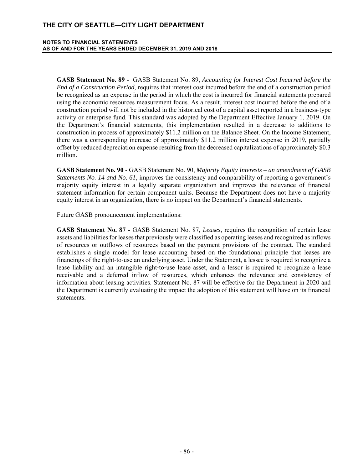#### **NOTES TO FINANCIAL STATEMENTS AS OF AND FOR THE YEARS ENDED DECEMBER 31, 2019 AND 2018**

**GASB Statement No. 89 -** GASB Statement No. 89, *Accounting for Interest Cost Incurred before the End of a Construction Period*, requires that interest cost incurred before the end of a construction period be recognized as an expense in the period in which the cost is incurred for financial statements prepared using the economic resources measurement focus. As a result, interest cost incurred before the end of a construction period will not be included in the historical cost of a capital asset reported in a business-type activity or enterprise fund. This standard was adopted by the Department Effective January 1, 2019. On the Department's financial statements, this implementation resulted in a decrease to additions to construction in process of approximately \$11.2 million on the Balance Sheet. On the Income Statement, there was a corresponding increase of approximately \$11.2 million interest expense in 2019, partially offset by reduced depreciation expense resulting from the decreased capitalizations of approximately \$0.3 million.

**GASB Statement No. 90** - GASB Statement No. 90, *Majority Equity Interests – an amendment of GASB Statements No. 14 and No. 61*, improves the consistency and comparability of reporting a government's majority equity interest in a legally separate organization and improves the relevance of financial statement information for certain component units. Because the Department does not have a majority equity interest in an organization, there is no impact on the Department's financial statements.

Future GASB pronouncement implementations:

**GASB Statement No. 87** - GASB Statement No. 87*, Leases*, requires the recognition of certain lease assets and liabilities for leases that previously were classified as operating leases and recognized as inflows of resources or outflows of resources based on the payment provisions of the contract. The standard establishes a single model for lease accounting based on the foundational principle that leases are financings of the right-to-use an underlying asset. Under the Statement, a lessee is required to recognize a lease liability and an intangible right-to-use lease asset, and a lessor is required to recognize a lease receivable and a deferred inflow of resources, which enhances the relevance and consistency of information about leasing activities. Statement No. 87 will be effective for the Department in 2020 and the Department is currently evaluating the impact the adoption of this statement will have on its financial statements.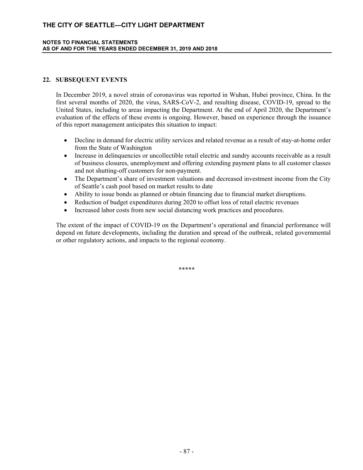#### **NOTES TO FINANCIAL STATEMENTS AS OF AND FOR THE YEARS ENDED DECEMBER 31, 2019 AND 2018**

### **22. SUBSEQUENT EVENTS**

In December 2019, a novel strain of coronavirus was reported in Wuhan, Hubei province, China. In the first several months of 2020, the virus, SARS-CoV-2, and resulting disease, COVID-19, spread to the United States, including to areas impacting the Department. At the end of April 2020, the Department's evaluation of the effects of these events is ongoing. However, based on experience through the issuance of this report management anticipates this situation to impact:

- Decline in demand for electric utility services and related revenue as a result of stay-at-home order from the State of Washington
- Increase in delinquencies or uncollectible retail electric and sundry accounts receivable as a result of business closures, unemployment and offering extending payment plans to all customer classes and not shutting-off customers for non-payment.
- The Department's share of investment valuations and decreased investment income from the City of Seattle's cash pool based on market results to date
- Ability to issue bonds as planned or obtain financing due to financial market disruptions.
- Reduction of budget expenditures during 2020 to offset loss of retail electric revenues
- Increased labor costs from new social distancing work practices and procedures.

The extent of the impact of COVID-19 on the Department's operational and financial performance will depend on future developments, including the duration and spread of the outbreak, related governmental or other regulatory actions, and impacts to the regional economy.

\*\*\*\*\*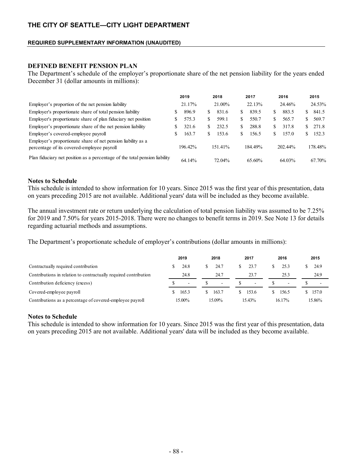### **REQUIRED SUPPLEMENTARY INFORMATION (UNAUDITED)**

### **DEFINED BENEFIT PENSION PLAN**

The Department's schedule of the employer's proportionate share of the net pension liability for the years ended December 31 (dollar amounts in millions):

|                                                                                                            |   | 2019    |    | 2018      |    | 2017    |    | 2016    |    | 2015               |
|------------------------------------------------------------------------------------------------------------|---|---------|----|-----------|----|---------|----|---------|----|--------------------|
| Employer's proportion of the net pension liability                                                         |   | 21.17%  |    | 21.00%    |    | 22.13%  |    | 24.46%  |    | 24.53%             |
| Employer's proportionate share of total pension liability                                                  |   | 896.9   | S. | 831.6     | S  | 839.5   | S. | 883.5   | S. | 841.5              |
| Employer's proportionate share of plan fiduciary net position                                              |   | 575.3   | S. | 599.1     | S  | 550.7   | S  | 565.7   | S. | 569.7              |
| Employer's proportionate share of the net pension liability                                                |   | 321.6   | S. | 232.5     | S. | 288.8   | S. | 317.8   |    | $\frac{\$}{271.8}$ |
| Employer's covered-employee payroll                                                                        | ъ | 163.7   | S  | 153.6     | S  | 156.5   | S  | 157.0   |    | $\frac{152.3}{2}$  |
| Employer's proportionate share of net pension liability as a<br>percentage of its covered-employee payroll |   | 196.42% |    | 151.41%   |    | 184.49% |    | 202.44% |    | 178.48%            |
| Plan fiduciary net position as a percentage of the total pension liability                                 |   | 64.14%  |    | $72.04\%$ |    | 65.60%  |    | 64.03%  |    | 67.70%             |

### **Notes to Schedule**

This schedule is intended to show information for 10 years. Since 2015 was the first year of this presentation, data on years preceding 2015 are not available. Additional years' data will be included as they become available.

The annual investment rate or return underlying the calculation of total pension liability was assumed to be 7.25% for 2019 and 7.50% for years 2015-2018. There were no changes to benefit terms in 2019. See Note 13 for details regarding actuarial methods and assumptions.

The Department's proportionate schedule of employer's contributions (dollar amounts in millions):

|                                                                  | 2019   | 2018                     | 2017                     | 2016   | 2015   |
|------------------------------------------------------------------|--------|--------------------------|--------------------------|--------|--------|
| Contractually required contribution                              | 24.8   | 24.7                     | 23.7                     | 25.3   | 24.9   |
| Contributions in relation to contractually required contribution | 24.8   | 24.7                     | 23.7                     | 25.3   | 24.9   |
| Contribution deficiency (excess)                                 |        | $\overline{\phantom{a}}$ | $\overline{\phantom{a}}$ | -      |        |
| Covered-employee payroll                                         | 165.3  | 163.7                    | 153.6                    | 156.5  | 157.0  |
| Contributions as a percentage of covered-employee payroll        | 15.00% | 15.09%                   | 15.43%                   | 16.17% | 15.86% |

### **Notes to Schedule**

This schedule is intended to show information for 10 years. Since 2015 was the first year of this presentation, data on years preceding 2015 are not available. Additional years' data will be included as they become available.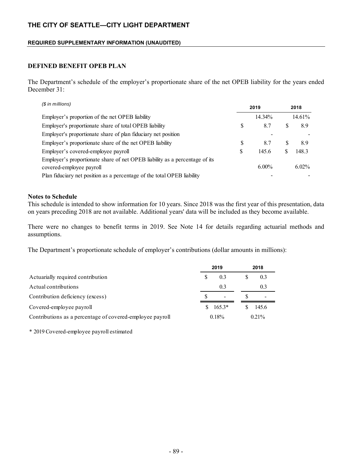### **REQUIRED SUPPLEMENTARY INFORMATION (UNAUDITED)**

# **DEFINED BENEFIT OPEB PLAN**

The Department's schedule of the employer's proportionate share of the net OPEB liability for the years ended December 31:

| $(S \in \mathbb{R})$ in millions)                                           |    | 2019     | 2018 |          |  |
|-----------------------------------------------------------------------------|----|----------|------|----------|--|
| Employer's proportion of the net OPEB liability                             |    | 14.34%   |      | 14.61%   |  |
| Employer's proportionate share of total OPEB liability                      | S  | 8.7      | S    | 8.9      |  |
| Employer's proportionate share of plan fiduciary net position               |    |          |      |          |  |
| Employer's proportionate share of the net OPEB liability                    | S  | 8.7      | \$.  | 8.9      |  |
| Employer's covered-employee payroll                                         | \$ | 145.6    |      | 148.3    |  |
| Employer's proportionate share of net OPEB liability as a percentage of its |    |          |      |          |  |
| covered-employee payroll                                                    |    | $6.00\%$ |      | $6.02\%$ |  |
| Plan fiduciary net position as a percentage of the total OPEB liability     |    |          |      |          |  |

#### **Notes to Schedule**

This schedule is intended to show information for 10 years. Since 2018 was the first year of this presentation, data on years preceding 2018 are not available. Additional years' data will be included as they become available.

There were no changes to benefit terms in 2019. See Note 14 for details regarding actuarial methods and assumptions.

The Department's proportionate schedule of employer's contributions (dollar amounts in millions):

|                                                           | 2019                     |   | 2018     |  |
|-----------------------------------------------------------|--------------------------|---|----------|--|
| Actuarially required contribution                         | 0.3                      | S | 0.3      |  |
| Actual contributions                                      | 0.3                      |   | 0.3      |  |
| Contribution deficiency (excess)                          | $\overline{\phantom{a}}$ |   |          |  |
| Covered-employee payroll                                  | $165.3*$                 |   | 145.6    |  |
| Contributions as a percentage of covered-employee payroll | 0.18%                    |   | $0.21\%$ |  |

\* 2019 Covered-employee payroll estimated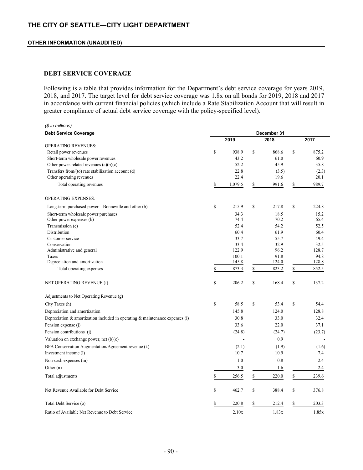#### **OTHER INFORMATION (UNAUDITED)**

### **DEBT SERVICE COVERAGE**

Following is a table that provides information for the Department's debt service coverage for years 2019, 2018, and 2017. The target level for debt service coverage was 1.8x on all bonds for 2019, 2018 and 2017 in accordance with current financial policies (which include a Rate Stabilization Account that will result in greater compliance of actual debt service coverage with the policy-specified level).

| (\$ in millions)                                                                   |                |              |               |
|------------------------------------------------------------------------------------|----------------|--------------|---------------|
| <b>Debt Service Coverage</b>                                                       |                | December 31  |               |
| <b>OPERATING REVENUES:</b>                                                         | 2019           | 2018         | 2017          |
| Retail power revenues                                                              | \$<br>938.9    | \$<br>868.6  | \$<br>875.2   |
| Short-term wholesale power revenues                                                | 43.2           | 61.0         | 60.9          |
| Other power-related revenues $(a)(b)(c)$                                           | 52.2           | 45.9         | 35.8          |
| Transfers from/(to) rate stabilization account (d)                                 | 22.8           | (3.5)        | (2.3)         |
| Other operating revenues                                                           | 22.4           | 19.6         | 20.1          |
| Total operating revenues                                                           | \$<br>1,079.5  | \$<br>991.6  | \$<br>989.7   |
| <b>OPERATING EXPENSES:</b>                                                         |                |              |               |
| Long-term purchased power—Bonneville and other (b)                                 | \$<br>215.9    | \$<br>217.8  | \$<br>224.8   |
| Short-term wholesale power purchases                                               | 34.3           | 18.5         | 15.2          |
| Other power expenses (b)                                                           | 74.4           | 70.2         | 65.4          |
| Transmission (e)                                                                   | 52.4           | 54.2         | 52.5          |
| Distribution                                                                       | 60.4           | 61.9         | 60.4          |
| Customer service                                                                   | 33.7           | 55.7         | 49.4          |
| Conservation                                                                       | 33.4           | 32.9         | 32.5          |
| Administrative and general<br>Taxes                                                | 122.9<br>100.1 | 96.2<br>91.8 | 128.7<br>94.8 |
| Depreciation and amortization                                                      | 145.8          | 124.0        | 128.8         |
| Total operating expenses                                                           | \$<br>873.3    | \$<br>823.2  | \$<br>852.5   |
| NET OPERATING REVENUE (f)                                                          | \$<br>206.2    | \$<br>168.4  | \$<br>137.2   |
| Adjustments to Net Operating Revenue (g)                                           |                |              |               |
| City Taxes (h)                                                                     | \$<br>58.5     | \$<br>53.4   | \$<br>54.4    |
| Depreciation and amortization                                                      | 145.8          | 124.0        | 128.8         |
| Depreciation $\&$ amortization included in operating $\&$ maintenance expenses (i) | 30.8           | 33.0         | 32.4          |
| Pension expense (j)                                                                | 33.6           | 22.0         | 37.1          |
| Pension contributions (j)                                                          | (24.8)         | (24.7)       | (23.7)        |
| Valuation on exchange power, net $(b)(c)$                                          |                | 0.9          |               |
| BPA Conservation Augmentation/Agreement revenue (k)                                | (2.1)          | (1.9)        | (1.6)         |
| Investment income (1)                                                              | 10.7           | 10.9         | 7.4           |
| Non-cash expenses (m)                                                              | 1.0            | 0.8          | 2.4           |
| Other $(n)$                                                                        | 3.0            | 1.6          | 2.4           |
| Total adjustments                                                                  | \$<br>256.5    | \$<br>220.0  | \$<br>239.6   |
| Net Revenue Available for Debt Service                                             | \$<br>462.7    | \$<br>388.4  | \$<br>376.8   |
| Total Debt Service (o)                                                             | \$<br>220.8    | \$<br>212.4  | \$<br>203.3   |
| Ratio of Available Net Revenue to Debt Service                                     | 2.10x          | 1.83x        | 1.85x         |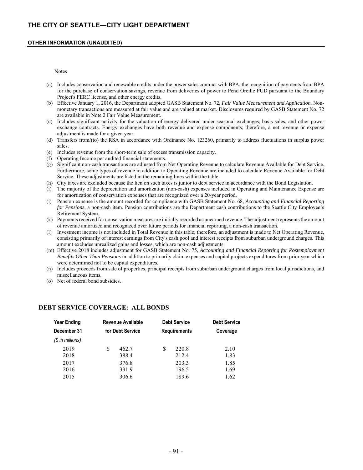#### **OTHER INFORMATION (UNAUDITED)**

**Notes** 

- (a) Includes conservation and renewable credits under the power sales contract with BPA, the recognition of payments from BPA for the purchase of conservation savings, revenue from deliveries of power to Pend Oreille PUD pursuant to the Boundary Project's FERC license, and other energy credits.
- (b) Effective January 1, 2016, the Department adopted GASB Statement No. 72, *Fair Value Measurement and Application.* Nonmonetary transactions are measured at fair value and are valued at market. Disclosures required by GASB Statement No. 72 are available in Note 2 Fair Value Measurement.
- (c) Includes significant activity for the valuation of energy delivered under seasonal exchanges, basis sales, and other power exchange contracts. Energy exchanges have both revenue and expense components; therefore, a net revenue or expense adjustment is made for a given year.
- (d) Transfers from/(to) the RSA in accordance with Ordinance No. 123260, primarily to address fluctuations in surplus power sales.
- (e) Includes revenue from the short-term sale of excess transmission capacity.
- (f) Operating Income per audited financial statements.
- (g) Significant non-cash transactions are adjusted from Net Operating Revenue to calculate Revenue Available for Debt Service. Furthermore, some types of revenue in addition to Operating Revenue are included to calculate Revenue Available for Debt Service. These adjustments are listed in the remaining lines within the table.
- (h) City taxes are excluded because the lien on such taxes is junior to debt service in accordance with the Bond Legislation.
- (i) The majority of the depreciation and amortization (non-cash) expenses included in Operating and Maintenance Expense are for amortization of conservation expenses that are recognized over a 20-year period.
- (j) Pension expense is the amount recorded for compliance with GASB Statement No. 68, *Accounting and Financial Reporting for Pensions*, a non-cash item. Pension contributions are the Department cash contributions to the Seattle City Employee's Retirement System.
- (k) Payments received for conservation measures are initially recorded as unearned revenue. The adjustment represents the amount of revenue amortized and recognized over future periods for financial reporting, a non-cash transaction.
- (l) Investment income is not included in Total Revenue in this table; therefore, an adjustment is made to Net Operating Revenue, consisting primarily of interest earnings from City's cash pool and interest receipts from suburban underground charges. This amount excludes unrealized gains and losses, which are non-cash adjustments.
- (m) Effective 2018 includes adjustment for GASB Statement No. 75, *Accounting and Financial Reporting for Postemployment Benefits Other Than Pensions* in addition to primarily claim expenses and capital projects expenditures from prior year which were determined not to be capital expenditures.
- (n) Includes proceeds from sale of properties, principal receipts from suburban underground charges from local jurisdictions, and miscellaneous items.
- (o) Net of federal bond subsidies.

| <b>Year Ending</b> |   | <b>Revenue Available</b> | <b>Debt Service</b> | <b>Debt Service</b> |
|--------------------|---|--------------------------|---------------------|---------------------|
| December 31        |   | for Debt Service         | <b>Requirements</b> | Coverage            |
| $$$ in millions)   |   |                          |                     |                     |
| 2019               | S | 462.7                    | \$<br>220.8         | 2.10                |
| 2018               |   | 388.4                    | 212.4               | 1.83                |
| 2017               |   | 376.8                    | 203.3               | 1.85                |
| 2016               |   | 331.9                    | 196.5               | 1.69                |
| 2015               |   | 306.6                    | 189.6               | 1.62                |

#### **DEBT SERVICE COVERAGE: ALL BONDS**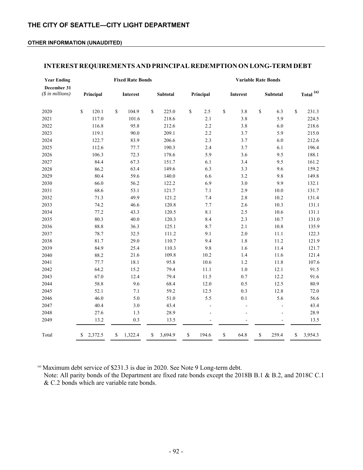#### **OTHER INFORMATION (UNAUDITED)**

# **INTEREST REQUIREMENTS AND PRINCIPAL REDEMPTION ON LONG-TERM DEBT**

| <b>Year Ending</b>                | <b>Fixed Rate Bonds</b> |           |    |          |    | <b>Variable Rate Bonds</b> |    |                |    |                 |              |               |    |                      |
|-----------------------------------|-------------------------|-----------|----|----------|----|----------------------------|----|----------------|----|-----------------|--------------|---------------|----|----------------------|
| December 31<br>$(S \in millions)$ |                         | Principal |    | Interest |    | Subtotal                   |    | Principal      |    | <b>Interest</b> |              | Subtotal      |    | Total <sup>(a)</sup> |
|                                   |                         |           |    |          |    |                            |    |                |    |                 |              |               |    |                      |
| 2020                              | \$                      | 120.1     | \$ | 104.9    | \$ | 225.0                      | \$ | 2.5            | \$ | 3.8             | $\mathbb{S}$ | 6.3           | \$ | 231.3                |
| 2021                              |                         | 117.0     |    | 101.6    |    | 218.6                      |    | 2.1            |    | 3.8             |              | 5.9           |    | 224.5                |
| 2022                              |                         | 116.8     |    | 95.8     |    | 212.6                      |    | 2.2            |    | 3.8             |              | 6.0           |    | 218.6                |
| 2023                              |                         | 119.1     |    | 90.0     |    | 209.1                      |    | 2.2            |    | 3.7             |              | 5.9           |    | 215.0                |
| 2024                              |                         | 122.7     |    | 83.9     |    | 206.6                      |    | 2.3            |    | 3.7             |              | 6.0           |    | 212.6                |
| 2025                              |                         | 112.6     |    | 77.7     |    | 190.3                      |    | 2.4            |    | 3.7             |              | 6.1           |    | 196.4                |
| 2026                              |                         | 106.3     |    | 72.3     |    | 178.6                      |    | 5.9            |    | 3.6             |              | 9.5           |    | 188.1                |
| 2027                              |                         | 84.4      |    | 67.3     |    | 151.7                      |    | 6.1            |    | 3.4             |              | 9.5           |    | 161.2                |
| 2028                              |                         | 86.2      |    | 63.4     |    | 149.6                      |    | 6.3            |    | 3.3             |              | 9.6           |    | 159.2                |
| 2029                              |                         | 80.4      |    | 59.6     |    | 140.0                      |    | 6.6            |    | 3.2             |              | 9.8           |    | 149.8                |
| 2030                              |                         | 66.0      |    | 56.2     |    | 122.2                      |    | 6.9            |    | 3.0             |              | 9.9           |    | 132.1                |
| 2031                              |                         | 68.6      |    | 53.1     |    | 121.7                      |    | $7.1\,$        |    | 2.9             |              | 10.0          |    | 131.7                |
| 2032                              |                         | 71.3      |    | 49.9     |    | 121.2                      |    | 7.4            |    | 2.8             |              | 10.2          |    | 131.4                |
| 2033                              |                         | 74.2      |    | 46.6     |    | 120.8                      |    | 7.7            |    | 2.6             |              | 10.3          |    | 131.1                |
| 2034                              |                         | 77.2      |    | 43.3     |    | 120.5                      |    | 8.1            |    | 2.5             |              | 10.6          |    | 131.1                |
| 2035                              |                         | 80.3      |    | 40.0     |    | 120.3                      |    | 8.4            |    | 2.3             |              | 10.7          |    | 131.0                |
| 2036                              |                         | 88.8      |    | 36.3     |    | 125.1                      |    | 8.7            |    | 2.1             |              | 10.8          |    | 135.9                |
| 2037                              |                         | 78.7      |    | 32.5     |    | 111.2                      |    | 9.1            |    | $2.0\,$         |              | 11.1          |    | 122.3                |
| 2038                              |                         | 81.7      |    | 29.0     |    | 110.7                      |    | 9.4            |    | 1.8             |              | 11.2          |    | 121.9                |
| 2039                              |                         | 84.9      |    | 25.4     |    | 110.3                      |    | 9.8            |    | 1.6             |              | 11.4          |    | 121.7                |
| 2040                              |                         | 88.2      |    | 21.6     |    | 109.8                      |    | 10.2           |    | $1.4\,$         |              | 11.6          |    | 121.4                |
| 2041                              |                         | 77.7      |    | 18.1     |    | 95.8                       |    | 10.6           |    | 1.2             |              | 11.8          |    | 107.6                |
| 2042                              |                         | 64.2      |    | 15.2     |    | 79.4                       |    | 11.1           |    | 1.0             |              | 12.1          |    | 91.5                 |
| 2043                              |                         | 67.0      |    | 12.4     |    | 79.4                       |    | 11.5           |    | 0.7             |              | 12.2          |    | 91.6                 |
| 2044                              |                         | 58.8      |    | 9.6      |    | 68.4                       |    | 12.0           |    | 0.5             |              | 12.5          |    | 80.9                 |
| 2045                              |                         | 52.1      |    | 7.1      |    | 59.2                       |    | 12.5           |    | 0.3             |              | 12.8          |    | 72.0                 |
| 2046                              |                         | 46.0      |    | 5.0      |    | 51.0                       |    | 5.5            |    | $0.1\,$         |              | 5.6           |    | 56.6                 |
| 2047                              |                         | 40.4      |    | 3.0      |    | 43.4                       |    | $\overline{a}$ |    | $\overline{a}$  |              | $\frac{1}{2}$ |    | 43.4                 |
| 2048                              |                         | 27.6      |    | 1.3      |    | 28.9                       |    |                |    |                 |              |               |    | 28.9                 |
| 2049                              |                         | 13.2      |    | 0.3      |    | 13.5                       |    |                |    |                 |              |               |    | 13.5                 |
| Total                             | \$                      | 2,372.5   | \$ | 1,322.4  | \$ | 3,694.9                    | \$ | 194.6          | \$ | 64.8            | \$           | 259.4         | \$ | 3,954.3              |

<sup>(a)</sup> Maximum debt service of \$231.3 is due in 2020. See Note 9 Long-term debt.

Note: All parity bonds of the Department are fixed rate bonds except the 2018B B.1 & B.2, and 2018C C.1 & C.2 bonds which are variable rate bonds.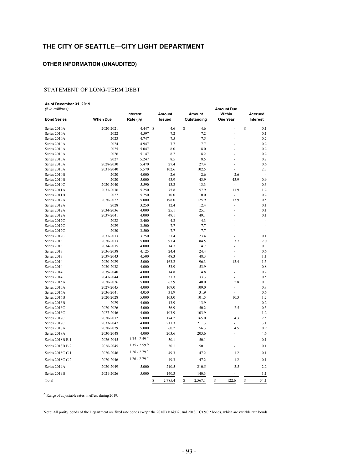### **OTHER INFORMATION (UNAUDITED)**

### STATEMENT OF LONG-TERM DEBT

#### **As of December 31, 2019**

|  | (\$ in millions) |
|--|------------------|
|  |                  |

| (\$ in millions)   |                 |                            |               | <b>Amount Due</b> |            |                |  |  |
|--------------------|-----------------|----------------------------|---------------|-------------------|------------|----------------|--|--|
|                    |                 | Interest                   | Amount        | Amount            | Within     | <b>Accrued</b> |  |  |
| <b>Bond Series</b> | <b>When Due</b> | Rate (%)                   | <b>Issued</b> | Outstanding       | One Year   | Interest       |  |  |
| Series 2010A       | 2020-2021       | 4.447                      | 4.6<br>S      | 4.6<br>S          |            | S<br>0.1       |  |  |
| Series 2010A       | 2022            | 4.597                      | 7.2           | 7.2               |            | 0.1            |  |  |
| Series 2010A       | 2023            | 4.747                      | 7.5           | 7.5               | ä,         | 0.2            |  |  |
| Series 2010A       | 2024            | 4.947                      | 7.7           | 7.7               |            | 0.2            |  |  |
| Series 2010A       | 2025            | 5.047                      | 8.0           | 8.0               | ä,         | 0.2            |  |  |
| Series 2010A       | 2026            | 5.147                      | 8.2           | 8.2               |            | 0.2            |  |  |
| Series 2010A       | 2027            | 5.247                      | 8.5           | 8.5               |            | 0.2            |  |  |
| Series 2010A       | 2028-2030       | 5.470                      | 27.4          | 27.4              | ä,         | 0.6            |  |  |
| Series 2010A       | 2031-2040       | 5.570                      | 102.6         | 102.5             | ä,         | 2.3            |  |  |
| Series 2010B       | 2020            | 4.000                      | 2.6           | 2.6               | 2.6        | ÷,             |  |  |
| Series 2010B       | 2020            | 5.000                      | 43.9          | 43.9              | 43.9       | 0.9            |  |  |
| Series 2010C       | 2020-2040       | 5.590                      | 13.3          | 13.3              | ٠          | 0.3            |  |  |
| Series 2011A       | 2031-2036       | 5.250                      | 75.8          | 57.9              | 11.9       | 1.2            |  |  |
| Series 2011B       | 2027            | 5.750                      | 10.0          | 10.0              | ä,         | 0.2            |  |  |
| Series 2012A       | 2020-2027       | 5.000                      | 198.0         | 125.9             | 13.9       | 0.5            |  |  |
| Series 2012A       | 2028            | 3.250                      | 12.4          | 12.4              | ÷          | 0.1            |  |  |
| Series 2012A       | 2034-2036       | 4.000                      | 25.1          | 25.1              | ÷          | 0.1            |  |  |
| Series 2012A       | 2037-2041       | 4.000                      | 49.1          | 49.1              | ä,         | 0.1            |  |  |
| Series 2012C       | 2028            | 3.400                      | 4.3           | 4.3               | ä,         |                |  |  |
| Series 2012C       | 2029            | 3.500                      | 7.7           | 7.7               |            |                |  |  |
| Series 2012C       | 2030            | 3.500                      | 7.7           | 7.7               | ä,         | ä,             |  |  |
| Series 2012C       | 2031-2033       | 3.750                      | 23.4          | 23.4              | ٠          | 0.1            |  |  |
| Series 2013        | 2020-2033       | 5.000                      | 97.4          | 84.5              | 3.7        | 2.0            |  |  |
| Series 2013        | 2034-2035       | 4.000                      | 14.7          | 14.7              | ÷.         | 0.3            |  |  |
| Series 2013        | 2036-2038       | 4.125                      | 24.4          | 24.4              | ä,         | 0.6            |  |  |
| Series 2013        | 2039-2043       | 4.500                      | 48.3          | 48.3              | ä,         | 1.1            |  |  |
| Series 2014        | 2020-2029       | 5.000                      | 163.2         | 96.3              | 13.4       | 1.5            |  |  |
| Series 2014        | 2030-2038       | 4.000                      | 53.9          | 53.9              | ÷          | 0.8            |  |  |
| Series 2014        | 2039-2040       | 4.000                      | 14.8          | 14.8              | ä,         | 0.2            |  |  |
| Series 2014        | 2041-2044       | 4.000                      | 33.3          | 33.3              | L.         | 0.5            |  |  |
| Series 2015A       | 2020-2026       | 5.000                      | 62.9          | 40.0              | 5.8        | 0.3            |  |  |
| Series 2015A       | 2027-2045       | 4.000                      | 109.0         | 109.0             | ٠          | 0.8            |  |  |
| Series 2016A       | 2036-2041       | 4.050                      | 31.9          | 31.9              | ÷,         | 0.6            |  |  |
| Series 2016B       | 2020-2028       | 5.000                      | 103.0         | 101.5             | 10.3       | 1.2            |  |  |
| Series 2016B       | 2029            | 4.000                      | 13.9          | 13.9              |            | 0.2            |  |  |
| Series 2016C       | 2020-2026       | 5.000                      | 56.9          | 50.2              | 2.5        | 0.5            |  |  |
| Series 2016C       | 2027-2046       | 4.000                      | 103.9         | 103.9             |            | 1.2            |  |  |
| Series 2017C       | 2020-2032       | 5.000                      | 174.2         | 165.0             | 4.3        | 2.5            |  |  |
| Series 2017C       | 2033-2047       | 4.000                      | 211.3         | 211.3             | L.         | 3.1            |  |  |
| Series 2018A       | 2020-2029       | 5.000                      | 60.2          | 56.3              | 4.5        | 0.9            |  |  |
| Series 2018A       | 2030-2048       | 4.000                      | 203.6         | 203.6             | ä,         | 4.6            |  |  |
| Series 2018B B.1   | 2026-2045       | $1.35 - 2.59$ <sup>A</sup> | 50.1          | 50.1              | ÷          | 0.1            |  |  |
| Series 2018B B.2   | 2026-2045       | $1.35 - 2.59$ <sup>A</sup> | 50.1          | 50.1              |            | 0.1            |  |  |
| Series 2018C C.1   | 2020-2046       | $1.26 - 2.79$ <sup>A</sup> | 49.3          | 47.2              | 1.2        | 0.1            |  |  |
| Series 2018C C.2   | 2020-2046       | $1.26 - 2.79$ <sup>A</sup> | 49.3          | 47.2              | 1.2        | 0.1            |  |  |
| Series 2019A       | 2020-2049       | 5.000                      | 210.5         | 210.5             | 3.5        | 2.2            |  |  |
| Series 2019B       | 2021-2026       | 5.000                      | 140.3         | 140.3             | ÷          | 1.1            |  |  |
| Total              |                 |                            | \$<br>2,785.4 | \$<br>2,567.1     | S<br>122.6 | S<br>34.1      |  |  |

A Range of adjustable rates in effect during 2019.

Note: All parity bonds of the Department are fixed rate bonds except the 2018B B1&B2, and 2018C C1&C2 bonds, which are variable rate bonds.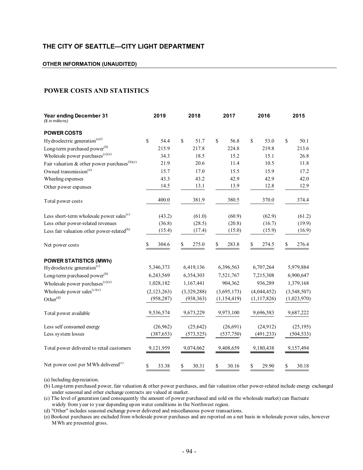#### **OTHER INFORMATION (UNAUDITED)**

# **POWER COSTS AND STATISTICS**

| <b>Year ending December 31</b><br>$($$ in millions)      | 2019        | 2018        | 2017                 | 2016        | 2015        |
|----------------------------------------------------------|-------------|-------------|----------------------|-------------|-------------|
| <b>POWER COSTS</b>                                       |             |             |                      |             |             |
| Hydroelectric generation <sup>(a)©</sup>                 | \$<br>54.4  | \$<br>51.7  | $\mathbb{S}$<br>56.8 | \$<br>53.0  | \$<br>50.1  |
| Long-term purchased power <sup>(b)</sup>                 | 215.9       | 217.8       | 224.8                | 219.8       | 213.6       |
| Wholesale power purchases <sup>(c)(e)</sup>              | 34.3        | 18.5        | 15.2                 | 15.1        | 26.8        |
| Fair valuation & other power purchases <sup>(b)(e)</sup> | 21.9        | 20.6        | 11.4                 | 10.5        | 11.8        |
| Owned transmission <sup>(a)</sup>                        | 15.7        | 17.0        | 15.5                 | 15.9        | 17.2        |
| Wheeling expenses                                        | 43.3        | 43.2        | 42.9                 | 42.9        | 42.0        |
| Other power expenses                                     | 14.5        | 13.1        | 13.9                 | 12.8        | 12.9        |
| Total power costs                                        | 400.0       | 381.9       | 380.5                | 370.0       | 374.4       |
| Less short-term wholesale power sales <sup>(c)</sup>     | (43.2)      | (61.0)      | (60.9)               | (62.9)      | (61.2)      |
| Less other power-related revenues                        | (36.8)      | (28.5)      | (20.8)               | (16.7)      | (19.9)      |
| Less fair valuation other power-related <sup>(b)</sup>   | (15.4)      | (17.4)      | (15.0)               | (15.9)      | (16.9)      |
| Net power costs                                          | \$<br>304.6 | \$<br>275.0 | \$<br>283.8          | \$<br>274.5 | \$<br>276.4 |
| <b>POWER STATISTICS (MWh)</b>                            |             |             |                      |             |             |
| Hydroelectric generation <sup>(c)</sup>                  | 5,346,373   | 6,419,136   | 6,396,563            | 6,707,264   | 5,979,884   |
| Long-term purchased power <sup>(b)</sup>                 | 6,243,569   | 6,354,303   | 7,521,767            | 7,215,308   | 6,900,647   |
| Wholesale power purchases <sup>(c)(e)</sup>              | 1,028,182   | 1,167,441   | 904,362              | 936,289     | 1,379,168   |
| Wholesale power sales <sup>(c)(e)</sup>                  | (2,123,263) | (3,329,288) | (3,695,173)          | (4,044,452) | (3,548,507) |
| Other <sup>(d)</sup>                                     | (958, 287)  | (938, 363)  | (1,154,419)          | (1,117,826) | (1,023,970) |
| Total power available                                    | 9,536,574   | 9,673,229   | 9,973,100            | 9,696,583   | 9,687,222   |
| Less self consumed energy                                | (26,962)    | (25, 642)   | (26, 691)            | (24, 912)   | (25, 195)   |
| Less system losses                                       | (387, 653)  | (573, 525)  | (537,750)            | (491, 233)  | (504, 533)  |
| Total power delivered to retail customers                | 9,121,959   | 9,074,062   | 9,408,659            | 9,180,438   | 9,157,494   |
| Net power cost per MWh delivered <sup>(1)</sup>          | \$<br>33.38 | \$<br>30.31 | \$<br>30.16          | \$<br>29.90 | \$<br>30.18 |

(a) Including depreciation.

(b) Long-term purchased power, fair valuation & other power purchases, and fair valuation other power-related include energy exchanged under seasonal and other exchange contracts are valued at market.

(c) The level of generation (and consequently the amount of power purchased and sold on the wholesale market) can fluctuate widely from year to year depending upon water conditions in the Northwest region.

(d) "Other" includes seasonal exchange power delivered and miscellaneous power transactions.

(e) Bookout purchases are excluded from wholesale power purchases and are reported on a net basis in wholesale power sales, however MWh are presented gross.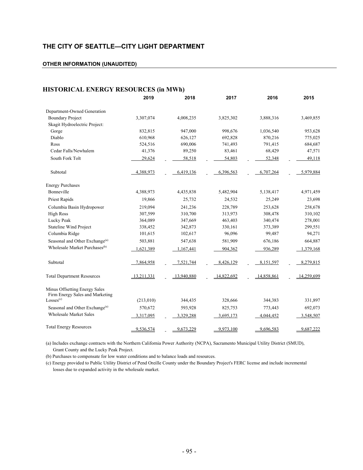### **OTHER INFORMATION (UNAUDITED)**

|                                                                  | 2019       | 2018       | 2017       | 2016       | 2015       |
|------------------------------------------------------------------|------------|------------|------------|------------|------------|
|                                                                  |            |            |            |            |            |
| Department-Owned Generation                                      |            |            |            |            |            |
| <b>Boundary Project</b><br>Skagit Hydroelectric Project:         | 3,307,074  | 4,008,235  | 3,825,302  | 3,888,316  | 3,469,855  |
| Gorge                                                            | 832,815    | 947,000    | 998,676    | 1,036,540  | 953,628    |
| Diablo                                                           | 610,968    | 626,127    | 692,828    | 870,216    | 775,025    |
| Ross                                                             | 524,516    | 690,006    | 741,493    | 791,415    | 684,687    |
| Cedar Falls/Newhalem                                             | 41,376     | 89,250     | 83,461     | 68,429     | 47,571     |
| South Fork Tolt                                                  | 29,624     | 58,518     | 54,803     | 52,348     | 49,118     |
|                                                                  |            |            |            |            |            |
| Subtotal                                                         | 4,388,973  | 6,419,136  | 6,396,563  | 6,707,264  | 5,979,884  |
| <b>Energy Purchases</b>                                          |            |            |            |            |            |
| Bonneville                                                       | 4,388,973  | 4,435,838  | 5,482,904  | 5,138,417  | 4,971,459  |
| Priest Rapids                                                    | 19,866     | 25,732     | 24,532     | 25,249     | 23,698     |
| Columbia Basin Hydropower                                        | 219,094    | 241,236    | 228,789    | 253,628    | 258,678    |
| <b>High Ross</b>                                                 | 307,599    | 310,700    | 313,973    | 308,478    | 310,102    |
| Lucky Peak                                                       | 364,089    | 347,669    | 463,403    | 340,474    | 278,001    |
| <b>Stateline Wind Project</b>                                    | 338,452    | 342,873    | 330,161    | 373,389    | 299,551    |
| Columbia Ridge                                                   | 101,615    | 102,617    | 96,096     | 99,487     | 94,271     |
| Seasonal and Other Exchange <sup>(a)</sup>                       | 503,881    | 547,638    | 581,909    | 676,186    | 664,887    |
| Wholesale Market Purchases <sup>(b)</sup>                        | 1,621,389  | 1,167,441  | 904,362    | 936,289    | 1,379,168  |
| Subtotal                                                         | 7,864,958  | 7,521,744  | 8,426,129  | 8,151,597  | 8,279,815  |
| <b>Total Department Resources</b>                                | 13,211,331 | 13,940,880 | 14,822,692 | 14,858,861 | 14,259,699 |
| Minus Offsetting Energy Sales<br>Firm Energy Sales and Marketing |            |            |            |            |            |
| $Losses^{(c)}$                                                   | (213,010)  | 344,435    | 328,666    | 344,383    | 331,897    |
| Seasonal and Other Exchange <sup>(a)</sup>                       | 570,672    | 593,928    | 825,753    | 773,443    | 692,073    |
| <b>Wholesale Market Sales</b>                                    | 3,317,095  | 3,329,288  | 3,695,173  | 4,044,452  | 3,548,507  |
| <b>Total Energy Resources</b>                                    | 9,536,574  | 9,673,229  | 9,973,100  | 9,696,583  | 9,687,222  |

(a) Includes exchange contracts with the Northern California Power Authority (NCPA), Sacramento Municipal Utility District (SMUD),

Grant County and the Lucky Peak Project.<br>
(b) Purchases to compensate for low water conditions and to balance loads and resources.<br>
(c) Energy provided to Public Utility District of Pend Oreille County under the Boundary P losses due to expanded activity in the wholesale market.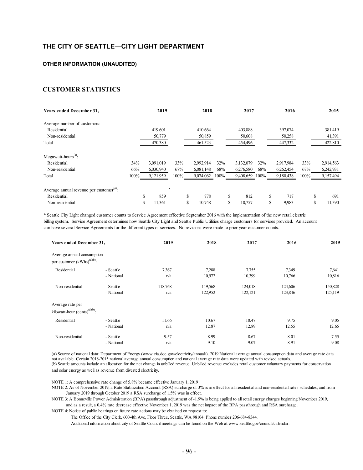#### **OTHER INFORMATION (UNAUDITED)**

## **CUSTOMER STATISTICS**

| Years ended December 31,                             |      | 2019         |      | 2018         |      | 2017         |      | 2016        |      | 2015         |
|------------------------------------------------------|------|--------------|------|--------------|------|--------------|------|-------------|------|--------------|
| Average number of customers:                         |      |              |      |              |      |              |      |             |      |              |
| Residential                                          |      | 419,601      |      | 410,664      |      | 403,888      |      | 397,074     |      | 381,419      |
| Non-residential                                      |      | 50,779       |      | 50,859       |      | 50,608       |      | 50,258      |      | 41,391       |
| Total                                                |      | 470,380      |      | 461,523      |      | 454,496      |      | 447,332     |      | 422,810      |
| Megawatt-hours <sup>(a)</sup> :                      |      |              |      |              |      |              |      |             |      |              |
| Residential                                          | 34%  | 3,091,019    | 33%  | 2,992,914    | 32%  | 3,132,079    | 32%  | 2,917,984   | 33%  | 2,914,563    |
| Non-residential                                      | 66%  | 6,030,940    | 67%  | 6,081,148    | 68%  | 6,276,580    | 68%  | 6.262,454   | 67%  | 6.242,931    |
| Total                                                | 100% | 9,121,959    | 100% | 9,074,062    | 100% | 9,408,659    | 100% | 9,180,438   | 100% | 9,157,494    |
| Average annual revenue per customer <sup>(a)</sup> : |      | $\cdot$      |      |              |      |              |      |             |      |              |
| Residential                                          |      | \$<br>859    |      | \$<br>778    |      | \$<br>812    |      | \$<br>717   |      | \$<br>691    |
| Non-residential                                      |      | \$<br>11,361 |      | \$<br>10,748 |      | \$<br>10,757 |      | \$<br>9,983 |      | \$<br>11,390 |

\* Seattle City Light changed customer counts to Service Agreement effective September 2016 with the implementation of the new retail electric billing system. Service Agreement determines how Seattle City Light and Seattle Public Utilities charge customers for services provided. An account can have several Service Agreements for the different types of services. No revisions were made to prior year customer counts.

| Years ended December 31,                                              |            | 2019    | 2018    | 2017    | 2016    | 2015    |  |  |  |
|-----------------------------------------------------------------------|------------|---------|---------|---------|---------|---------|--|--|--|
| Average annual consumption<br>per customer (kWhs) <sup>(a)(b)</sup> : |            |         |         |         |         |         |  |  |  |
| Residential                                                           | - Seattle  | 7,367   | 7,288   | 7,755   | 7,349   | 7,641   |  |  |  |
|                                                                       | - National | n/a     | 10,972  | 10,399  | 10,766  | 10,816  |  |  |  |
| Non-residential                                                       | - Seattle  | 118,768 | 119,568 | 124,018 | 124,606 | 150,828 |  |  |  |
|                                                                       | - National | n/a     | 122,952 | 122,121 | 123,846 | 125,119 |  |  |  |
| Average rate per                                                      |            |         |         |         |         |         |  |  |  |
| kilowatt-hour $(cents)^{(a)(b)}$ :                                    |            |         |         |         |         |         |  |  |  |
| Residential                                                           | - Seattle  | 11.66   | 10.67   | 10.47   | 9.75    | 9.05    |  |  |  |
|                                                                       | - National | n/a     | 12.87   | 12.89   | 12.55   | 12.65   |  |  |  |
| Non-residential                                                       | - Seattle  | 9.57    | 8.99    | 8.67    | 8.01    | 7.55    |  |  |  |
|                                                                       | - National | n/a     | 9.10    | 9.07    | 8.91    | 9.08    |  |  |  |

(a) Source of national data: Department of Energy (www.eia.doe.gov/electricity/annual/). 2019 National average annual consumption data and average rate data not available. Certain 2018-2015 national average annual consumption and national average rate data were updated with revised actuals. (b) Seattle amounts include an allocation for the net change in unbilled revenue. Unbilled revenue excludes retail customer voluntary payments for conservation and solar energy as well as revenue from diverted electricity.

NOTE 1: A comprehensive rate change of 5.8% became effective January 1, 2019

NOTE 2: As of November 2019, a Rate Stabilization Account (RSA) surcharge of 3% is in effect for all residential and non-residential rates schedules, and from January 2019 through October 2019 a RSA surcharge of 1.5% was in effect.

NOTE 3: A Bonneville Power Administration (BPA) passthrough adjustment of -1.9% is being applied to all retail energy charges beginning November 2019, and as a result, a 0.4% rate decrease effective November 1, 2019 was the net impact of the BPA passthrough and RSA surcharge.

NOTE 4: Notice of public hearings on future rate actions may be obtained on request to:

The Office of the City Clerk, 600-4th Ave, Floor Three, Seattle, WA 98104. Phone number 206-684-8344.

Additional information about city of Seattle Council meetings can be found on the Web at www.seattle.gov/council/calendar.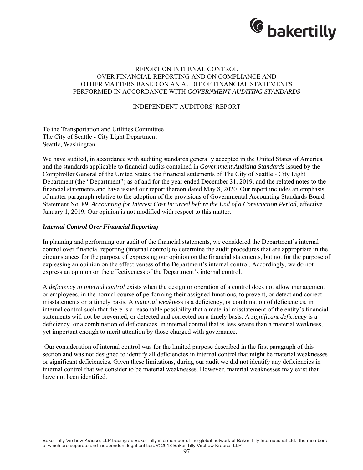

## REPORT ON INTERNAL CONTROL OVER FINANCIAL REPORTING AND ON COMPLIANCE AND OTHER MATTERS BASED ON AN AUDIT OF FINANCIAL STATEMENTS PERFORMED IN ACCORDANCE WITH *GOVERNMENT AUDITING STANDARDS*

### INDEPENDENT AUDITORS' REPORT

To the Transportation and Utilities Committee The City of Seattle - City Light Department Seattle, Washington

We have audited, in accordance with auditing standards generally accepted in the United States of America and the standards applicable to financial audits contained in *Government Auditing Standards* issued by the Comptroller General of the United States, the financial statements of The City of Seattle - City Light Department (the "Department") as of and for the year ended December 31, 2019, and the related notes to the financial statements and have issued our report thereon dated May 8, 2020. Our report includes an emphasis of matter paragraph relative to the adoption of the provisions of Governmental Accounting Standards Board Statement No. 89, *Accounting for Interest Cost Incurred before the End of a Construction Period*, effective January 1, 2019. Our opinion is not modified with respect to this matter.

### *Internal Control Over Financial Reporting*

In planning and performing our audit of the financial statements, we considered the Department's internal control over financial reporting (internal control) to determine the audit procedures that are appropriate in the circumstances for the purpose of expressing our opinion on the financial statements, but not for the purpose of expressing an opinion on the effectiveness of the Department's internal control. Accordingly, we do not express an opinion on the effectiveness of the Department's internal control.

A *deficiency in internal control* exists when the design or operation of a control does not allow management or employees, in the normal course of performing their assigned functions, to prevent, or detect and correct misstatements on a timely basis. A *material weakness* is a deficiency, or combination of deficiencies, in internal control such that there is a reasonable possibility that a material misstatement of the entity's financial statements will not be prevented, or detected and corrected on a timely basis. A *significant deficiency* is a deficiency, or a combination of deficiencies, in internal control that is less severe than a material weakness, yet important enough to merit attention by those charged with governance.

 Our consideration of internal control was for the limited purpose described in the first paragraph of this section and was not designed to identify all deficiencies in internal control that might be material weaknesses or significant deficiencies. Given these limitations, during our audit we did not identify any deficiencies in internal control that we consider to be material weaknesses. However, material weaknesses may exist that have not been identified.